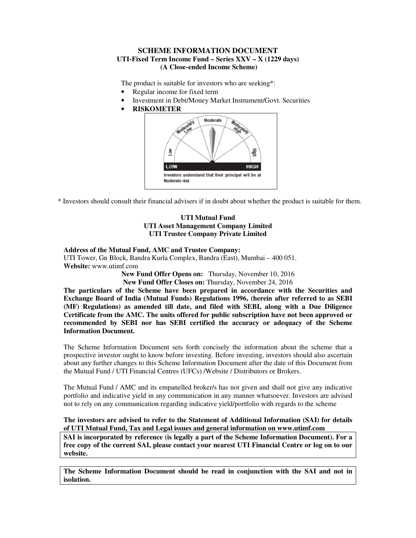### **SCHEME INFORMATION DOCUMENT UTI-Fixed Term Income Fund – Series XXV – X (1229 days) (A Close-ended Income Scheme)**

The product is suitable for investors who are seeking\*:

- Regular income for fixed term
- Investment in Debt/Money Market Instrument/Govt. Securities
- **RISKOMETER**



\* Investors should consult their financial advisers if in doubt about whether the product is suitable for them.

### **UTI Mutual Fund UTI Asset Management Company Limited UTI Trustee Company Private Limited**

#### **Address of the Mutual Fund, AMC and Trustee Company:**  UTI Tower, Gn Block, Bandra Kurla Complex, Bandra (East), Mumbai – 400 051. **Website:** www.utimf.com

**New Fund Offer Opens on:** Thursday, November 10, 2016

**New Fund Offer Closes on:** Thursday, November 24, 2016

**The particulars of the Scheme have been prepared in accordance with the Securities and Exchange Board of India (Mutual Funds) Regulations 1996, (herein after referred to as SEBI (MF) Regulations) as amended till date, and filed with SEBI, along with a Due Diligence Certificate from the AMC. The units offered for public subscription have not been approved or recommended by SEBI nor has SEBI certified the accuracy or adequacy of the Scheme Information Document.** 

The Scheme Information Document sets forth concisely the information about the scheme that a prospective investor ought to know before investing. Before investing, investors should also ascertain about any further changes to this Scheme Information Document after the date of this Document from the Mutual Fund / UTI Financial Centres (UFCs) /Website / Distributors or Brokers.

The Mutual Fund / AMC and its empanelled broker/s has not given and shall not give any indicative portfolio and indicative yield in any communication in any manner whatsoever. Investors are advised not to rely on any communication regarding indicative yield/portfolio with regards to the scheme

### **The investors are advised to refer to the Statement of Additional Information (SAI) for details of UTI Mutual Fund, Tax and Legal issues and general information on www.utimf.com**

**SAI is incorporated by reference (is legally a part of the Scheme Information Document). For a free copy of the current SAI, please contact your nearest UTI Financial Centre or log on to our website.** 

**The Scheme Information Document should be read in conjunction with the SAI and not in isolation.**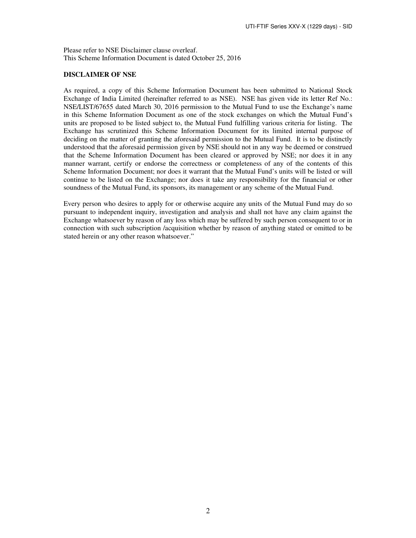Please refer to NSE Disclaimer clause overleaf. This Scheme Information Document is dated October 25, 2016

### **DISCLAIMER OF NSE**

As required, a copy of this Scheme Information Document has been submitted to National Stock Exchange of India Limited (hereinafter referred to as NSE). NSE has given vide its letter Ref No.: NSE/LIST/67655 dated March 30, 2016 permission to the Mutual Fund to use the Exchange's name in this Scheme Information Document as one of the stock exchanges on which the Mutual Fund's units are proposed to be listed subject to, the Mutual Fund fulfilling various criteria for listing. The Exchange has scrutinized this Scheme Information Document for its limited internal purpose of deciding on the matter of granting the aforesaid permission to the Mutual Fund. It is to be distinctly understood that the aforesaid permission given by NSE should not in any way be deemed or construed that the Scheme Information Document has been cleared or approved by NSE; nor does it in any manner warrant, certify or endorse the correctness or completeness of any of the contents of this Scheme Information Document; nor does it warrant that the Mutual Fund's units will be listed or will continue to be listed on the Exchange; nor does it take any responsibility for the financial or other soundness of the Mutual Fund, its sponsors, its management or any scheme of the Mutual Fund.

Every person who desires to apply for or otherwise acquire any units of the Mutual Fund may do so pursuant to independent inquiry, investigation and analysis and shall not have any claim against the Exchange whatsoever by reason of any loss which may be suffered by such person consequent to or in connection with such subscription /acquisition whether by reason of anything stated or omitted to be stated herein or any other reason whatsoever."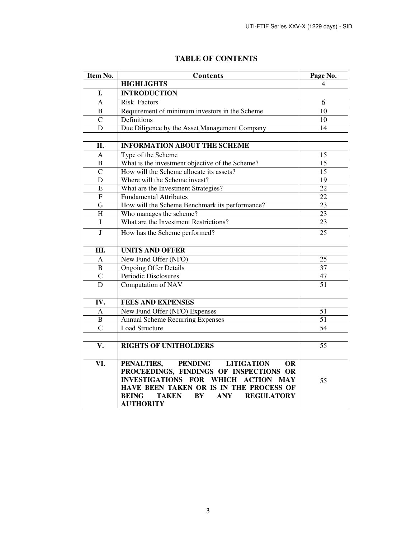| Item No.                | Contents                                                              | Page No.        |
|-------------------------|-----------------------------------------------------------------------|-----------------|
|                         | <b>HIGHLIGHTS</b>                                                     | $\Delta$        |
| I.                      | <b>INTRODUCTION</b>                                                   |                 |
| A                       | <b>Risk Factors</b>                                                   | 6               |
| B                       | Requirement of minimum investors in the Scheme                        | 10              |
| $\overline{C}$          | Definitions                                                           | 10              |
| D                       | Due Diligence by the Asset Management Company                         | 14              |
|                         |                                                                       |                 |
| II.                     | <b>INFORMATION ABOUT THE SCHEME</b>                                   |                 |
| A                       | Type of the Scheme                                                    | 15              |
| $\mathbf B$             | What is the investment objective of the Scheme?                       | 15              |
| $\overline{C}$          | How will the Scheme allocate its assets?                              | 15              |
| D                       | Where will the Scheme invest?                                         | 19              |
| E                       | What are the Investment Strategies?                                   | $\overline{22}$ |
| $\mathbf F$             | <b>Fundamental Attributes</b>                                         | $\overline{22}$ |
| G                       | How will the Scheme Benchmark its performance?                        | 23              |
| H                       | Who manages the scheme?                                               | 23              |
| I                       | What are the Investment Restrictions?                                 | 23              |
| $\overline{\mathbf{J}}$ | How has the Scheme performed?                                         | 25              |
|                         |                                                                       |                 |
| Ш.                      | <b>UNITS AND OFFER</b>                                                |                 |
| A                       | New Fund Offer (NFO)                                                  | 25              |
| $\, {\bf B}$            | <b>Ongoing Offer Details</b>                                          | 37              |
| $\overline{C}$          | Periodic Disclosures                                                  | 47              |
| D                       | Computation of NAV                                                    | 51              |
|                         |                                                                       |                 |
| IV.                     | <b>FEES AND EXPENSES</b>                                              |                 |
| A                       | New Fund Offer (NFO) Expenses                                         | 51              |
| $\overline{B}$          | <b>Annual Scheme Recurring Expenses</b>                               | $\overline{51}$ |
| $\overline{C}$          | <b>Load Structure</b>                                                 | 54              |
|                         |                                                                       |                 |
| V.                      | <b>RIGHTS OF UNITHOLDERS</b>                                          | 55              |
|                         |                                                                       |                 |
| VI.                     | PENALTIES,<br>PENDING LITIGATION<br><b>OR</b>                         |                 |
|                         | PROCEEDINGS, FINDINGS OF INSPECTIONS OR                               |                 |
|                         | INVESTIGATIONS FOR WHICH ACTION MAY                                   | 55              |
|                         | HAVE BEEN TAKEN OR IS IN THE PROCESS OF                               |                 |
|                         | <b>BEING</b><br><b>TAKEN</b><br>BY<br><b>ANY</b><br><b>REGULATORY</b> |                 |
|                         | <b>AUTHORITY</b>                                                      |                 |

# **TABLE OF CONTENTS**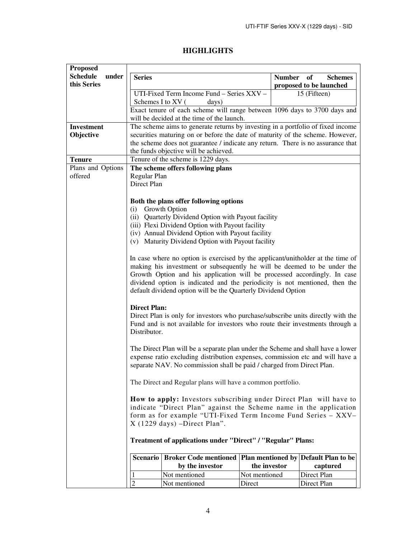| <b>HIGHLIGHTS</b> |
|-------------------|
|-------------------|

| <b>Proposed</b>                         |                                                                                                                                                                                                                                                                                                                                                                                        |                                                                                                                         |                |              |             |                                      |
|-----------------------------------------|----------------------------------------------------------------------------------------------------------------------------------------------------------------------------------------------------------------------------------------------------------------------------------------------------------------------------------------------------------------------------------------|-------------------------------------------------------------------------------------------------------------------------|----------------|--------------|-------------|--------------------------------------|
| <b>Schedule</b><br>under<br>this Series | <b>Series</b><br><b>Number</b><br>of<br>proposed to be launched                                                                                                                                                                                                                                                                                                                        |                                                                                                                         | <b>Schemes</b> |              |             |                                      |
|                                         | UTI-Fixed Term Income Fund - Series XXV -                                                                                                                                                                                                                                                                                                                                              |                                                                                                                         |                | 15 (Fifteen) |             |                                      |
|                                         | Schemes I to XV (                                                                                                                                                                                                                                                                                                                                                                      | days)                                                                                                                   |                |              |             |                                      |
|                                         |                                                                                                                                                                                                                                                                                                                                                                                        | Exact tenure of each scheme will range between 1096 days to 3700 days and<br>will be decided at the time of the launch. |                |              |             |                                      |
| Investment                              |                                                                                                                                                                                                                                                                                                                                                                                        | The scheme aims to generate returns by investing in a portfolio of fixed income                                         |                |              |             |                                      |
| Objective                               |                                                                                                                                                                                                                                                                                                                                                                                        | securities maturing on or before the date of maturity of the scheme. However,                                           |                |              |             |                                      |
|                                         |                                                                                                                                                                                                                                                                                                                                                                                        | the scheme does not guarantee / indicate any return. There is no assurance that                                         |                |              |             |                                      |
|                                         |                                                                                                                                                                                                                                                                                                                                                                                        | the funds objective will be achieved.                                                                                   |                |              |             |                                      |
| <b>Tenure</b>                           |                                                                                                                                                                                                                                                                                                                                                                                        | Tenure of the scheme is 1229 days.                                                                                      |                |              |             |                                      |
| Plans and Options                       |                                                                                                                                                                                                                                                                                                                                                                                        | The scheme offers following plans                                                                                       |                |              |             |                                      |
| offered                                 | Regular Plan                                                                                                                                                                                                                                                                                                                                                                           |                                                                                                                         |                |              |             |                                      |
|                                         | Direct Plan                                                                                                                                                                                                                                                                                                                                                                            |                                                                                                                         |                |              |             |                                      |
|                                         |                                                                                                                                                                                                                                                                                                                                                                                        | Both the plans offer following options                                                                                  |                |              |             |                                      |
|                                         | (i)                                                                                                                                                                                                                                                                                                                                                                                    | Growth Option                                                                                                           |                |              |             |                                      |
|                                         |                                                                                                                                                                                                                                                                                                                                                                                        | (ii) Quarterly Dividend Option with Payout facility                                                                     |                |              |             |                                      |
|                                         |                                                                                                                                                                                                                                                                                                                                                                                        | (iii) Flexi Dividend Option with Payout facility                                                                        |                |              |             |                                      |
|                                         |                                                                                                                                                                                                                                                                                                                                                                                        | (iv) Annual Dividend Option with Payout facility                                                                        |                |              |             |                                      |
|                                         |                                                                                                                                                                                                                                                                                                                                                                                        | (v) Maturity Dividend Option with Payout facility                                                                       |                |              |             |                                      |
|                                         | In case where no option is exercised by the applicant/unitholder at the time of<br>making his investment or subsequently he will be deemed to be under the<br>Growth Option and his application will be processed accordingly. In case<br>dividend option is indicated and the periodicity is not mentioned, then the<br>default dividend option will be the Quarterly Dividend Option |                                                                                                                         |                |              |             |                                      |
|                                         | <b>Direct Plan:</b><br>Direct Plan is only for investors who purchase/subscribe units directly with the<br>Fund and is not available for investors who route their investments through a<br>Distributor.                                                                                                                                                                               |                                                                                                                         |                |              |             |                                      |
|                                         | The Direct Plan will be a separate plan under the Scheme and shall have a lower<br>expense ratio excluding distribution expenses, commission etc and will have a<br>separate NAV. No commission shall be paid / charged from Direct Plan.                                                                                                                                              |                                                                                                                         |                |              |             |                                      |
|                                         | The Direct and Regular plans will have a common portfolio.                                                                                                                                                                                                                                                                                                                             |                                                                                                                         |                |              |             |                                      |
|                                         | How to apply: Investors subscribing under Direct Plan will have to<br>indicate "Direct Plan" against the Scheme name in the application<br>form as for example "UTI-Fixed Term Income Fund Series - XXV-<br>$X(1229 \text{ days})$ -Direct Plan".                                                                                                                                      |                                                                                                                         |                |              |             |                                      |
|                                         | Treatment of applications under "Direct" / "Regular" Plans:                                                                                                                                                                                                                                                                                                                            |                                                                                                                         |                |              |             |                                      |
|                                         | Scenario                                                                                                                                                                                                                                                                                                                                                                               | <b>Broker Code mentioned</b>                                                                                            |                |              |             | Plan mentioned by Default Plan to be |
|                                         |                                                                                                                                                                                                                                                                                                                                                                                        | by the investor                                                                                                         | the investor   |              |             | captured                             |
|                                         | 1                                                                                                                                                                                                                                                                                                                                                                                      | Not mentioned                                                                                                           | Not mentioned  |              | Direct Plan |                                      |
|                                         | $\overline{2}$                                                                                                                                                                                                                                                                                                                                                                         | Not mentioned                                                                                                           | Direct         |              | Direct Plan |                                      |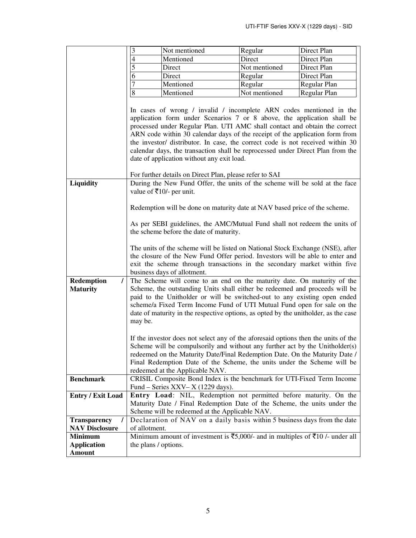|                          | 3                                                                                                         | Not mentioned                                                                                                        | Regular       | Direct Plan                                                             |  |  |
|--------------------------|-----------------------------------------------------------------------------------------------------------|----------------------------------------------------------------------------------------------------------------------|---------------|-------------------------------------------------------------------------|--|--|
|                          | $\overline{\mathcal{L}}$                                                                                  | Mentioned                                                                                                            | Direct        | Direct Plan                                                             |  |  |
|                          | 5                                                                                                         | Direct                                                                                                               | Not mentioned | Direct Plan                                                             |  |  |
|                          | 6                                                                                                         | Direct                                                                                                               | Regular       | Direct Plan                                                             |  |  |
|                          | $\overline{7}$                                                                                            | Mentioned                                                                                                            | Regular       | Regular Plan                                                            |  |  |
|                          | $\overline{8}$                                                                                            | Mentioned                                                                                                            | Not mentioned | Regular Plan                                                            |  |  |
|                          |                                                                                                           |                                                                                                                      |               |                                                                         |  |  |
|                          | In cases of wrong / invalid / incomplete ARN codes mentioned in the                                       |                                                                                                                      |               |                                                                         |  |  |
|                          |                                                                                                           |                                                                                                                      |               | application form under Scenarios 7 or 8 above, the application shall be |  |  |
|                          | processed under Regular Plan. UTI AMC shall contact and obtain the correct                                |                                                                                                                      |               |                                                                         |  |  |
|                          | ARN code within 30 calendar days of the receipt of the application form from                              |                                                                                                                      |               |                                                                         |  |  |
|                          | the investor/ distributor. In case, the correct code is not received within 30                            |                                                                                                                      |               |                                                                         |  |  |
|                          |                                                                                                           | calendar days, the transaction shall be reprocessed under Direct Plan from the                                       |               |                                                                         |  |  |
|                          |                                                                                                           | date of application without any exit load.                                                                           |               |                                                                         |  |  |
|                          |                                                                                                           |                                                                                                                      |               |                                                                         |  |  |
|                          |                                                                                                           | For further details on Direct Plan, please refer to SAI                                                              |               |                                                                         |  |  |
| Liquidity                |                                                                                                           | During the New Fund Offer, the units of the scheme will be sold at the face                                          |               |                                                                         |  |  |
|                          |                                                                                                           | value of ₹10/- per unit.                                                                                             |               |                                                                         |  |  |
|                          |                                                                                                           | Redemption will be done on maturity date at NAV based price of the scheme.                                           |               |                                                                         |  |  |
|                          |                                                                                                           |                                                                                                                      |               |                                                                         |  |  |
|                          |                                                                                                           |                                                                                                                      |               |                                                                         |  |  |
|                          |                                                                                                           | As per SEBI guidelines, the AMC/Mutual Fund shall not redeem the units of<br>the scheme before the date of maturity. |               |                                                                         |  |  |
|                          |                                                                                                           |                                                                                                                      |               |                                                                         |  |  |
|                          |                                                                                                           | The units of the scheme will be listed on National Stock Exchange (NSE), after                                       |               |                                                                         |  |  |
|                          |                                                                                                           | the closure of the New Fund Offer period. Investors will be able to enter and                                        |               |                                                                         |  |  |
|                          |                                                                                                           | exit the scheme through transactions in the secondary market within five                                             |               |                                                                         |  |  |
|                          |                                                                                                           | business days of allotment.                                                                                          |               |                                                                         |  |  |
| Redemption<br>7          |                                                                                                           | The Scheme will come to an end on the maturity date. On maturity of the                                              |               |                                                                         |  |  |
| <b>Maturity</b>          |                                                                                                           | Scheme, the outstanding Units shall either be redeemed and proceeds will be                                          |               |                                                                         |  |  |
|                          |                                                                                                           | paid to the Unitholder or will be switched-out to any existing open ended                                            |               |                                                                         |  |  |
|                          |                                                                                                           | scheme/a Fixed Term Income Fund of UTI Mutual Fund open for sale on the                                              |               |                                                                         |  |  |
|                          |                                                                                                           | date of maturity in the respective options, as opted by the unitholder, as the case                                  |               |                                                                         |  |  |
|                          | may be.                                                                                                   |                                                                                                                      |               |                                                                         |  |  |
|                          |                                                                                                           |                                                                                                                      |               |                                                                         |  |  |
|                          |                                                                                                           | If the investor does not select any of the aforesaid options then the units of the                                   |               |                                                                         |  |  |
|                          |                                                                                                           | Scheme will be compulsorily and without any further act by the Unitholder(s)                                         |               |                                                                         |  |  |
|                          |                                                                                                           | redeemed on the Maturity Date/Final Redemption Date. On the Maturity Date /                                          |               |                                                                         |  |  |
|                          | Final Redemption Date of the Scheme, the units under the Scheme will be                                   |                                                                                                                      |               |                                                                         |  |  |
| <b>Benchmark</b>         | redeemed at the Applicable NAV.<br>CRISIL Composite Bond Index is the benchmark for UTI-Fixed Term Income |                                                                                                                      |               |                                                                         |  |  |
|                          |                                                                                                           | Fund – Series XXV– $X$ (1229 days).                                                                                  |               |                                                                         |  |  |
| <b>Entry / Exit Load</b> |                                                                                                           | Entry Load: NIL, Redemption not permitted before maturity. On the                                                    |               |                                                                         |  |  |
|                          |                                                                                                           | Maturity Date / Final Redemption Date of the Scheme, the units under the                                             |               |                                                                         |  |  |
|                          |                                                                                                           | Scheme will be redeemed at the Applicable NAV.                                                                       |               |                                                                         |  |  |
| <b>Transparency</b><br>7 |                                                                                                           | Declaration of NAV on a daily basis within 5 business days from the date                                             |               |                                                                         |  |  |
| <b>NAV Disclosure</b>    | of allotment.                                                                                             |                                                                                                                      |               |                                                                         |  |  |
| <b>Minimum</b>           | Minimum amount of investment is $\overline{5}5,000/4$ and in multiples of $\overline{5}10/4$ under all    |                                                                                                                      |               |                                                                         |  |  |
| <b>Application</b>       | the plans / options.                                                                                      |                                                                                                                      |               |                                                                         |  |  |
| <b>Amount</b>            |                                                                                                           |                                                                                                                      |               |                                                                         |  |  |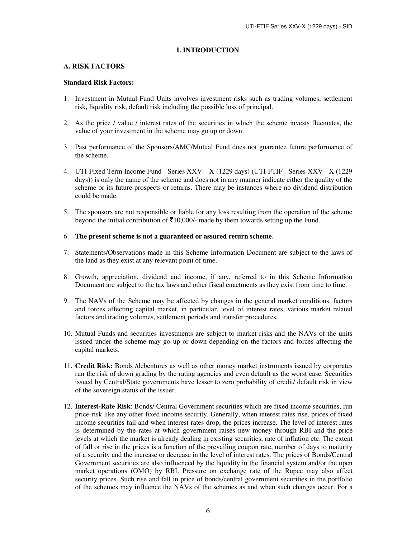### **I. INTRODUCTION**

#### **A. RISK FACTORS**

### **Standard Risk Factors:**

- 1. Investment in Mutual Fund Units involves investment risks such as trading volumes, settlement risk, liquidity risk, default risk including the possible loss of principal.
- 2. As the price / value / interest rates of the securities in which the scheme invests fluctuates, the value of your investment in the scheme may go up or down.
- 3. Past performance of the Sponsors/AMC/Mutual Fund does not guarantee future performance of the scheme.
- 4. UTI-Fixed Term Income Fund Series XXV X (1229 days) (UTI-FTIF Series XXV X (1229 days)) is only the name of the scheme and does not in any manner indicate either the quality of the scheme or its future prospects or returns. There may be instances where no dividend distribution could be made.
- 5. The sponsors are not responsible or liable for any loss resulting from the operation of the scheme beyond the initial contribution of  $\bar{\tau}10,000/$ - made by them towards setting up the Fund.

### 6. **The present scheme is not a guaranteed or assured return scheme***.*

- 7. Statements/Observations made in this Scheme Information Document are subject to the laws of the land as they exist at any relevant point of time.
- 8. Growth, appreciation, dividend and income, if any, referred to in this Scheme Information Document are subject to the tax laws and other fiscal enactments as they exist from time to time.
- 9. The NAVs of the Scheme may be affected by changes in the general market conditions, factors and forces affecting capital market, in particular, level of interest rates, various market related factors and trading volumes, settlement periods and transfer procedures.
- 10. Mutual Funds and securities investments are subject to market risks and the NAVs of the units issued under the scheme may go up or down depending on the factors and forces affecting the capital markets.
- 11. **Credit Risk:** Bonds /debentures as well as other money market instruments issued by corporates run the risk of down grading by the rating agencies and even default as the worst case. Securities issued by Central/State governments have lesser to zero probability of credit/ default risk in view of the sovereign status of the issuer.
- 12. **Interest-Rate Risk**: Bonds/ Central Government securities which are fixed income securities, run price-risk like any other fixed income security. Generally, when interest rates rise, prices of fixed income securities fall and when interest rates drop, the prices increase. The level of interest rates is determined by the rates at which government raises new money through RBI and the price levels at which the market is already dealing in existing securities, rate of inflation etc. The extent of fall or rise in the prices is a function of the prevailing coupon rate, number of days to maturity of a security and the increase or decrease in the level of interest rates. The prices of Bonds/Central Government securities are also influenced by the liquidity in the financial system and/or the open market operations (OMO) by RBI. Pressure on exchange rate of the Rupee may also affect security prices. Such rise and fall in price of bonds/central government securities in the portfolio of the schemes may influence the NAVs of the schemes as and when such changes occur. For a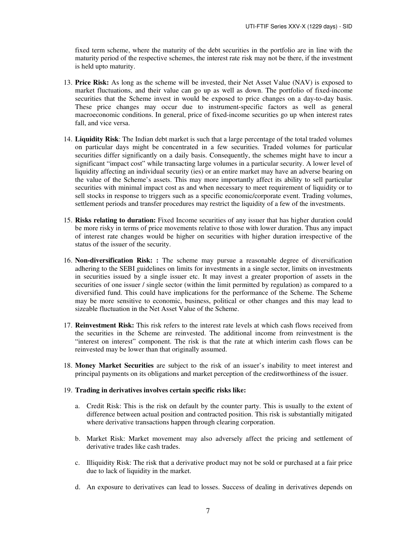fixed term scheme, where the maturity of the debt securities in the portfolio are in line with the maturity period of the respective schemes, the interest rate risk may not be there, if the investment is held upto maturity.

- 13. **Price Risk:** As long as the scheme will be invested, their Net Asset Value (NAV) is exposed to market fluctuations, and their value can go up as well as down. The portfolio of fixed-income securities that the Scheme invest in would be exposed to price changes on a day-to-day basis. These price changes may occur due to instrument-specific factors as well as general macroeconomic conditions. In general, price of fixed-income securities go up when interest rates fall, and vice versa.
- 14. **Liquidity Risk**: The Indian debt market is such that a large percentage of the total traded volumes on particular days might be concentrated in a few securities. Traded volumes for particular securities differ significantly on a daily basis. Consequently, the schemes might have to incur a significant "impact cost" while transacting large volumes in a particular security. A lower level of liquidity affecting an individual security (ies) or an entire market may have an adverse bearing on the value of the Scheme's assets. This may more importantly affect its ability to sell particular securities with minimal impact cost as and when necessary to meet requirement of liquidity or to sell stocks in response to triggers such as a specific economic/corporate event. Trading volumes, settlement periods and transfer procedures may restrict the liquidity of a few of the investments.
- 15. **Risks relating to duration:** Fixed Income securities of any issuer that has higher duration could be more risky in terms of price movements relative to those with lower duration. Thus any impact of interest rate changes would be higher on securities with higher duration irrespective of the status of the issuer of the security.
- 16. **Non-diversification Risk: :** The scheme may pursue a reasonable degree of diversification adhering to the SEBI guidelines on limits for investments in a single sector, limits on investments in securities issued by a single issuer etc. It may invest a greater proportion of assets in the securities of one issuer / single sector (within the limit permitted by regulation) as compared to a diversified fund. This could have implications for the performance of the Scheme. The Scheme may be more sensitive to economic, business, political or other changes and this may lead to sizeable fluctuation in the Net Asset Value of the Scheme.
- 17. **Reinvestment Risk:** This risk refers to the interest rate levels at which cash flows received from the securities in the Scheme are reinvested. The additional income from reinvestment is the "interest on interest" component. The risk is that the rate at which interim cash flows can be reinvested may be lower than that originally assumed.
- 18. **Money Market Securities** are subject to the risk of an issuer's inability to meet interest and principal payments on its obligations and market perception of the creditworthiness of the issuer.

#### 19. **Trading in derivatives involves certain specific risks like:**

- a. Credit Risk: This is the risk on default by the counter party. This is usually to the extent of difference between actual position and contracted position. This risk is substantially mitigated where derivative transactions happen through clearing corporation.
- b. Market Risk: Market movement may also adversely affect the pricing and settlement of derivative trades like cash trades.
- c. Illiquidity Risk: The risk that a derivative product may not be sold or purchased at a fair price due to lack of liquidity in the market.
- d. An exposure to derivatives can lead to losses. Success of dealing in derivatives depends on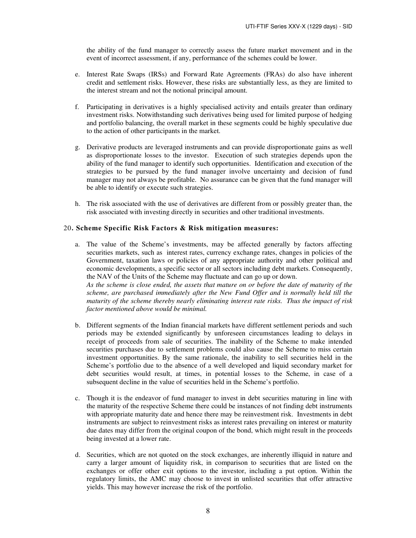the ability of the fund manager to correctly assess the future market movement and in the event of incorrect assessment, if any, performance of the schemes could be lower.

- e. Interest Rate Swaps (IRSs) and Forward Rate Agreements (FRAs) do also have inherent credit and settlement risks. However, these risks are substantially less, as they are limited to the interest stream and not the notional principal amount.
- f. Participating in derivatives is a highly specialised activity and entails greater than ordinary investment risks. Notwithstanding such derivatives being used for limited purpose of hedging and portfolio balancing, the overall market in these segments could be highly speculative due to the action of other participants in the market.
- g. Derivative products are leveraged instruments and can provide disproportionate gains as well as disproportionate losses to the investor. Execution of such strategies depends upon the ability of the fund manager to identify such opportunities. Identification and execution of the strategies to be pursued by the fund manager involve uncertainty and decision of fund manager may not always be profitable. No assurance can be given that the fund manager will be able to identify or execute such strategies.
- h. The risk associated with the use of derivatives are different from or possibly greater than, the risk associated with investing directly in securities and other traditional investments.

### 20**. Scheme Specific Risk Factors & Risk mitigation measures:**

a. The value of the Scheme's investments, may be affected generally by factors affecting securities markets, such as interest rates, currency exchange rates, changes in policies of the Government, taxation laws or policies of any appropriate authority and other political and economic developments, a specific sector or all sectors including debt markets. Consequently, the NAV of the Units of the Scheme may fluctuate and can go up or down. *As the scheme is close ended, the assets that mature on or before the date of maturity of the scheme, are purchased immediately after the New Fund Offer and is normally held till the* 

*maturity of the scheme thereby nearly eliminating interest rate risks. Thus the impact of risk factor mentioned above would be minimal.* 

- b. Different segments of the Indian financial markets have different settlement periods and such periods may be extended significantly by unforeseen circumstances leading to delays in receipt of proceeds from sale of securities. The inability of the Scheme to make intended securities purchases due to settlement problems could also cause the Scheme to miss certain investment opportunities. By the same rationale, the inability to sell securities held in the Scheme's portfolio due to the absence of a well developed and liquid secondary market for debt securities would result, at times, in potential losses to the Scheme, in case of a subsequent decline in the value of securities held in the Scheme's portfolio.
- c. Though it is the endeavor of fund manager to invest in debt securities maturing in line with the maturity of the respective Scheme there could be instances of not finding debt instruments with appropriate maturity date and hence there may be reinvestment risk. Investments in debt instruments are subject to reinvestment risks as interest rates prevailing on interest or maturity due dates may differ from the original coupon of the bond, which might result in the proceeds being invested at a lower rate.
- d. Securities, which are not quoted on the stock exchanges, are inherently illiquid in nature and carry a larger amount of liquidity risk, in comparison to securities that are listed on the exchanges or offer other exit options to the investor, including a put option. Within the regulatory limits, the AMC may choose to invest in unlisted securities that offer attractive yields. This may however increase the risk of the portfolio.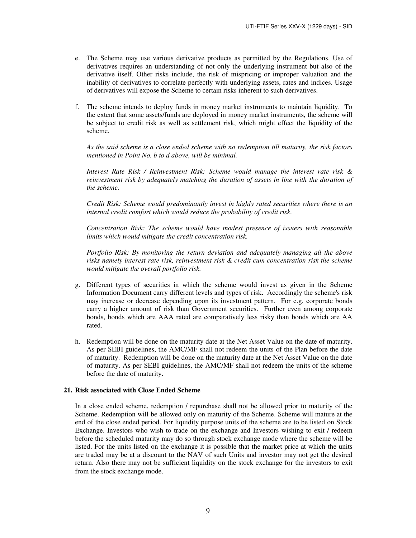- e. The Scheme may use various derivative products as permitted by the Regulations. Use of derivatives requires an understanding of not only the underlying instrument but also of the derivative itself. Other risks include, the risk of mispricing or improper valuation and the inability of derivatives to correlate perfectly with underlying assets, rates and indices. Usage of derivatives will expose the Scheme to certain risks inherent to such derivatives.
- f. The scheme intends to deploy funds in money market instruments to maintain liquidity. To the extent that some assets/funds are deployed in money market instruments, the scheme will be subject to credit risk as well as settlement risk, which might effect the liquidity of the scheme.

*As the said scheme is a close ended scheme with no redemption till maturity, the risk factors mentioned in Point No. b to d above, will be minimal.* 

 *Interest Rate Risk / Reinvestment Risk: Scheme would manage the interest rate risk & reinvestment risk by adequately matching the duration of assets in line with the duration of the scheme.* 

 *Credit Risk: Scheme would predominantly invest in highly rated securities where there is an internal credit comfort which would reduce the probability of credit risk.* 

 *Concentration Risk: The scheme would have modest presence of issuers with reasonable limits which would mitigate the credit concentration risk.* 

 *Portfolio Risk: By monitoring the return deviation and adequately managing all the above risks namely interest rate risk, reinvestment risk & credit cum concentration risk the scheme would mitigate the overall portfolio risk.* 

- g. Different types of securities in which the scheme would invest as given in the Scheme Information Document carry different levels and types of risk. Accordingly the scheme's risk may increase or decrease depending upon its investment pattern. For e.g. corporate bonds carry a higher amount of risk than Government securities. Further even among corporate bonds, bonds which are AAA rated are comparatively less risky than bonds which are AA rated.
- h. Redemption will be done on the maturity date at the Net Asset Value on the date of maturity. As per SEBI guidelines, the AMC/MF shall not redeem the units of the Plan before the date of maturity. Redemption will be done on the maturity date at the Net Asset Value on the date of maturity. As per SEBI guidelines, the AMC/MF shall not redeem the units of the scheme before the date of maturity.

### **21. Risk associated with Close Ended Scheme**

In a close ended scheme, redemption / repurchase shall not be allowed prior to maturity of the Scheme. Redemption will be allowed only on maturity of the Scheme. Scheme will mature at the end of the close ended period. For liquidity purpose units of the scheme are to be listed on Stock Exchange. Investors who wish to trade on the exchange and Investors wishing to exit / redeem before the scheduled maturity may do so through stock exchange mode where the scheme will be listed. For the units listed on the exchange it is possible that the market price at which the units are traded may be at a discount to the NAV of such Units and investor may not get the desired return. Also there may not be sufficient liquidity on the stock exchange for the investors to exit from the stock exchange mode.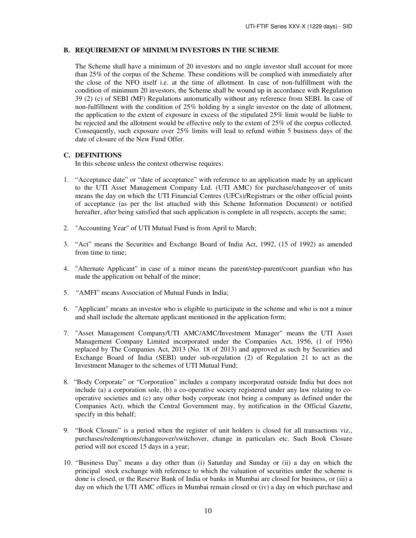### **B. REQUIREMENT OF MINIMUM INVESTORS IN THE SCHEME**

The Scheme shall have a minimum of 20 investors and no single investor shall account for more than 25% of the corpus of the Scheme. These conditions will be complied with immediately after the close of the NFO itself i.e. at the time of allotment. In case of non-fulfillment with the condition of minimum 20 investors, the Scheme shall be wound up in accordance with Regulation 39 (2) (c) of SEBI (MF) Regulations automatically without any reference from SEBI. In case of non-fulfillment with the condition of 25% holding by a single investor on the date of allotment, the application to the extent of exposure in excess of the stipulated 25% limit would be liable to be rejected and the allotment would be effective only to the extent of 25% of the corpus collected. Consequently, such exposure over 25% limits will lead to refund within 5 business days of the date of closure of the New Fund Offer.

### **C. DEFINITIONS**

In this scheme unless the context otherwise requires:

- 1. "Acceptance date" or "date of acceptance" with reference to an application made by an applicant to the UTI Asset Management Company Ltd. (UTI AMC) for purchase/changeover of units means the day on which the UTI Financial Centres (UFCs)/Registrars or the other official points of acceptance (as per the list attached with this Scheme Information Document) or notified hereafter, after being satisfied that such application is complete in all respects, accepts the same;
- 2. "Accounting Year" of UTI Mutual Fund is from April to March;
- 3. "Act" means the Securities and Exchange Board of India Act, 1992, (15 of 1992) as amended from time to time;
- 4. "Alternate Applicant" in case of a minor means the parent/step-parent/court guardian who has made the application on behalf of the minor;
- 5. "AMFI" means Association of Mutual Funds in India;
- 6. "Applicant" means an investor who is eligible to participate in the scheme and who is not a minor and shall include the alternate applicant mentioned in the application form;
- 7. "Asset Management Company/UTI AMC/AMC/Investment Manager" means the UTI Asset Management Company Limited incorporated under the Companies Act, 1956, (1 of 1956) replaced by The Companies Act, 2013 (No. 18 of 2013) and approved as such by Securities and Exchange Board of India (SEBI) under sub-regulation (2) of Regulation 21 to act as the Investment Manager to the schemes of UTI Mutual Fund;
- 8. "Body Corporate" or "Corporation" includes a company incorporated outside India but does not include (a) a corporation sole, (b) a co-operative society registered under any law relating to cooperative societies and (c) any other body corporate (not being a company as defined under the Companies Act), which the Central Government may, by notification in the Official Gazette, specify in this behalf;
- 9. "Book Closure" is a period when the register of unit holders is closed for all transactions viz., purchases/redemptions/changeover/switchover, change in particulars etc. Such Book Closure period will not exceed 15 days in a year;
- 10. "Business Day" means a day other than (i) Saturday and Sunday or (ii) a day on which the principal stock exchange with reference to which the valuation of securities under the scheme is done is closed, or the Reserve Bank of India or banks in Mumbai are closed for business, or (iii) a day on which the UTI AMC offices in Mumbai remain closed or (iv) a day on which purchase and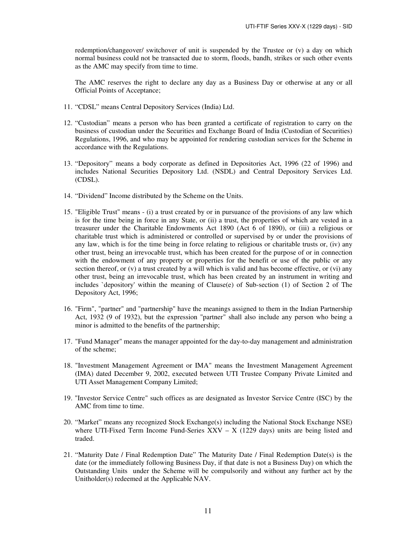redemption/changeover/ switchover of unit is suspended by the Trustee or (v) a day on which normal business could not be transacted due to storm, floods, bandh, strikes or such other events as the AMC may specify from time to time.

The AMC reserves the right to declare any day as a Business Day or otherwise at any or all Official Points of Acceptance;

- 11. "CDSL" means Central Depository Services (India) Ltd.
- 12. "Custodian" means a person who has been granted a certificate of registration to carry on the business of custodian under the Securities and Exchange Board of India (Custodian of Securities) Regulations, 1996, and who may be appointed for rendering custodian services for the Scheme in accordance with the Regulations.
- 13. "Depository" means a body corporate as defined in Depositories Act, 1996 (22 of 1996) and includes National Securities Depository Ltd. (NSDL) and Central Depository Services Ltd. (CDSL).
- 14. "Dividend" Income distributed by the Scheme on the Units.
- 15. "Eligible Trust" means (i) a trust created by or in pursuance of the provisions of any law which is for the time being in force in any State, or (ii) a trust, the properties of which are vested in a treasurer under the Charitable Endowments Act 1890 (Act 6 of 1890), or (iii) a religious or charitable trust which is administered or controlled or supervised by or under the provisions of any law, which is for the time being in force relating to religious or charitable trusts or, (iv) any other trust, being an irrevocable trust, which has been created for the purpose of or in connection with the endowment of any property or properties for the benefit or use of the public or any section thereof, or (v) a trust created by a will which is valid and has become effective, or (vi) any other trust, being an irrevocable trust, which has been created by an instrument in writing and includes `depository' within the meaning of Clause(e) of Sub-section (1) of Section 2 of The Depository Act, 1996;
- 16. "Firm", "partner" and "partnership" have the meanings assigned to them in the Indian Partnership Act, 1932 (9 of 1932), but the expression "partner" shall also include any person who being a minor is admitted to the benefits of the partnership;
- 17. "Fund Manager" means the manager appointed for the day-to-day management and administration of the scheme;
- 18. "Investment Management Agreement or IMA" means the Investment Management Agreement (IMA) dated December 9, 2002, executed between UTI Trustee Company Private Limited and UTI Asset Management Company Limited;
- 19. "Investor Service Centre" such offices as are designated as Investor Service Centre (ISC) by the AMC from time to time.
- 20. "Market" means any recognized Stock Exchange(s) including the National Stock Exchange NSE) where UTI-Fixed Term Income Fund-Series  $\overline{XXV} - \overline{X}$  (1229 days) units are being listed and traded.
- 21. "Maturity Date / Final Redemption Date" The Maturity Date / Final Redemption Date(s) is the date (or the immediately following Business Day, if that date is not a Business Day) on which the Outstanding Units under the Scheme will be compulsorily and without any further act by the Unitholder(s) redeemed at the Applicable NAV.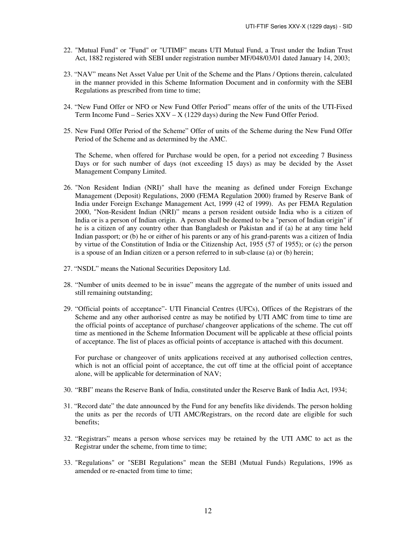- 22. "Mutual Fund" or "Fund" or "UTIMF" means UTI Mutual Fund, a Trust under the Indian Trust Act, 1882 registered with SEBI under registration number MF/048/03/01 dated January 14, 2003;
- 23. "NAV" means Net Asset Value per Unit of the Scheme and the Plans / Options therein, calculated in the manner provided in this Scheme Information Document and in conformity with the SEBI Regulations as prescribed from time to time;
- 24. "New Fund Offer or NFO or New Fund Offer Period" means offer of the units of the UTI-Fixed Term Income Fund – Series  $XXV - X$  (1229 days) during the New Fund Offer Period.
- 25. New Fund Offer Period of the Scheme" Offer of units of the Scheme during the New Fund Offer Period of the Scheme and as determined by the AMC.

The Scheme, when offered for Purchase would be open, for a period not exceeding 7 Business Days or for such number of days (not exceeding 15 days) as may be decided by the Asset Management Company Limited.

- 26. "Non Resident Indian (NRI)" shall have the meaning as defined under Foreign Exchange Management (Deposit) Regulations, 2000 (FEMA Regulation 2000) framed by Reserve Bank of India under Foreign Exchange Management Act, 1999 (42 of 1999). As per FEMA Regulation 2000, "Non-Resident Indian (NRI)" means a person resident outside India who is a citizen of India or is a person of Indian origin. A person shall be deemed to be a "person of Indian origin" if he is a citizen of any country other than Bangladesh or Pakistan and if (a) he at any time held Indian passport; or (b) he or either of his parents or any of his grand-parents was a citizen of India by virtue of the Constitution of India or the Citizenship Act, 1955 (57 of 1955); or (c) the person is a spouse of an Indian citizen or a person referred to in sub-clause (a) or (b) herein;
- 27. "NSDL" means the National Securities Depository Ltd.
- 28. "Number of units deemed to be in issue" means the aggregate of the number of units issued and still remaining outstanding;
- 29. "Official points of acceptance"- UTI Financial Centres (UFCs), Offices of the Registrars of the Scheme and any other authorised centre as may be notified by UTI AMC from time to time are the official points of acceptance of purchase/ changeover applications of the scheme. The cut off time as mentioned in the Scheme Information Document will be applicable at these official points of acceptance. The list of places as official points of acceptance is attached with this document.

For purchase or changeover of units applications received at any authorised collection centres, which is not an official point of acceptance, the cut off time at the official point of acceptance alone, will be applicable for determination of NAV;

- 30. "RBI" means the Reserve Bank of India, constituted under the Reserve Bank of India Act, 1934;
- 31. "Record date" the date announced by the Fund for any benefits like dividends. The person holding the units as per the records of UTI AMC/Registrars, on the record date are eligible for such benefits;
- 32. "Registrars" means a person whose services may be retained by the UTI AMC to act as the Registrar under the scheme, from time to time;
- 33. "Regulations" or "SEBI Regulations" mean the SEBI (Mutual Funds) Regulations, 1996 as amended or re-enacted from time to time;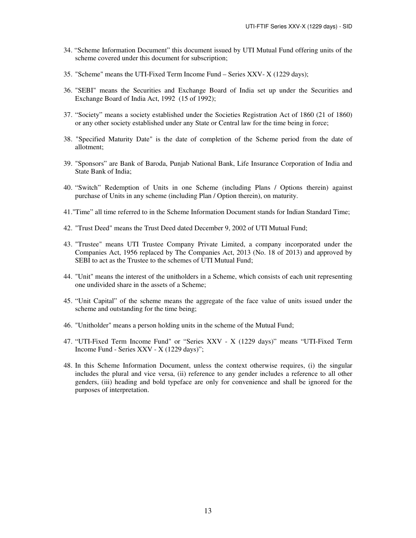- 34. "Scheme Information Document" this document issued by UTI Mutual Fund offering units of the scheme covered under this document for subscription;
- 35. "Scheme" means the UTI-Fixed Term Income Fund Series XXV- X (1229 days);
- 36. "SEBI" means the Securities and Exchange Board of India set up under the Securities and Exchange Board of India Act, 1992 (15 of 1992);
- 37. "Society" means a society established under the Societies Registration Act of 1860 (21 of 1860) or any other society established under any State or Central law for the time being in force;
- 38. "Specified Maturity Date" is the date of completion of the Scheme period from the date of allotment;
- 39. "Sponsors" are Bank of Baroda, Punjab National Bank, Life Insurance Corporation of India and State Bank of India;
- 40. "Switch" Redemption of Units in one Scheme (including Plans / Options therein) against purchase of Units in any scheme (including Plan / Option therein), on maturity.
- 41."Time" all time referred to in the Scheme Information Document stands for Indian Standard Time;
- 42. "Trust Deed" means the Trust Deed dated December 9, 2002 of UTI Mutual Fund;
- 43. "Trustee" means UTI Trustee Company Private Limited, a company incorporated under the Companies Act, 1956 replaced by The Companies Act, 2013 (No. 18 of 2013) and approved by SEBI to act as the Trustee to the schemes of UTI Mutual Fund;
- 44. "Unit" means the interest of the unitholders in a Scheme, which consists of each unit representing one undivided share in the assets of a Scheme;
- 45. "Unit Capital" of the scheme means the aggregate of the face value of units issued under the scheme and outstanding for the time being;
- 46. "Unitholder" means a person holding units in the scheme of the Mutual Fund;
- 47. "UTI-Fixed Term Income Fund" or "Series XXV X (1229 days)" means "UTI-Fixed Term Income Fund - Series XXV - X (1229 days)";
- 48. In this Scheme Information Document, unless the context otherwise requires, (i) the singular includes the plural and vice versa, (ii) reference to any gender includes a reference to all other genders, (iii) heading and bold typeface are only for convenience and shall be ignored for the purposes of interpretation.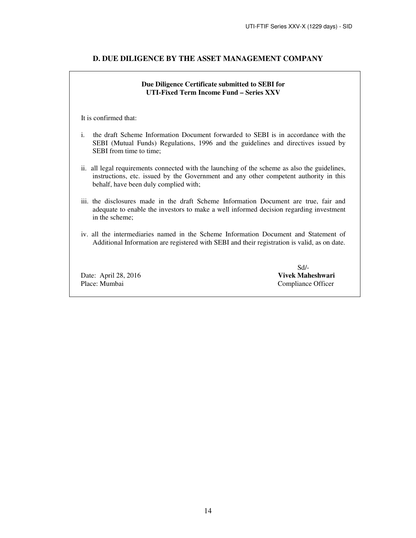### **D. DUE DILIGENCE BY THE ASSET MANAGEMENT COMPANY**

## **Due Diligence Certificate submitted to SEBI for UTI-Fixed Term Income Fund – Series XXV**

It is confirmed that:

- i. the draft Scheme Information Document forwarded to SEBI is in accordance with the SEBI (Mutual Funds) Regulations, 1996 and the guidelines and directives issued by SEBI from time to time;
- ii. all legal requirements connected with the launching of the scheme as also the guidelines, instructions, etc. issued by the Government and any other competent authority in this behalf, have been duly complied with;
- iii. the disclosures made in the draft Scheme Information Document are true, fair and adequate to enable the investors to make a well informed decision regarding investment in the scheme;
- iv. all the intermediaries named in the Scheme Information Document and Statement of Additional Information are registered with SEBI and their registration is valid, as on date.

Place: Mumbai Compliance Officer

 Sd/- Date: April 28, 2016 **Vivek Maheshwari**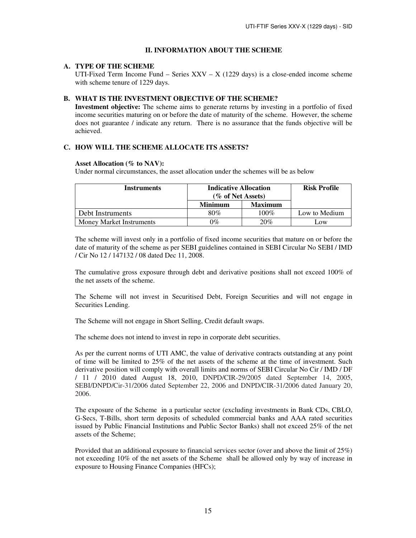## **II. INFORMATION ABOUT THE SCHEME**

### **A. TYPE OF THE SCHEME**

UTI-Fixed Term Income Fund – Series  $XXV - X$  (1229 days) is a close-ended income scheme with scheme tenure of 1229 days.

# **B. WHAT IS THE INVESTMENT OBJECTIVE OF THE SCHEME?**

**Investment objective:** The scheme aims to generate returns by investing in a portfolio of fixed income securities maturing on or before the date of maturity of the scheme. However, the scheme does not guarantee / indicate any return. There is no assurance that the funds objective will be achieved.

# **C. HOW WILL THE SCHEME ALLOCATE ITS ASSETS?**

### **Asset Allocation (% to NAV):**

Under normal circumstances, the asset allocation under the schemes will be as below

| <b>Instruments</b>              | <b>Indicative Allocation</b><br>(% of Net Assets) |                | <b>Risk Profile</b> |
|---------------------------------|---------------------------------------------------|----------------|---------------------|
|                                 | <b>Minimum</b>                                    | <b>Maximum</b> |                     |
| Debt Instruments                | 80%                                               | $100\%$        | Low to Medium       |
| <b>Money Market Instruments</b> | $9\%$                                             | 20%            | Low                 |

 The scheme will invest only in a portfolio of fixed income securities that mature on or before the date of maturity of the scheme as per SEBI guidelines contained in SEBI Circular No SEBI / IMD / Cir No 12 / 147132 / 08 dated Dec 11, 2008.

The cumulative gross exposure through debt and derivative positions shall not exceed 100% of the net assets of the scheme.

The Scheme will not invest in Securitised Debt, Foreign Securities and will not engage in Securities Lending.

The Scheme will not engage in Short Selling, Credit default swaps.

The scheme does not intend to invest in repo in corporate debt securities.

As per the current norms of UTI AMC, the value of derivative contracts outstanding at any point of time will be limited to 25% of the net assets of the scheme at the time of investment. Such derivative position will comply with overall limits and norms of SEBI Circular No Cir / IMD / DF / 11 / 2010 dated August 18, 2010, DNPD/CIR-29/2005 dated September 14, 2005, SEBI/DNPD/Cir-31/2006 dated September 22, 2006 and DNPD/CIR-31/2006 dated January 20, 2006.

The exposure of the Scheme in a particular sector (excluding investments in Bank CDs, CBLO, G-Secs, T-Bills, short term deposits of scheduled commercial banks and AAA rated securities issued by Public Financial Institutions and Public Sector Banks) shall not exceed 25% of the net assets of the Scheme;

Provided that an additional exposure to financial services sector (over and above the limit of 25%) not exceeding 10% of the net assets of the Scheme shall be allowed only by way of increase in exposure to Housing Finance Companies (HFCs);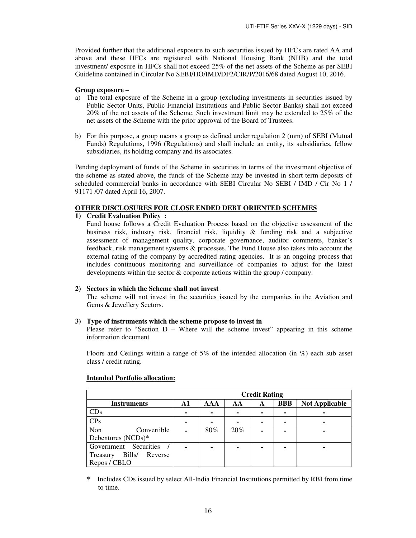Provided further that the additional exposure to such securities issued by HFCs are rated AA and above and these HFCs are registered with National Housing Bank (NHB) and the total investment/ exposure in HFCs shall not exceed 25% of the net assets of the Scheme as per SEBI Guideline contained in Circular No SEBI/HO/IMD/DF2/CIR/P/2016/68 dated August 10, 2016.

### **Group exposure** –

- a) The total exposure of the Scheme in a group (excluding investments in securities issued by Public Sector Units, Public Financial Institutions and Public Sector Banks) shall not exceed 20% of the net assets of the Scheme. Such investment limit may be extended to 25% of the net assets of the Scheme with the prior approval of the Board of Trustees.
- b) For this purpose, a group means a group as defined under regulation 2 (mm) of SEBI (Mutual Funds) Regulations, 1996 (Regulations) and shall include an entity, its subsidiaries, fellow subsidiaries, its holding company and its associates.

Pending deployment of funds of the Scheme in securities in terms of the investment objective of the scheme as stated above, the funds of the Scheme may be invested in short term deposits of scheduled commercial banks in accordance with SEBI Circular No SEBI / IMD / Cir No 1 / 91171 /07 dated April 16, 2007.

#### **OTHER DISCLOSURES FOR CLOSE ENDED DEBT ORIENTED SCHEMES**

#### **1) Credit Evaluation Policy :**

Fund house follows a Credit Evaluation Process based on the objective assessment of the business risk, industry risk, financial risk, liquidity  $\&$  funding risk and a subjective assessment of management quality, corporate governance, auditor comments, banker's feedback, risk management systems & processes. The Fund House also takes into account the external rating of the company by accredited rating agencies. It is an ongoing process that includes continuous monitoring and surveillance of companies to adjust for the latest developments within the sector & corporate actions within the group / company.

### **2) Sectors in which the Scheme shall not invest**

The scheme will not invest in the securities issued by the companies in the Aviation and Gems & Jewellery Sectors.

#### **3) Type of instruments which the scheme propose to invest in**

Please refer to "Section  $D -$  Where will the scheme invest" appearing in this scheme information document

Floors and Ceilings within a range of 5% of the intended allocation (in %) each sub asset class / credit rating.

|                               |    |     |     | <b>Credit Rating</b> |            |                       |
|-------------------------------|----|-----|-----|----------------------|------------|-----------------------|
| <b>Instruments</b>            | A1 | AAA | AA  | A                    | <b>BBB</b> | <b>Not Applicable</b> |
| CDs                           |    |     | -   | ۰                    |            |                       |
| CPs                           |    |     | ۰   | ۰                    |            |                       |
| Non<br>Convertible            |    | 80% | 20% |                      |            |                       |
| Debentures (NCDs)*            |    |     |     |                      |            |                       |
| Government Securities         |    |     | -   |                      |            |                       |
| Bills/<br>Reverse<br>Treasury |    |     |     |                      |            |                       |
| Repos / CBLO                  |    |     |     |                      |            |                       |

#### **Intended Portfolio allocation:**

\* Includes CDs issued by select All-India Financial Institutions permitted by RBI from time to time.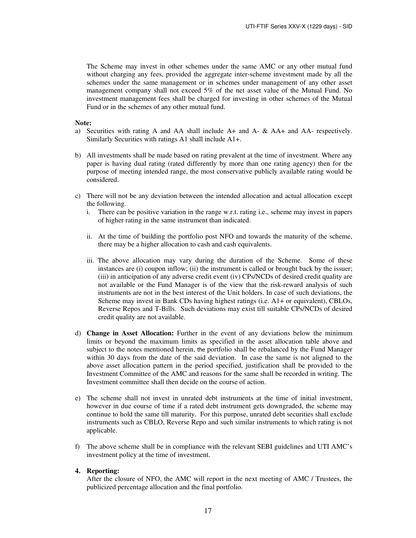The Scheme may invest in other schemes under the same AMC or any other mutual fund without charging any fees, provided the aggregate inter-scheme investment made by all the schemes under the same management or in schemes under management of any other asset management company shall not exceed 5% of the net asset value of the Mutual Fund. No investment management fees shall be charged for investing in other schemes of the Mutual Fund or in the schemes of any other mutual fund.

**Note:** 

- a)Securities with rating A and AA shall include A+ and A- & AA+ and AA- respectively. Similarly Securities with ratings A1 shall include A1+.
- b) All investments shall be made based on rating prevalent at the time of investment. Where any paper is having dual rating (rated differently by more than one rating agency) then for the purpose of meeting intended range, the most conservative publicly available rating would be considered.
- c) There will not be any deviation between the intended allocation and actual allocation except the following.
	- i. There can be positive variation in the range w.r.t. rating i.e., scheme may invest in papers of higher rating in the same instrument than indicated.
	- ii. At the time of building the portfolio post NFO and towards the maturity of the scheme, there may be a higher allocation to cash and cash equivalents.
	- iii. The above allocation may vary during the duration of the Scheme. Some of these instances are (i) coupon inflow; (ii) the instrument is called or brought back by the issuer; (iii) in anticipation of any adverse credit event (iv) CPs/NCDs of desired credit quality are not available or the Fund Manager is of the view that the risk-reward analysis of such instruments are not in the best interest of the Unit holders. In case of such deviations, the Scheme may invest in Bank CDs having highest ratings (i.e. A1+ or equivalent), CBLOs, Reverse Repos and T-Bills. Such deviations may exist till suitable CPs/NCDs of desired credit quality are not available.
- d) **Change in Asset Allocation:** Further in the event of any deviations below the minimum limits or beyond the maximum limits as specified in the asset allocation table above and subject to the notes mentioned herein, the portfolio shall be rebalanced by the Fund Manager within 30 days from the date of the said deviation. In case the same is not aligned to the above asset allocation pattern in the period specified, justification shall be provided to the Investment Committee of the AMC and reasons for the same shall be recorded in writing. The Investment committee shall then decide on the course of action.
- e) The scheme shall not invest in unrated debt instruments at the time of initial investment, however in due course of time if a rated debt instrument gets downgraded, the scheme may continue to hold the same till maturity. For this purpose, unrated debt securities shall exclude instruments such as CBLO, Reverse Repo and such similar instruments to which rating is not applicable.
- f) The above scheme shall be in compliance with the relevant SEBI guidelines and UTI AMC's investment policy at the time of investment.

### **4. Reporting:**

After the closure of NFO, the AMC will report in the next meeting of AMC / Trustees, the publicized percentage allocation and the final portfolio.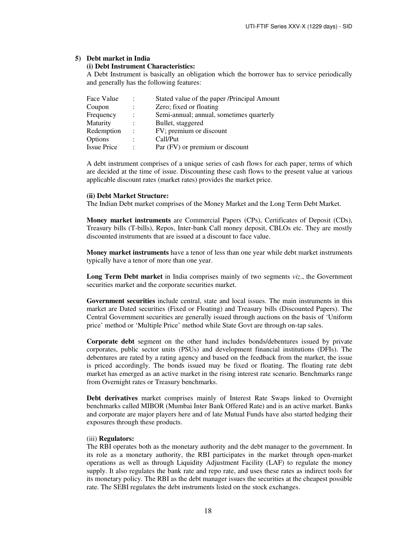#### **5) Debt market in India**

### **(i) Debt Instrument Characteristics:**

A Debt Instrument is basically an obligation which the borrower has to service periodically and generally has the following features:

| Face Value         | $\ddot{\phantom{a}}$ | Stated value of the paper /Principal Amount |
|--------------------|----------------------|---------------------------------------------|
| Coupon             |                      | Zero; fixed or floating                     |
| Frequency          | $\ddot{\cdot}$       | Semi-annual; annual, sometimes quarterly    |
| Maturity           |                      | Bullet, staggered                           |
| Redemption         | $\ddot{\cdot}$       | FV; premium or discount                     |
| Options            | $\ddot{\cdot}$       | Call/Put                                    |
| <b>Issue Price</b> | ٠                    | Par (FV) or premium or discount             |

A debt instrument comprises of a unique series of cash flows for each paper, terms of which are decided at the time of issue. Discounting these cash flows to the present value at various applicable discount rates (market rates) provides the market price.

#### **(ii) Debt Market Structure:**

The Indian Debt market comprises of the Money Market and the Long Term Debt Market.

**Money market instruments** are Commercial Papers (CPs), Certificates of Deposit (CDs), Treasury bills (T-bills), Repos, Inter-bank Call money deposit, CBLOs etc. They are mostly discounted instruments that are issued at a discount to face value.

**Money market instruments** have a tenor of less than one year while debt market instruments typically have a tenor of more than one year.

**Long Term Debt market** in India comprises mainly of two segments *viz*., the Government securities market and the corporate securities market.

**Government securities** include central, state and local issues. The main instruments in this market are Dated securities (Fixed or Floating) and Treasury bills (Discounted Papers). The Central Government securities are generally issued through auctions on the basis of 'Uniform price' method or 'Multiple Price' method while State Govt are through on-tap sales.

**Corporate debt** segment on the other hand includes bonds/debentures issued by private corporates, public sector units (PSUs) and development financial institutions (DFIs). The debentures are rated by a rating agency and based on the feedback from the market, the issue is priced accordingly. The bonds issued may be fixed or floating. The floating rate debt market has emerged as an active market in the rising interest rate scenario. Benchmarks range from Overnight rates or Treasury benchmarks.

**Debt derivatives** market comprises mainly of Interest Rate Swaps linked to Overnight benchmarks called MIBOR (Mumbai Inter Bank Offered Rate) and is an active market. Banks and corporate are major players here and of late Mutual Funds have also started hedging their exposures through these products.

#### (iii) **Regulators:**

The RBI operates both as the monetary authority and the debt manager to the government. In its role as a monetary authority, the RBI participates in the market through open-market operations as well as through Liquidity Adjustment Facility (LAF) to regulate the money supply. It also regulates the bank rate and repo rate, and uses these rates as indirect tools for its monetary policy. The RBI as the debt manager issues the securities at the cheapest possible rate. The SEBI regulates the debt instruments listed on the stock exchanges.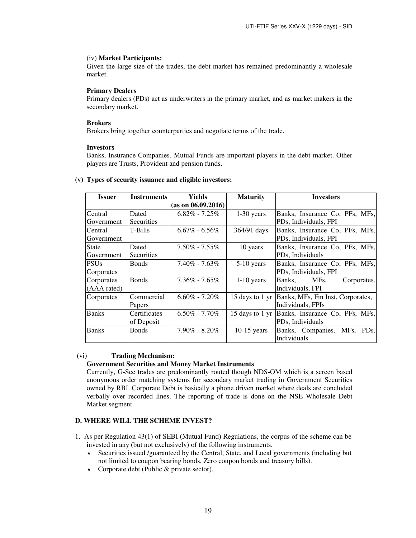### (iv) **Market Participants:**

Given the large size of the trades, the debt market has remained predominantly a wholesale market.

### **Primary Dealers**

Primary dealers (PDs) act as underwriters in the primary market, and as market makers in the secondary market.

## **Brokers**

Brokers bring together counterparties and negotiate terms of the trade.

### **Investors**

Banks, Insurance Companies, Mutual Funds are important players in the debt market. Other players are Trusts, Provident and pension funds.

#### **Issuer Instruments Yields (as on 06.09.2016) Maturity Investors Central** Government Dated Securities 6.82% - 7.25% 1-30 years Banks, Insurance Co, PFs, MFs, PDs, Individuals, FPI Central Government T-Bills  $\begin{array}{|l|c|c|c|c|c|} \hline \end{array}$  6.67% - 6.56% 364/91 days Banks, Insurance Co, PFs, MFs, PDs, Individuals, FPI **State** Government Dated **Securities** 7.50% - 7.55% 10 years Banks, Insurance Co, PFs, MFs, PDs, Individuals **PSUs** Corporates Bonds 7.40% - 7.63% 5-10 years Banks, Insurance Co, PFs, MFs, PDs, Individuals, FPI **Corporates** (AAA rated) Bonds 7.36% - 7.65% 1-10 years Banks, MFs, Corporates, Individuals, FPI Corporates Commercial Papers  $6.60\%$  - 7.20% | 15 days to 1 yr Banks, MFs, Fin Inst, Corporates, Individuals, FPIs Banks Certificates of Deposit 6.50% - 7.70% 15 days to 1 yr Banks, Insurance Co, PFs, MFs, PDs, Individuals Banks Bonds 7.90% - 8.20% 10-15 years Banks, Companies, MFs, PDs, Individuals

### **(v) Types of security issuance and eligible investors:**

### (vi) **Trading Mechanism:**

### **Government Securities and Money Market Instruments**

Currently, G-Sec trades are predominantly routed though NDS-OM which is a screen based anonymous order matching systems for secondary market trading in Government Securities owned by RBI. Corporate Debt is basically a phone driven market where deals are concluded verbally over recorded lines. The reporting of trade is done on the NSE Wholesale Debt Market segment.

# **D. WHERE WILL THE SCHEME INVEST?**

- 1. As per Regulation 43(1) of SEBI (Mutual Fund) Regulations, the corpus of the scheme can be invested in any (but not exclusively) of the following instruments.
	- $\star$  Securities issued /guaranteed by the Central, State, and Local governments (including but not limited to coupon bearing bonds, Zero coupon bonds and treasury bills).
	- ★ Corporate debt (Public & private sector).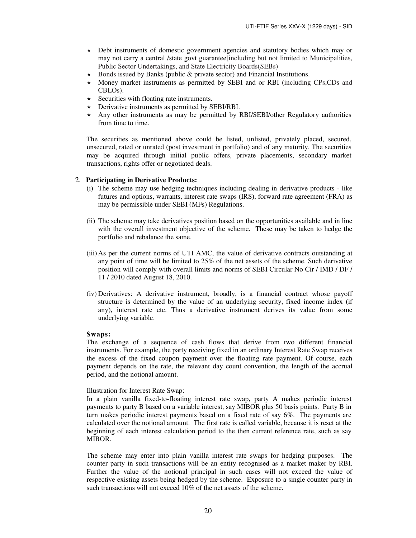- Debt instruments of domestic government agencies and statutory bodies which may or may not carry a central /state govt guarantee[including but not limited to Municipalities, Public Sector Undertakings, and State Electricity Boards(SEBs)
- $\star$  Bonds issued by Banks (public & private sector) and Financial Institutions.
- $\star$  Money market instruments as permitted by SEBI and or RBI (including CPs, CDs and CBLOs).
- $\star$  Securities with floating rate instruments.
- $\star$  Derivative instruments as permitted by SEBI/RBI.
- Any other instruments as may be permitted by RBI/SEBI/other Regulatory authorities from time to time.

 The securities as mentioned above could be listed, unlisted, privately placed, secured, unsecured, rated or unrated (post investment in portfolio) and of any maturity. The securities may be acquired through initial public offers, private placements, secondary market transactions, rights offer or negotiated deals.

### 2. **Participating in Derivative Products:**

- (i) The scheme may use hedging techniques including dealing in derivative products like futures and options, warrants, interest rate swaps (IRS), forward rate agreement (FRA) as may be permissible under SEBI (MFs) Regulations.
- (ii) The scheme may take derivatives position based on the opportunities available and in line with the overall investment objective of the scheme. These may be taken to hedge the portfolio and rebalance the same.
- (iii) As per the current norms of UTI AMC, the value of derivative contracts outstanding at any point of time will be limited to 25% of the net assets of the scheme. Such derivative position will comply with overall limits and norms of SEBI Circular No Cir / IMD / DF / 11 / 2010 dated August 18, 2010.
- (iv) Derivatives: A derivative instrument, broadly, is a financial contract whose payoff structure is determined by the value of an underlying security, fixed income index (if any), interest rate etc. Thus a derivative instrument derives its value from some underlying variable.

#### **Swaps:**

The exchange of a sequence of cash flows that derive from two different financial instruments. For example, the party receiving fixed in an ordinary Interest Rate Swap receives the excess of the fixed coupon payment over the floating rate payment. Of course, each payment depends on the rate, the relevant day count convention, the length of the accrual period, and the notional amount.

#### Illustration for Interest Rate Swap:

In a plain vanilla fixed-to-floating interest rate swap, party A makes periodic interest payments to party B based on a variable interest, say MIBOR plus 50 basis points. Party B in turn makes periodic interest payments based on a fixed rate of say 6%. The payments are calculated over the notional amount. The first rate is called variable, because it is reset at the beginning of each interest calculation period to the then current reference rate, such as say MIBOR.

The scheme may enter into plain vanilla interest rate swaps for hedging purposes. The counter party in such transactions will be an entity recognised as a market maker by RBI. Further the value of the notional principal in such cases will not exceed the value of respective existing assets being hedged by the scheme. Exposure to a single counter party in such transactions will not exceed 10% of the net assets of the scheme.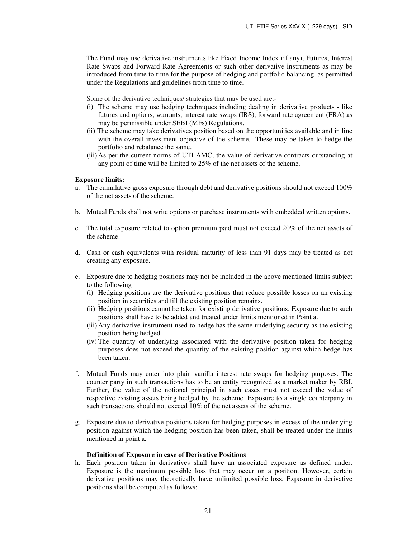The Fund may use derivative instruments like Fixed Income Index (if any), Futures, Interest Rate Swaps and Forward Rate Agreements or such other derivative instruments as may be introduced from time to time for the purpose of hedging and portfolio balancing, as permitted under the Regulations and guidelines from time to time.

Some of the derivative techniques/ strategies that may be used are:-

- (i) The scheme may use hedging techniques including dealing in derivative products like futures and options, warrants, interest rate swaps (IRS), forward rate agreement (FRA) as may be permissible under SEBI (MFs) Regulations.
- (ii) The scheme may take derivatives position based on the opportunities available and in line with the overall investment objective of the scheme. These may be taken to hedge the portfolio and rebalance the same.
- (iii) As per the current norms of UTI AMC, the value of derivative contracts outstanding at any point of time will be limited to 25% of the net assets of the scheme.

#### **Exposure limits:**

- a. The cumulative gross exposure through debt and derivative positions should not exceed 100% of the net assets of the scheme.
- b. Mutual Funds shall not write options or purchase instruments with embedded written options.
- c. The total exposure related to option premium paid must not exceed 20% of the net assets of the scheme.
- d. Cash or cash equivalents with residual maturity of less than 91 days may be treated as not creating any exposure.
- e. Exposure due to hedging positions may not be included in the above mentioned limits subject to the following
	- (i) Hedging positions are the derivative positions that reduce possible losses on an existing position in securities and till the existing position remains.
	- (ii) Hedging positions cannot be taken for existing derivative positions. Exposure due to such positions shall have to be added and treated under limits mentioned in Point a.
	- (iii) Any derivative instrument used to hedge has the same underlying security as the existing position being hedged.
	- (iv) The quantity of underlying associated with the derivative position taken for hedging purposes does not exceed the quantity of the existing position against which hedge has been taken.
- f. Mutual Funds may enter into plain vanilla interest rate swaps for hedging purposes. The counter party in such transactions has to be an entity recognized as a market maker by RBI. Further, the value of the notional principal in such cases must not exceed the value of respective existing assets being hedged by the scheme. Exposure to a single counterparty in such transactions should not exceed 10% of the net assets of the scheme.
- g. Exposure due to derivative positions taken for hedging purposes in excess of the underlying position against which the hedging position has been taken, shall be treated under the limits mentioned in point a.

#### **Definition of Exposure in case of Derivative Positions**

h. Each position taken in derivatives shall have an associated exposure as defined under. Exposure is the maximum possible loss that may occur on a position. However, certain derivative positions may theoretically have unlimited possible loss. Exposure in derivative positions shall be computed as follows: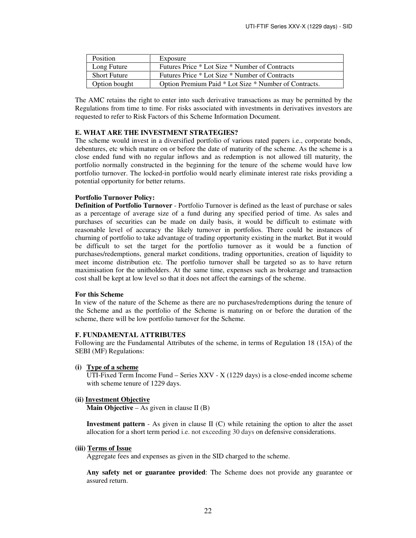| <b>Position</b>     | Exposure                                              |
|---------------------|-------------------------------------------------------|
| Long Future         | Futures Price * Lot Size * Number of Contracts        |
| <b>Short Future</b> | Futures Price * Lot Size * Number of Contracts        |
| Option bought       | Option Premium Paid * Lot Size * Number of Contracts. |

The AMC retains the right to enter into such derivative transactions as may be permitted by the Regulations from time to time. For risks associated with investments in derivatives investors are requested to refer to Risk Factors of this Scheme Information Document.

### **E. WHAT ARE THE INVESTMENT STRATEGIES?**

The scheme would invest in a diversified portfolio of various rated papers i.e., corporate bonds, debentures, etc which mature on or before the date of maturity of the scheme. As the scheme is a close ended fund with no regular inflows and as redemption is not allowed till maturity, the portfolio normally constructed in the beginning for the tenure of the scheme would have low portfolio turnover. The locked-in portfolio would nearly eliminate interest rate risks providing a potential opportunity for better returns.

### **Portfolio Turnover Policy:**

**Definition of Portfolio Turnover** - Portfolio Turnover is defined as the least of purchase or sales as a percentage of average size of a fund during any specified period of time. As sales and purchases of securities can be made on daily basis, it would be difficult to estimate with reasonable level of accuracy the likely turnover in portfolios. There could be instances of churning of portfolio to take advantage of trading opportunity existing in the market. But it would be difficult to set the target for the portfolio turnover as it would be a function of purchases/redemptions, general market conditions, trading opportunities, creation of liquidity to meet income distribution etc. The portfolio turnover shall be targeted so as to have return maximisation for the unitholders. At the same time, expenses such as brokerage and transaction cost shall be kept at low level so that it does not affect the earnings of the scheme.

### **For this Scheme**

In view of the nature of the Scheme as there are no purchases/redemptions during the tenure of the Scheme and as the portfolio of the Scheme is maturing on or before the duration of the scheme, there will be low portfolio turnover for the Scheme.

#### **F. FUNDAMENTAL ATTRIBUTES**

Following are the Fundamental Attributes of the scheme, in terms of Regulation 18 (15A) of the SEBI (MF) Regulations:

**(i) Type of a scheme**

UTI-Fixed Term Income Fund – Series XXV - X (1229 days) is a close-ended income scheme with scheme tenure of 1229 days.

#### **(ii) Investment Objective**

**Main Objective** – As given in clause II (B)

**Investment pattern** - As given in clause II (C) while retaining the option to alter the asset allocation for a short term period i.e. not exceeding 30 days on defensive considerations.

#### **(iii) Terms of Issue**

Aggregate fees and expenses as given in the SID charged to the scheme.

**Any safety net or guarantee provided**: The Scheme does not provide any guarantee or assured return.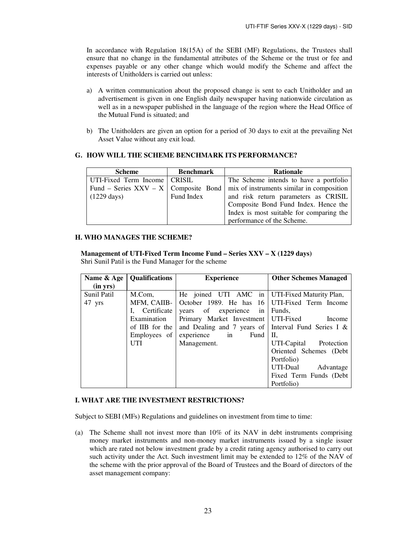In accordance with Regulation 18(15A) of the SEBI (MF) Regulations, the Trustees shall ensure that no change in the fundamental attributes of the Scheme or the trust or fee and expenses payable or any other change which would modify the Scheme and affect the interests of Unitholders is carried out unless:

- a) A written communication about the proposed change is sent to each Unitholder and an advertisement is given in one English daily newspaper having nationwide circulation as well as in a newspaper published in the language of the region where the Head Office of the Mutual Fund is situated; and
- b) The Unitholders are given an option for a period of 30 days to exit at the prevailing Net Asset Value without any exit load.

# **G. HOW WILL THE SCHEME BENCHMARK ITS PERFORMANCE?**

| <b>Scheme</b>                          | <b>Benchmark</b> | <b>Rationale</b>                          |
|----------------------------------------|------------------|-------------------------------------------|
| UTI-Fixed Term Income   CRISIL         |                  | The Scheme intends to have a portfolio    |
| Fund – Series $XXV - X$ Composite Bond |                  | mix of instruments similar in composition |
| $(1229 \text{ days})$                  | Fund Index       | and risk return parameters as CRISIL      |
|                                        |                  | Composite Bond Fund Index. Hence the      |
|                                        |                  | Index is most suitable for comparing the  |
|                                        |                  | performance of the Scheme.                |

### **H. WHO MANAGES THE SCHEME?**

**Management of UTI-Fixed Term Income Fund – Series XXV – X (1229 days)**  Shri Sunil Patil is the Fund Manager for the scheme

| Name & Age  | <b>Qualifications</b> | <b>Experience</b>                                      | <b>Other Schemes Managed</b> |
|-------------|-----------------------|--------------------------------------------------------|------------------------------|
| (in yrs)    |                       |                                                        |                              |
| Sunil Patil | M.Com.                | He joined UTI AMC in UTI-Fixed Maturity Plan,          |                              |
| 47 yrs      | MFM, CAIIB-           | October 1989. He has 16 UTI-Fixed Term Income          |                              |
|             | Certificate           | years of experience in                                 | Funds,                       |
|             | Examination           | Primary Market Investment   UTI-Fixed                  | Income                       |
|             | of IIB for the        | and Dealing and 7 years of Interval Fund Series I $\&$ |                              |
|             | Employees of          | experience in<br>Fund                                  | П.                           |
|             | <b>UTI</b>            | Management.                                            | UTI-Capital Protection       |
|             |                       |                                                        | Oriented Schemes (Debt       |
|             |                       |                                                        | Portfolio)                   |
|             |                       |                                                        | UTI-Dual<br>Advantage        |
|             |                       |                                                        | Fixed Term Funds (Debt       |
|             |                       |                                                        | Portfolio)                   |

### **I. WHAT ARE THE INVESTMENT RESTRICTIONS?**

Subject to SEBI (MFs) Regulations and guidelines on investment from time to time:

(a) The Scheme shall not invest more than 10% of its NAV in debt instruments comprising money market instruments and non-money market instruments issued by a single issuer which are rated not below investment grade by a credit rating agency authorised to carry out such activity under the Act. Such investment limit may be extended to 12% of the NAV of the scheme with the prior approval of the Board of Trustees and the Board of directors of the asset management company: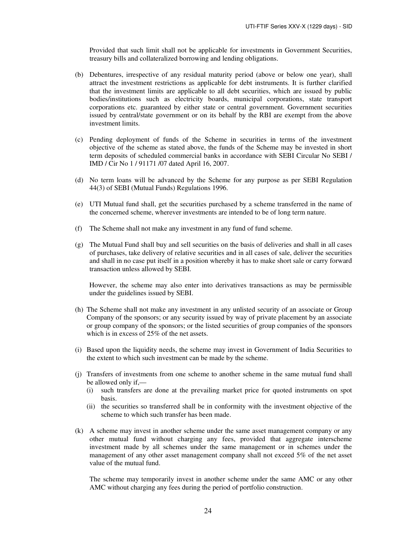Provided that such limit shall not be applicable for investments in Government Securities, treasury bills and collateralized borrowing and lending obligations.

- (b) Debentures, irrespective of any residual maturity period (above or below one year), shall attract the investment restrictions as applicable for debt instruments. It is further clarified that the investment limits are applicable to all debt securities, which are issued by public bodies/institutions such as electricity boards, municipal corporations, state transport corporations etc. guaranteed by either state or central government. Government securities issued by central/state government or on its behalf by the RBI are exempt from the above investment limits.
- (c) Pending deployment of funds of the Scheme in securities in terms of the investment objective of the scheme as stated above, the funds of the Scheme may be invested in short term deposits of scheduled commercial banks in accordance with SEBI Circular No SEBI / IMD / Cir No 1 / 91171 /07 dated April 16, 2007.
- (d) No term loans will be advanced by the Scheme for any purpose as per SEBI Regulation 44(3) of SEBI (Mutual Funds) Regulations 1996.
- (e) UTI Mutual fund shall, get the securities purchased by a scheme transferred in the name of the concerned scheme, wherever investments are intended to be of long term nature.
- (f) The Scheme shall not make any investment in any fund of fund scheme.
- (g) The Mutual Fund shall buy and sell securities on the basis of deliveries and shall in all cases of purchases, take delivery of relative securities and in all cases of sale, deliver the securities and shall in no case put itself in a position whereby it has to make short sale or carry forward transaction unless allowed by SEBI.

However, the scheme may also enter into derivatives transactions as may be permissible under the guidelines issued by SEBI.

- (h) The Scheme shall not make any investment in any unlisted security of an associate or Group Company of the sponsors; or any security issued by way of private placement by an associate or group company of the sponsors; or the listed securities of group companies of the sponsors which is in excess of 25% of the net assets.
- (i) Based upon the liquidity needs, the scheme may invest in Government of India Securities to the extent to which such investment can be made by the scheme.
- (j) Transfers of investments from one scheme to another scheme in the same mutual fund shall be allowed only if,—
	- (i) such transfers are done at the prevailing market price for quoted instruments on spot basis.
	- (ii) the securities so transferred shall be in conformity with the investment objective of the scheme to which such transfer has been made.
- (k) A scheme may invest in another scheme under the same asset management company or any other mutual fund without charging any fees, provided that aggregate interscheme investment made by all schemes under the same management or in schemes under the management of any other asset management company shall not exceed 5% of the net asset value of the mutual fund.

The scheme may temporarily invest in another scheme under the same AMC or any other AMC without charging any fees during the period of portfolio construction.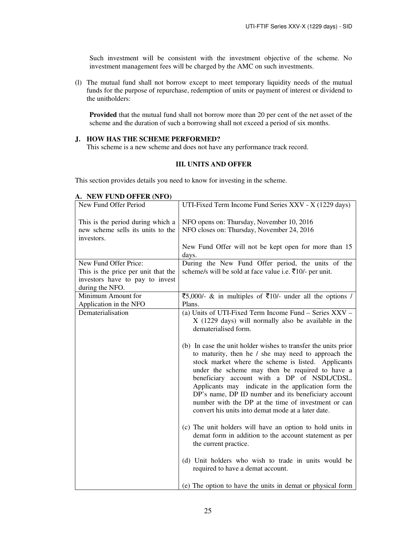Such investment will be consistent with the investment objective of the scheme. No investment management fees will be charged by the AMC on such investments.

(l) The mutual fund shall not borrow except to meet temporary liquidity needs of the mutual funds for the purpose of repurchase, redemption of units or payment of interest or dividend to the unitholders:

**Provided** that the mutual fund shall not borrow more than 20 per cent of the net asset of the scheme and the duration of such a borrowing shall not exceed a period of six months.

### **J. HOW HAS THE SCHEME PERFORMED?**

This scheme is a new scheme and does not have any performance track record.

# **III. UNITS AND OFFER**

This section provides details you need to know for investing in the scheme.

| New Fund Offer Period                                                                | UTI-Fixed Term Income Fund Series XXV - X (1229 days)                                                                                                                                                                                                                                                                     |
|--------------------------------------------------------------------------------------|---------------------------------------------------------------------------------------------------------------------------------------------------------------------------------------------------------------------------------------------------------------------------------------------------------------------------|
| This is the period during which a<br>new scheme sells its units to the<br>investors. | NFO opens on: Thursday, November 10, 2016<br>NFO closes on: Thursday, November 24, 2016                                                                                                                                                                                                                                   |
|                                                                                      | New Fund Offer will not be kept open for more than 15                                                                                                                                                                                                                                                                     |
|                                                                                      | days.                                                                                                                                                                                                                                                                                                                     |
| New Fund Offer Price:                                                                | During the New Fund Offer period, the units of the                                                                                                                                                                                                                                                                        |
| This is the price per unit that the                                                  | scheme/s will be sold at face value i.e. ₹10/- per unit.                                                                                                                                                                                                                                                                  |
| investors have to pay to invest<br>during the NFO.                                   |                                                                                                                                                                                                                                                                                                                           |
| Minimum Amount for                                                                   | ₹5,000/- & in multiples of ₹10/- under all the options /                                                                                                                                                                                                                                                                  |
| Application in the NFO                                                               | Plans.                                                                                                                                                                                                                                                                                                                    |
| Dematerialisation                                                                    | (a) Units of UTI-Fixed Term Income Fund – Series XXV –<br>X (1229 days) will normally also be available in the<br>dematerialised form.<br>(b) In case the unit holder wishes to transfer the units prior<br>to maturity, then he / she may need to approach the<br>stock market where the scheme is listed. Applicants    |
|                                                                                      | under the scheme may then be required to have a<br>beneficiary account with a DP of NSDL/CDSL.<br>Applicants may indicate in the application form the<br>DP's name, DP ID number and its beneficiary account<br>number with the DP at the time of investment or can<br>convert his units into demat mode at a later date. |
|                                                                                      | (c) The unit holders will have an option to hold units in<br>demat form in addition to the account statement as per<br>the current practice.                                                                                                                                                                              |
|                                                                                      | (d) Unit holders who wish to trade in units would be<br>required to have a demat account.                                                                                                                                                                                                                                 |
|                                                                                      | (e) The option to have the units in demat or physical form                                                                                                                                                                                                                                                                |

### **A. NEW FUND OFFER (NFO)**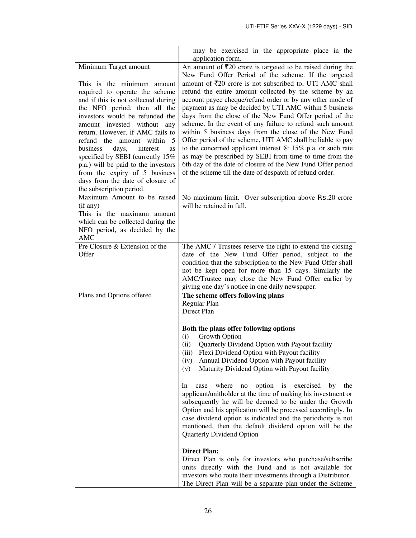|                                                                                                                                                                                                                                                                                                                                                                                                                                                                                                                          | may be exercised in the appropriate place in the<br>application form.                                                                                                                                                                                                                                                                                                                                                                                                                                                                                                                                                                                                                                                                                                                                                                                                                         |
|--------------------------------------------------------------------------------------------------------------------------------------------------------------------------------------------------------------------------------------------------------------------------------------------------------------------------------------------------------------------------------------------------------------------------------------------------------------------------------------------------------------------------|-----------------------------------------------------------------------------------------------------------------------------------------------------------------------------------------------------------------------------------------------------------------------------------------------------------------------------------------------------------------------------------------------------------------------------------------------------------------------------------------------------------------------------------------------------------------------------------------------------------------------------------------------------------------------------------------------------------------------------------------------------------------------------------------------------------------------------------------------------------------------------------------------|
| Minimum Target amount<br>This is the minimum amount<br>required to operate the scheme<br>and if this is not collected during<br>the NFO period, then all the<br>investors would be refunded the<br>amount invested without any<br>return. However, if AMC fails to<br>refund the amount within<br>- 5<br>business<br>days,<br>interest<br>as<br>specified by SEBI (currently 15%<br>p.a.) will be paid to the investors<br>from the expiry of 5 business<br>days from the date of closure of<br>the subscription period. | An amount of $\bar{\tau}$ 20 crore is targeted to be raised during the<br>New Fund Offer Period of the scheme. If the targeted<br>amount of $\overline{5}20$ crore is not subscribed to, UTI AMC shall<br>refund the entire amount collected by the scheme by an<br>account payee cheque/refund order or by any other mode of<br>payment as may be decided by UTI AMC within 5 business<br>days from the close of the New Fund Offer period of the<br>scheme. In the event of any failure to refund such amount<br>within 5 business days from the close of the New Fund<br>Offer period of the scheme, UTI AMC shall be liable to pay<br>to the concerned applicant interest $@15\%$ p.a. or such rate<br>as may be prescribed by SEBI from time to time from the<br>6th day of the date of closure of the New Fund Offer period<br>of the scheme till the date of despatch of refund order. |
| Maximum Amount to be raised<br>(if any)<br>This is the maximum amount<br>which can be collected during the<br>NFO period, as decided by the<br>AMC                                                                                                                                                                                                                                                                                                                                                                       | No maximum limit. Over subscription above Rs.20 crore<br>will be retained in full.                                                                                                                                                                                                                                                                                                                                                                                                                                                                                                                                                                                                                                                                                                                                                                                                            |
| Pre Closure & Extension of the<br>Offer                                                                                                                                                                                                                                                                                                                                                                                                                                                                                  | The AMC / Trustees reserve the right to extend the closing<br>date of the New Fund Offer period, subject to the<br>condition that the subscription to the New Fund Offer shall<br>not be kept open for more than 15 days. Similarly the<br>AMC/Trustee may close the New Fund Offer earlier by<br>giving one day's notice in one daily newspaper.                                                                                                                                                                                                                                                                                                                                                                                                                                                                                                                                             |
| Plans and Options offered                                                                                                                                                                                                                                                                                                                                                                                                                                                                                                | The scheme offers following plans<br>Regular Plan<br>Direct Plan                                                                                                                                                                                                                                                                                                                                                                                                                                                                                                                                                                                                                                                                                                                                                                                                                              |
|                                                                                                                                                                                                                                                                                                                                                                                                                                                                                                                          | Both the plans offer following options<br>(i)<br>Growth Option<br>(ii)<br>Quarterly Dividend Option with Payout facility<br>Flexi Dividend Option with Payout facility<br>(iii)<br>Annual Dividend Option with Payout facility<br>(iv)<br>Maturity Dividend Option with Payout facility<br>(v)                                                                                                                                                                                                                                                                                                                                                                                                                                                                                                                                                                                                |
|                                                                                                                                                                                                                                                                                                                                                                                                                                                                                                                          | where<br>option<br>is<br>exercised<br>In.<br>case<br>no<br>by<br>the<br>applicant/unitholder at the time of making his investment or<br>subsequently he will be deemed to be under the Growth<br>Option and his application will be processed accordingly. In<br>case dividend option is indicated and the periodicity is not<br>mentioned, then the default dividend option will be the<br>Quarterly Dividend Option                                                                                                                                                                                                                                                                                                                                                                                                                                                                         |
|                                                                                                                                                                                                                                                                                                                                                                                                                                                                                                                          | <b>Direct Plan:</b><br>Direct Plan is only for investors who purchase/subscribe<br>units directly with the Fund and is not available for<br>investors who route their investments through a Distributor.<br>The Direct Plan will be a separate plan under the Scheme                                                                                                                                                                                                                                                                                                                                                                                                                                                                                                                                                                                                                          |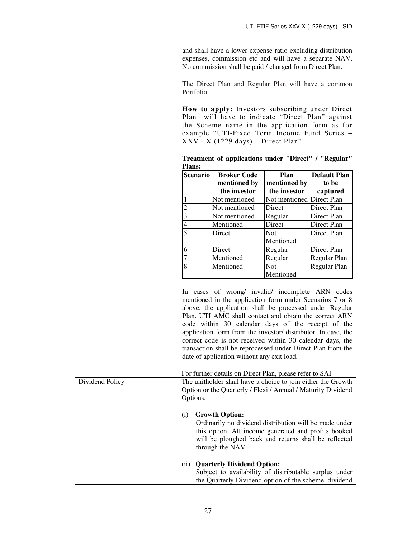|                 | and shall have a lower expense ratio excluding distribution<br>expenses, commission etc and will have a separate NAV.<br>No commission shall be paid / charged from Direct Plan. |                                                                                                                                                                                                                                                                                                                                                                                                                                                                                                                                    |                           |                     |
|-----------------|----------------------------------------------------------------------------------------------------------------------------------------------------------------------------------|------------------------------------------------------------------------------------------------------------------------------------------------------------------------------------------------------------------------------------------------------------------------------------------------------------------------------------------------------------------------------------------------------------------------------------------------------------------------------------------------------------------------------------|---------------------------|---------------------|
|                 | The Direct Plan and Regular Plan will have a common<br>Portfolio.                                                                                                                |                                                                                                                                                                                                                                                                                                                                                                                                                                                                                                                                    |                           |                     |
|                 | How to apply: Investors subscribing under Direct<br>will have to indicate "Direct Plan" against<br>Plan                                                                          |                                                                                                                                                                                                                                                                                                                                                                                                                                                                                                                                    |                           |                     |
|                 | the Scheme name in the application form as for<br>example "UTI-Fixed Term Income Fund Series -<br>$XXV - X$ (1229 days) -Direct Plan".                                           |                                                                                                                                                                                                                                                                                                                                                                                                                                                                                                                                    |                           |                     |
|                 | Treatment of applications under "Direct" / "Regular"<br><b>Plans:</b>                                                                                                            |                                                                                                                                                                                                                                                                                                                                                                                                                                                                                                                                    |                           |                     |
|                 | <b>Broker Code</b><br>Plan<br><b>Scenario</b>                                                                                                                                    |                                                                                                                                                                                                                                                                                                                                                                                                                                                                                                                                    |                           | <b>Default Plan</b> |
|                 |                                                                                                                                                                                  | mentioned by                                                                                                                                                                                                                                                                                                                                                                                                                                                                                                                       | mentioned by              | to be               |
|                 |                                                                                                                                                                                  | the investor                                                                                                                                                                                                                                                                                                                                                                                                                                                                                                                       | the investor              | captured            |
|                 |                                                                                                                                                                                  | Not mentioned                                                                                                                                                                                                                                                                                                                                                                                                                                                                                                                      | Not mentioned Direct Plan |                     |
|                 | 2                                                                                                                                                                                | Not mentioned                                                                                                                                                                                                                                                                                                                                                                                                                                                                                                                      | Direct                    | Direct Plan         |
|                 | 3                                                                                                                                                                                | Not mentioned                                                                                                                                                                                                                                                                                                                                                                                                                                                                                                                      | Regular                   | Direct Plan         |
|                 | 4                                                                                                                                                                                | Mentioned                                                                                                                                                                                                                                                                                                                                                                                                                                                                                                                          | Direct                    | Direct Plan         |
|                 | 5                                                                                                                                                                                | Direct                                                                                                                                                                                                                                                                                                                                                                                                                                                                                                                             | Not                       | Direct Plan         |
|                 |                                                                                                                                                                                  |                                                                                                                                                                                                                                                                                                                                                                                                                                                                                                                                    | Mentioned                 |                     |
|                 | 6                                                                                                                                                                                | Direct                                                                                                                                                                                                                                                                                                                                                                                                                                                                                                                             | Regular                   | Direct Plan         |
|                 | $\overline{7}$                                                                                                                                                                   | Mentioned                                                                                                                                                                                                                                                                                                                                                                                                                                                                                                                          | Regular                   | Regular Plan        |
|                 | 8                                                                                                                                                                                | Mentioned                                                                                                                                                                                                                                                                                                                                                                                                                                                                                                                          | <b>Not</b><br>Mentioned   | Regular Plan        |
|                 |                                                                                                                                                                                  | In cases of wrong/ invalid/ incomplete ARN codes<br>mentioned in the application form under Scenarios 7 or 8<br>above, the application shall be processed under Regular<br>Plan. UTI AMC shall contact and obtain the correct ARN<br>code within 30 calendar days of the receipt of the<br>application form from the investor/ distributor. In case, the<br>correct code is not received within 30 calendar days, the<br>transaction shall be reprocessed under Direct Plan from the<br>date of application without any exit load. |                           |                     |
|                 |                                                                                                                                                                                  | For further details on Direct Plan, please refer to SAI                                                                                                                                                                                                                                                                                                                                                                                                                                                                            |                           |                     |
| Dividend Policy | Options.                                                                                                                                                                         | The unitholder shall have a choice to join either the Growth<br>Option or the Quarterly / Flexi / Annual / Maturity Dividend                                                                                                                                                                                                                                                                                                                                                                                                       |                           |                     |
|                 | (i)                                                                                                                                                                              | <b>Growth Option:</b><br>Ordinarily no dividend distribution will be made under<br>this option. All income generated and profits booked<br>will be ploughed back and returns shall be reflected<br>through the NAV.                                                                                                                                                                                                                                                                                                                |                           |                     |
|                 | (ii)                                                                                                                                                                             | <b>Quarterly Dividend Option:</b>                                                                                                                                                                                                                                                                                                                                                                                                                                                                                                  |                           |                     |
|                 |                                                                                                                                                                                  | Subject to availability of distributable surplus under                                                                                                                                                                                                                                                                                                                                                                                                                                                                             |                           |                     |
|                 |                                                                                                                                                                                  | the Quarterly Dividend option of the scheme, dividend                                                                                                                                                                                                                                                                                                                                                                                                                                                                              |                           |                     |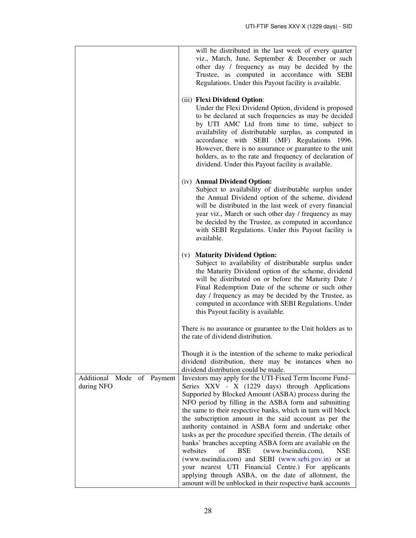|                                             | will be distributed in the last week of every quarter<br>viz., March, June, September & December or such<br>other day / frequency as may be decided by the<br>Trustee, as computed in accordance with SEBI<br>Regulations. Under this Payout facility is available.                                                                                                                                                                                                                                                                                                                                                                                                                                                                                                                                                                          |
|---------------------------------------------|----------------------------------------------------------------------------------------------------------------------------------------------------------------------------------------------------------------------------------------------------------------------------------------------------------------------------------------------------------------------------------------------------------------------------------------------------------------------------------------------------------------------------------------------------------------------------------------------------------------------------------------------------------------------------------------------------------------------------------------------------------------------------------------------------------------------------------------------|
|                                             | (iii) Flexi Dividend Option:<br>Under the Flexi Dividend Option, dividend is proposed<br>to be declared at such frequencies as may be decided<br>by UTI AMC Ltd from time to time, subject to<br>availability of distributable surplus, as computed in<br>accordance with SEBI (MF) Regulations 1996.<br>However, there is no assurance or guarantee to the unit<br>holders, as to the rate and frequency of declaration of<br>dividend. Under this Payout facility is available.                                                                                                                                                                                                                                                                                                                                                            |
|                                             | (iv) Annual Dividend Option:<br>Subject to availability of distributable surplus under<br>the Annual Dividend option of the scheme, dividend<br>will be distributed in the last week of every financial<br>year viz., March or such other day / frequency as may<br>be decided by the Trustee, as computed in accordance<br>with SEBI Regulations. Under this Payout facility is<br>available.                                                                                                                                                                                                                                                                                                                                                                                                                                               |
|                                             | <b>Maturity Dividend Option:</b><br>(v)<br>Subject to availability of distributable surplus under<br>the Maturity Dividend option of the scheme, dividend<br>will be distributed on or before the Maturity Date /<br>Final Redemption Date of the scheme or such other<br>day / frequency as may be decided by the Trustee, as<br>computed in accordance with SEBI Regulations. Under<br>this Payout facility is available.                                                                                                                                                                                                                                                                                                                                                                                                                  |
|                                             | There is no assurance or guarantee to the Unit holders as to<br>the rate of dividend distribution.                                                                                                                                                                                                                                                                                                                                                                                                                                                                                                                                                                                                                                                                                                                                           |
|                                             | Though it is the intention of the scheme to make periodical<br>dividend distribution, there may be instances when no<br>dividend distribution could be made.                                                                                                                                                                                                                                                                                                                                                                                                                                                                                                                                                                                                                                                                                 |
| Additional Mode<br>of Payment<br>during NFO | Investors may apply for the UTI-Fixed Term Income Fund-<br>Series XXV - X (1229 days) through Applications<br>Supported by Blocked Amount (ASBA) process during the<br>NFO period by filling in the ASBA form and submitting<br>the same to their respective banks, which in turn will block<br>the subscription amount in the said account as per the<br>authority contained in ASBA form and undertake other<br>tasks as per the procedure specified therein. (The details of<br>banks' branches accepting ASBA form are available on the<br>websites<br>(www.bseindia.com),<br>of<br>BSE<br><b>NSE</b><br>(www.nseindia.com) and SEBI (www.sebi.gov.in) or at<br>your nearest UTI Financial Centre.) For applicants<br>applying through ASBA, on the date of allotment, the<br>amount will be unblocked in their respective bank accounts |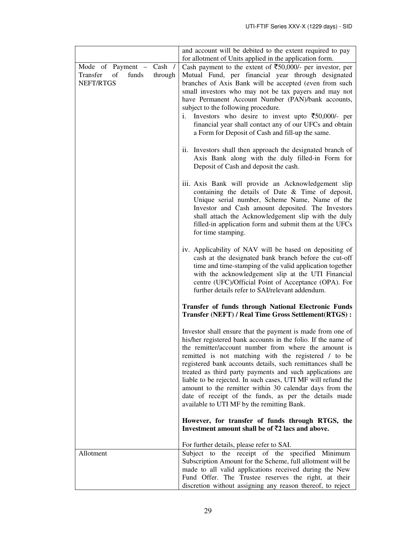|                                                                             | and account will be debited to the extent required to pay<br>for allotment of Units applied in the application form.                                                                                                                                                                                                                                                                                                                                                                                                                                                                                      |
|-----------------------------------------------------------------------------|-----------------------------------------------------------------------------------------------------------------------------------------------------------------------------------------------------------------------------------------------------------------------------------------------------------------------------------------------------------------------------------------------------------------------------------------------------------------------------------------------------------------------------------------------------------------------------------------------------------|
| Mode of Payment - Cash /<br>Transfer<br>of<br>funds<br>through<br>NEFT/RTGS | Cash payment to the extent of $\overline{5}50,000/$ - per investor, per<br>Mutual Fund, per financial year through designated<br>branches of Axis Bank will be accepted (even from such<br>small investors who may not be tax payers and may not<br>have Permanent Account Number (PAN)/bank accounts,<br>subject to the following procedure.<br>Investors who desire to invest upto $\overline{\xi}50,000/$ - per<br>i.<br>financial year shall contact any of our UFCs and obtain<br>a Form for Deposit of Cash and fill-up the same.                                                                   |
|                                                                             | ii. Investors shall then approach the designated branch of<br>Axis Bank along with the duly filled-in Form for<br>Deposit of Cash and deposit the cash.                                                                                                                                                                                                                                                                                                                                                                                                                                                   |
|                                                                             | iii. Axis Bank will provide an Acknowledgement slip<br>containing the details of Date & Time of deposit,<br>Unique serial number, Scheme Name, Name of the<br>Investor and Cash amount deposited. The Investors<br>shall attach the Acknowledgement slip with the duly<br>filled-in application form and submit them at the UFCs<br>for time stamping.                                                                                                                                                                                                                                                    |
|                                                                             | iv. Applicability of NAV will be based on depositing of<br>cash at the designated bank branch before the cut-off<br>time and time-stamping of the valid application together<br>with the acknowledgement slip at the UTI Financial<br>centre (UFC)/Official Point of Acceptance (OPA). For<br>further details refer to SAI/relevant addendum.                                                                                                                                                                                                                                                             |
|                                                                             | <b>Transfer of funds through National Electronic Funds</b><br>Transfer (NEFT) / Real Time Gross Settlement(RTGS) :                                                                                                                                                                                                                                                                                                                                                                                                                                                                                        |
|                                                                             | Investor shall ensure that the payment is made from one of<br>his/her registered bank accounts in the folio. If the name of<br>the remitter/account number from where the amount is<br>remitted is not matching with the registered / to be<br>registered bank accounts details, such remittances shall be<br>treated as third party payments and such applications are<br>liable to be rejected. In such cases, UTI MF will refund the<br>amount to the remitter within 30 calendar days from the<br>date of receipt of the funds, as per the details made<br>available to UTI MF by the remitting Bank. |
|                                                                             | However, for transfer of funds through RTGS, the<br>Investment amount shall be of $\bar{\tau}2$ lacs and above.                                                                                                                                                                                                                                                                                                                                                                                                                                                                                           |
| Allotment                                                                   | For further details, please refer to SAI.<br>Subject to the receipt of the specified Minimum<br>Subscription Amount for the Scheme, full allotment will be<br>made to all valid applications received during the New<br>Fund Offer. The Trustee reserves the right, at their<br>discretion without assigning any reason thereof, to reject                                                                                                                                                                                                                                                                |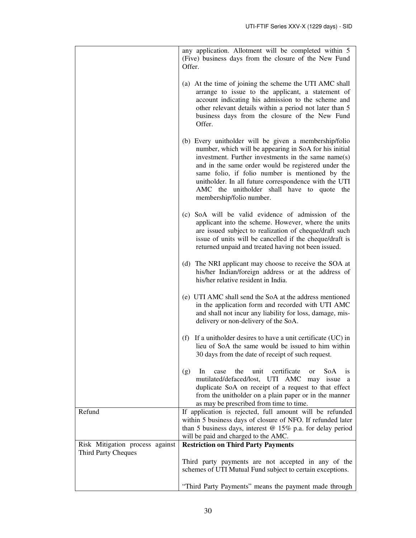|                                 | any application. Allotment will be completed within 5<br>(Five) business days from the closure of the New Fund<br>Offer.                                                                                                                                                                                                                                                                                            |
|---------------------------------|---------------------------------------------------------------------------------------------------------------------------------------------------------------------------------------------------------------------------------------------------------------------------------------------------------------------------------------------------------------------------------------------------------------------|
|                                 | (a) At the time of joining the scheme the UTI AMC shall<br>arrange to issue to the applicant, a statement of<br>account indicating his admission to the scheme and<br>other relevant details within a period not later than 5<br>business days from the closure of the New Fund<br>Offer.                                                                                                                           |
|                                 | (b) Every unitholder will be given a membership/folio<br>number, which will be appearing in SoA for his initial<br>investment. Further investments in the same name(s)<br>and in the same order would be registered under the<br>same folio, if folio number is mentioned by the<br>unitholder. In all future correspondence with the UTI<br>AMC the unitholder shall have to quote the<br>membership/folio number. |
|                                 | (c) SoA will be valid evidence of admission of the<br>applicant into the scheme. However, where the units<br>are issued subject to realization of cheque/draft such<br>issue of units will be cancelled if the cheque/draft is<br>returned unpaid and treated having not been issued.                                                                                                                               |
|                                 | (d) The NRI applicant may choose to receive the SOA at<br>his/her Indian/foreign address or at the address of<br>his/her relative resident in India.                                                                                                                                                                                                                                                                |
|                                 | (e) UTI AMC shall send the SoA at the address mentioned<br>in the application form and recorded with UTI AMC<br>and shall not incur any liability for loss, damage, mis-<br>delivery or non-delivery of the SoA.                                                                                                                                                                                                    |
|                                 | If a unitholder desires to have a unit certificate (UC) in<br>(f)<br>lieu of SoA the same would be issued to him within<br>30 days from the date of receipt of such request.                                                                                                                                                                                                                                        |
|                                 | certificate<br>the<br>unit<br>In<br>case<br>SoA<br>(g)<br><sub>or</sub><br><i>is</i><br>mutilated/defaced/lost, UTI AMC<br>may issue<br><sub>a</sub><br>duplicate SoA on receipt of a request to that effect<br>from the unitholder on a plain paper or in the manner<br>as may be prescribed from time to time.                                                                                                    |
| Refund                          | If application is rejected, full amount will be refunded<br>within 5 business days of closure of NFO. If refunded later<br>than 5 business days, interest $@$ 15% p.a. for delay period<br>will be paid and charged to the AMC.                                                                                                                                                                                     |
| Risk Mitigation process against | <b>Restriction on Third Party Payments</b>                                                                                                                                                                                                                                                                                                                                                                          |
| <b>Third Party Cheques</b>      | Third party payments are not accepted in any of the<br>schemes of UTI Mutual Fund subject to certain exceptions.                                                                                                                                                                                                                                                                                                    |
|                                 | "Third Party Payments" means the payment made through                                                                                                                                                                                                                                                                                                                                                               |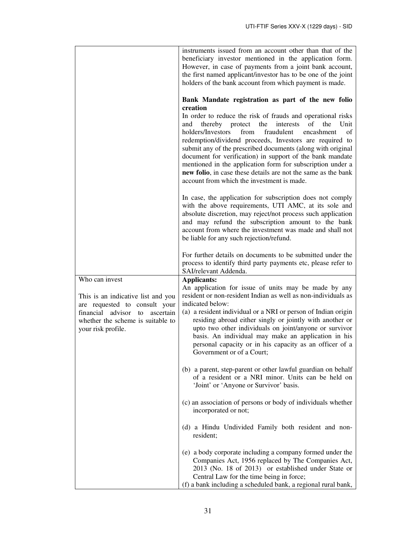|                                                                                                                                                                                          | instruments issued from an account other than that of the<br>beneficiary investor mentioned in the application form.<br>However, in case of payments from a joint bank account,<br>the first named applicant/investor has to be one of the joint<br>holders of the bank account from which payment is made.                                                                                                                                                                                                                                                                                                                         |
|------------------------------------------------------------------------------------------------------------------------------------------------------------------------------------------|-------------------------------------------------------------------------------------------------------------------------------------------------------------------------------------------------------------------------------------------------------------------------------------------------------------------------------------------------------------------------------------------------------------------------------------------------------------------------------------------------------------------------------------------------------------------------------------------------------------------------------------|
|                                                                                                                                                                                          | Bank Mandate registration as part of the new folio<br>creation<br>In order to reduce the risk of frauds and operational risks<br>the<br>of<br>thereby protect<br>interests<br>the<br>Unit<br>and<br>fraudulent<br>holders/Investors<br>from<br>encashment<br>οf<br>redemption/dividend proceeds, Investors are required to<br>submit any of the prescribed documents (along with original<br>document for verification) in support of the bank mandate<br>mentioned in the application form for subscription under a<br>new folio, in case these details are not the same as the bank<br>account from which the investment is made. |
|                                                                                                                                                                                          | In case, the application for subscription does not comply<br>with the above requirements, UTI AMC, at its sole and<br>absolute discretion, may reject/not process such application<br>and may refund the subscription amount to the bank<br>account from where the investment was made and shall not<br>be liable for any such rejection/refund.                                                                                                                                                                                                                                                                                    |
|                                                                                                                                                                                          | For further details on documents to be submitted under the<br>process to identify third party payments etc, please refer to<br>SAI/relevant Addenda.                                                                                                                                                                                                                                                                                                                                                                                                                                                                                |
| Who can invest<br>This is an indicative list and you<br>are requested to consult your<br>financial advisor<br>to<br>ascertain<br>whether the scheme is suitable to<br>your risk profile. | <b>Applicants:</b><br>An application for issue of units may be made by any<br>resident or non-resident Indian as well as non-individuals as<br>indicated below:<br>(a) a resident individual or a NRI or person of Indian origin<br>residing abroad either singly or jointly with another or<br>upto two other individuals on joint/anyone or survivor<br>basis. An individual may make an application in his<br>personal capacity or in his capacity as an officer of a<br>Government or of a Court;                                                                                                                               |
|                                                                                                                                                                                          | (b) a parent, step-parent or other lawful guardian on behalf<br>of a resident or a NRI minor. Units can be held on<br>'Joint' or 'Anyone or Survivor' basis.                                                                                                                                                                                                                                                                                                                                                                                                                                                                        |
|                                                                                                                                                                                          | (c) an association of persons or body of individuals whether<br>incorporated or not;                                                                                                                                                                                                                                                                                                                                                                                                                                                                                                                                                |
|                                                                                                                                                                                          | (d) a Hindu Undivided Family both resident and non-<br>resident;                                                                                                                                                                                                                                                                                                                                                                                                                                                                                                                                                                    |
|                                                                                                                                                                                          | (e) a body corporate including a company formed under the<br>Companies Act, 1956 replaced by The Companies Act,<br>2013 (No. 18 of 2013) or established under State or<br>Central Law for the time being in force;<br>(f) a bank including a scheduled bank, a regional rural bank,                                                                                                                                                                                                                                                                                                                                                 |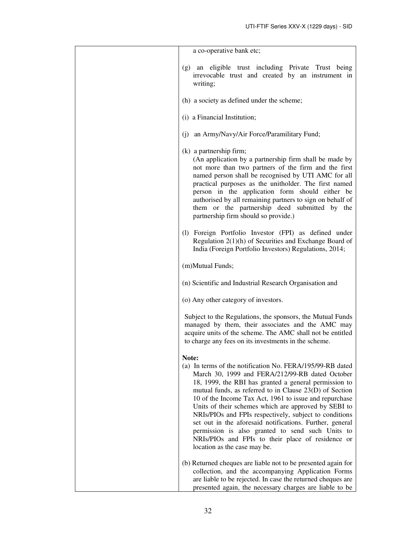| a co-operative bank etc;                                                                                                                                                                                                                                                                                                                                                                                                                                                                                                                                                                                          |
|-------------------------------------------------------------------------------------------------------------------------------------------------------------------------------------------------------------------------------------------------------------------------------------------------------------------------------------------------------------------------------------------------------------------------------------------------------------------------------------------------------------------------------------------------------------------------------------------------------------------|
| (g) an eligible trust including Private Trust being<br>irrevocable trust and created by an instrument in<br>writing;                                                                                                                                                                                                                                                                                                                                                                                                                                                                                              |
| (h) a society as defined under the scheme;                                                                                                                                                                                                                                                                                                                                                                                                                                                                                                                                                                        |
| (i) a Financial Institution;                                                                                                                                                                                                                                                                                                                                                                                                                                                                                                                                                                                      |
| (j) an Army/Navy/Air Force/Paramilitary Fund;                                                                                                                                                                                                                                                                                                                                                                                                                                                                                                                                                                     |
| $(k)$ a partnership firm;<br>(An application by a partnership firm shall be made by<br>not more than two partners of the firm and the first<br>named person shall be recognised by UTI AMC for all<br>practical purposes as the unitholder. The first named<br>person in the application form should either be<br>authorised by all remaining partners to sign on behalf of<br>them or the partnership deed submitted by the<br>partnership firm should so provide.)                                                                                                                                              |
| (1) Foreign Portfolio Investor (FPI) as defined under<br>Regulation $2(1)(h)$ of Securities and Exchange Board of<br>India (Foreign Portfolio Investors) Regulations, 2014;                                                                                                                                                                                                                                                                                                                                                                                                                                       |
| (m)Mutual Funds;                                                                                                                                                                                                                                                                                                                                                                                                                                                                                                                                                                                                  |
| (n) Scientific and Industrial Research Organisation and                                                                                                                                                                                                                                                                                                                                                                                                                                                                                                                                                           |
| (o) Any other category of investors.                                                                                                                                                                                                                                                                                                                                                                                                                                                                                                                                                                              |
| Subject to the Regulations, the sponsors, the Mutual Funds<br>managed by them, their associates and the AMC may<br>acquire units of the scheme. The AMC shall not be entitled<br>to charge any fees on its investments in the scheme.                                                                                                                                                                                                                                                                                                                                                                             |
| Note:                                                                                                                                                                                                                                                                                                                                                                                                                                                                                                                                                                                                             |
| (a) In terms of the notification No. FERA/195/99-RB dated<br>March 30, 1999 and FERA/212/99-RB dated October<br>18, 1999, the RBI has granted a general permission to<br>mutual funds, as referred to in Clause 23(D) of Section<br>10 of the Income Tax Act, 1961 to issue and repurchase<br>Units of their schemes which are approved by SEBI to<br>NRIs/PIOs and FPIs respectively, subject to conditions<br>set out in the aforesaid notifications. Further, general<br>permission is also granted to send such Units to<br>NRIs/PIOs and FPIs to their place of residence or<br>location as the case may be. |
| (b) Returned cheques are liable not to be presented again for<br>collection, and the accompanying Application Forms<br>are liable to be rejected. In case the returned cheques are<br>presented again, the necessary charges are liable to be                                                                                                                                                                                                                                                                                                                                                                     |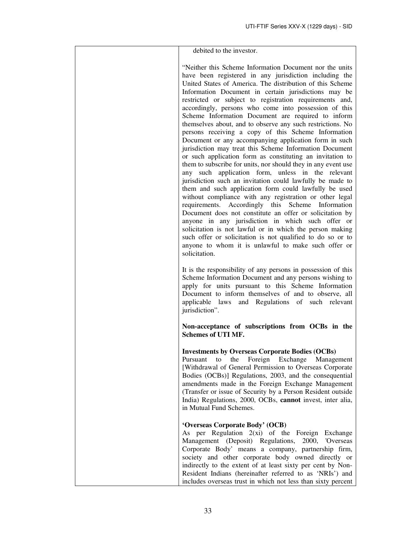| debited to the investor.                                                                                                                                                                                                                                                                                                                                                                                                                                                                                                                                                                                                                                                                                                                                                                                                                                                                                                                                                                                                                                                                                                                                                                                                                                                                                                                                                                                 |
|----------------------------------------------------------------------------------------------------------------------------------------------------------------------------------------------------------------------------------------------------------------------------------------------------------------------------------------------------------------------------------------------------------------------------------------------------------------------------------------------------------------------------------------------------------------------------------------------------------------------------------------------------------------------------------------------------------------------------------------------------------------------------------------------------------------------------------------------------------------------------------------------------------------------------------------------------------------------------------------------------------------------------------------------------------------------------------------------------------------------------------------------------------------------------------------------------------------------------------------------------------------------------------------------------------------------------------------------------------------------------------------------------------|
| "Neither this Scheme Information Document nor the units<br>have been registered in any jurisdiction including the<br>United States of America. The distribution of this Scheme<br>Information Document in certain jurisdictions may be<br>restricted or subject to registration requirements and,<br>accordingly, persons who come into possession of this<br>Scheme Information Document are required to inform<br>themselves about, and to observe any such restrictions. No<br>persons receiving a copy of this Scheme Information<br>Document or any accompanying application form in such<br>jurisdiction may treat this Scheme Information Document<br>or such application form as constituting an invitation to<br>them to subscribe for units, nor should they in any event use<br>any such application form, unless in the relevant<br>jurisdiction such an invitation could lawfully be made to<br>them and such application form could lawfully be used<br>without compliance with any registration or other legal<br>requirements. Accordingly this Scheme<br>Information<br>Document does not constitute an offer or solicitation by<br>anyone in any jurisdiction in which such offer or<br>solicitation is not lawful or in which the person making<br>such offer or solicitation is not qualified to do so or to<br>anyone to whom it is unlawful to make such offer or<br>solicitation. |
| It is the responsibility of any persons in possession of this<br>Scheme Information Document and any persons wishing to<br>apply for units pursuant to this Scheme Information<br>Document to inform themselves of and to observe, all<br>applicable laws and Regulations of such relevant<br>jurisdiction".                                                                                                                                                                                                                                                                                                                                                                                                                                                                                                                                                                                                                                                                                                                                                                                                                                                                                                                                                                                                                                                                                             |
| Non-acceptance of subscriptions from OCBs in the<br><b>Schemes of UTI MF.</b>                                                                                                                                                                                                                                                                                                                                                                                                                                                                                                                                                                                                                                                                                                                                                                                                                                                                                                                                                                                                                                                                                                                                                                                                                                                                                                                            |
| <b>Investments by Overseas Corporate Bodies (OCBs)</b><br>Pursuant<br>Foreign<br>Exchange<br>the<br>Management<br>to<br>[Withdrawal of General Permission to Overseas Corporate<br>Bodies (OCBs)] Regulations, 2003, and the consequential<br>amendments made in the Foreign Exchange Management<br>(Transfer or issue of Security by a Person Resident outside<br>India) Regulations, 2000, OCBs, cannot invest, inter alia,<br>in Mutual Fund Schemes.                                                                                                                                                                                                                                                                                                                                                                                                                                                                                                                                                                                                                                                                                                                                                                                                                                                                                                                                                 |
| 'Overseas Corporate Body' (OCB)<br>As per Regulation $2(xi)$ of the Foreign Exchange<br>Management (Deposit) Regulations, 2000,<br><b>'Overseas</b><br>Corporate Body' means a company, partnership firm,<br>society and other corporate body owned directly or<br>indirectly to the extent of at least sixty per cent by Non-<br>Resident Indians (hereinafter referred to as 'NRIs') and<br>includes overseas trust in which not less than sixty percent                                                                                                                                                                                                                                                                                                                                                                                                                                                                                                                                                                                                                                                                                                                                                                                                                                                                                                                                               |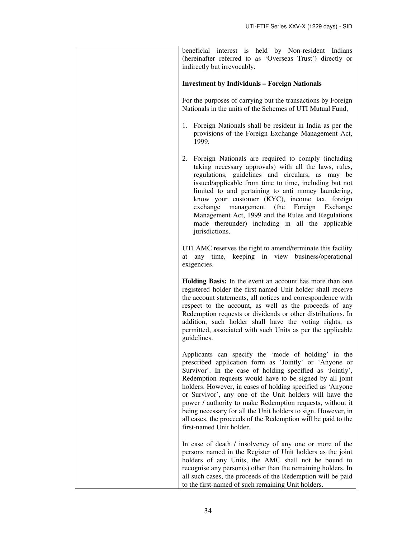| beneficial interest is held by Non-resident Indians                                                                                                                                                                                                                                                                                                                                                                                                                                                                                                                                        |
|--------------------------------------------------------------------------------------------------------------------------------------------------------------------------------------------------------------------------------------------------------------------------------------------------------------------------------------------------------------------------------------------------------------------------------------------------------------------------------------------------------------------------------------------------------------------------------------------|
| (hereinafter referred to as 'Overseas Trust') directly or<br>indirectly but irrevocably.                                                                                                                                                                                                                                                                                                                                                                                                                                                                                                   |
|                                                                                                                                                                                                                                                                                                                                                                                                                                                                                                                                                                                            |
| <b>Investment by Individuals - Foreign Nationals</b>                                                                                                                                                                                                                                                                                                                                                                                                                                                                                                                                       |
| For the purposes of carrying out the transactions by Foreign<br>Nationals in the units of the Schemes of UTI Mutual Fund,                                                                                                                                                                                                                                                                                                                                                                                                                                                                  |
| 1. Foreign Nationals shall be resident in India as per the<br>provisions of the Foreign Exchange Management Act,<br>1999.                                                                                                                                                                                                                                                                                                                                                                                                                                                                  |
| 2. Foreign Nationals are required to comply (including<br>taking necessary approvals) with all the laws, rules,<br>regulations, guidelines and circulars, as may be<br>issued/applicable from time to time, including but not<br>limited to and pertaining to anti money laundering,<br>know your customer (KYC), income tax, foreign<br>exchange<br>management (the Foreign Exchange<br>Management Act, 1999 and the Rules and Regulations<br>made thereunder) including in all the applicable<br>jurisdictions.                                                                          |
| UTI AMC reserves the right to amend/terminate this facility<br>any time, keeping in view business/operational<br>at<br>exigencies.                                                                                                                                                                                                                                                                                                                                                                                                                                                         |
| Holding Basis: In the event an account has more than one<br>registered holder the first-named Unit holder shall receive<br>the account statements, all notices and correspondence with<br>respect to the account, as well as the proceeds of any<br>Redemption requests or dividends or other distributions. In<br>addition, such holder shall have the voting rights, as<br>permitted, associated with such Units as per the applicable<br>guidelines.                                                                                                                                    |
| Applicants can specify the 'mode of holding' in the<br>prescribed application form as 'Jointly' or 'Anyone or<br>Survivor'. In the case of holding specified as 'Jointly',<br>Redemption requests would have to be signed by all joint<br>holders. However, in cases of holding specified as 'Anyone<br>or Survivor', any one of the Unit holders will have the<br>power / authority to make Redemption requests, without it<br>being necessary for all the Unit holders to sign. However, in<br>all cases, the proceeds of the Redemption will be paid to the<br>first-named Unit holder. |
| In case of death / insolvency of any one or more of the<br>persons named in the Register of Unit holders as the joint<br>holders of any Units, the AMC shall not be bound to<br>recognise any person $(s)$ other than the remaining holders. In<br>all such cases, the proceeds of the Redemption will be paid<br>to the first-named of such remaining Unit holders.                                                                                                                                                                                                                       |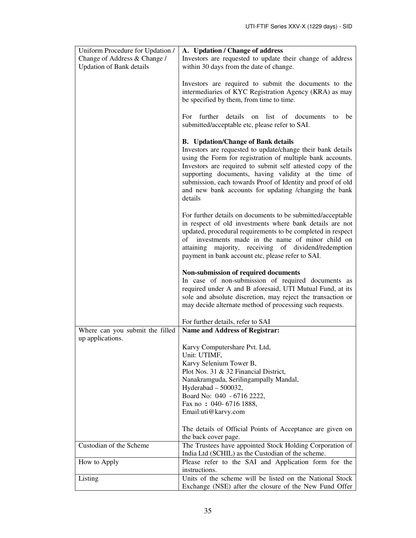| Uniform Procedure for Updation / | A. Updation / Change of address                                                                                     |
|----------------------------------|---------------------------------------------------------------------------------------------------------------------|
| Change of Address & Change /     | Investors are requested to update their change of address                                                           |
| <b>Updation of Bank details</b>  | within 30 days from the date of change.                                                                             |
|                                  |                                                                                                                     |
|                                  | Investors are required to submit the documents to the                                                               |
|                                  | intermediaries of KYC Registration Agency (KRA) as may                                                              |
|                                  | be specified by them, from time to time.                                                                            |
|                                  |                                                                                                                     |
|                                  | For further<br>details<br>list of documents<br>on<br>be<br>to                                                       |
|                                  | submitted/acceptable etc, please refer to SAI.                                                                      |
|                                  | <b>B.</b> Updation/Change of Bank details                                                                           |
|                                  | Investors are requested to update/change their bank details                                                         |
|                                  | using the Form for registration of multiple bank accounts.                                                          |
|                                  | Investors are required to submit self attested copy of the                                                          |
|                                  | supporting documents, having validity at the time of                                                                |
|                                  | submission, each towards Proof of Identity and proof of old                                                         |
|                                  | and new bank accounts for updating /changing the bank                                                               |
|                                  | details                                                                                                             |
|                                  |                                                                                                                     |
|                                  | For further details on documents to be submitted/acceptable                                                         |
|                                  | in respect of old investments where bank details are not                                                            |
|                                  | updated, procedural requirements to be completed in respect<br>investments made in the name of minor child on<br>of |
|                                  | attaining majority, receiving of dividend/redemption                                                                |
|                                  | payment in bank account etc, please refer to SAI.                                                                   |
|                                  |                                                                                                                     |
|                                  | Non-submission of required documents                                                                                |
|                                  | In case of non-submission of required documents as                                                                  |
|                                  | required under A and B aforesaid, UTI Mutual Fund, at its                                                           |
|                                  | sole and absolute discretion, may reject the transaction or                                                         |
|                                  | may decide alternate method of processing such requests.                                                            |
|                                  | For further details, refer to SAI                                                                                   |
| Where can you submit the filled  | <b>Name and Address of Registrar:</b>                                                                               |
| up applications.                 |                                                                                                                     |
|                                  | Karvy Computershare Pvt. Ltd,                                                                                       |
|                                  | Unit: UTIMF,                                                                                                        |
|                                  | Karvy Selenium Tower B,                                                                                             |
|                                  | Plot Nos. 31 & 32 Financial District,                                                                               |
|                                  | Nanakramguda, Serilingampally Mandal,                                                                               |
|                                  | Hyderabad - 500032,<br>Board No: 040 - 6716 2222,                                                                   |
|                                  | Fax no: 040-6716 1888,                                                                                              |
|                                  | Email:uti@karvy.com                                                                                                 |
|                                  |                                                                                                                     |
|                                  | The details of Official Points of Acceptance are given on                                                           |
|                                  | the back cover page.                                                                                                |
| Custodian of the Scheme          | The Trustees have appointed Stock Holding Corporation of                                                            |
|                                  | India Ltd (SCHIL) as the Custodian of the scheme.                                                                   |
| How to Apply                     | Please refer to the SAI and Application form for the                                                                |
|                                  | instructions.                                                                                                       |
| Listing                          | Units of the scheme will be listed on the National Stock                                                            |
|                                  | Exchange (NSE) after the closure of the New Fund Offer                                                              |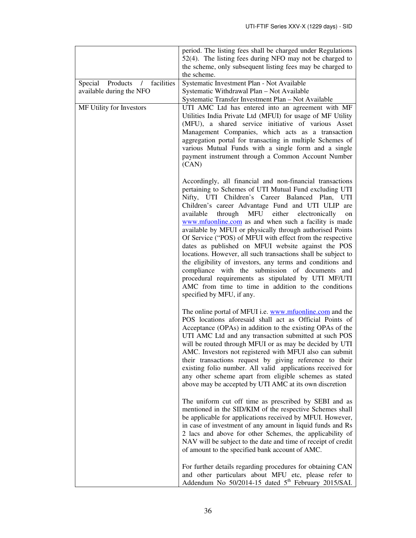| Products / facilities<br>Special | period. The listing fees shall be charged under Regulations<br>52(4). The listing fees during NFO may not be charged to<br>the scheme, only subsequent listing fees may be charged to<br>the scheme.                                                                                                                                                                                                                                                                                                                                                                                                                                                                                                                                                                                                                                                                  |
|----------------------------------|-----------------------------------------------------------------------------------------------------------------------------------------------------------------------------------------------------------------------------------------------------------------------------------------------------------------------------------------------------------------------------------------------------------------------------------------------------------------------------------------------------------------------------------------------------------------------------------------------------------------------------------------------------------------------------------------------------------------------------------------------------------------------------------------------------------------------------------------------------------------------|
| available during the NFO         | Systematic Investment Plan - Not Available<br>Systematic Withdrawal Plan - Not Available<br>Systematic Transfer Investment Plan - Not Available                                                                                                                                                                                                                                                                                                                                                                                                                                                                                                                                                                                                                                                                                                                       |
| MF Utility for Investors         | UTI AMC Ltd has entered into an agreement with MF<br>Utilities India Private Ltd (MFUI) for usage of MF Utility<br>(MFU), a shared service initiative of various Asset<br>Management Companies, which acts as a transaction<br>aggregation portal for transacting in multiple Schemes of<br>various Mutual Funds with a single form and a single<br>payment instrument through a Common Account Number<br>(CAN)                                                                                                                                                                                                                                                                                                                                                                                                                                                       |
|                                  | Accordingly, all financial and non-financial transactions<br>pertaining to Schemes of UTI Mutual Fund excluding UTI<br>Nifty, UTI Children's Career Balanced Plan, UTI<br>Children's career Advantage Fund and UTI ULIP<br>are<br>available<br>through<br>MFU<br>either<br>electronically<br>on<br>www.mfuonline.com as and when such a facility is made<br>available by MFUI or physically through authorised Points<br>Of Service ("POS) of MFUI with effect from the respective<br>dates as published on MFUI website against the POS<br>locations. However, all such transactions shall be subject to<br>the eligibility of investors, any terms and conditions and<br>compliance with the submission of documents and<br>procedural requirements as stipulated by UTI MF/UTI<br>AMC from time to time in addition to the conditions<br>specified by MFU, if any. |
|                                  | The online portal of MFUI i.e. www.mfuonline.com and the<br>POS locations aforesaid shall act as Official Points of<br>Acceptance (OPAs) in addition to the existing OPAs of the<br>UTI AMC Ltd and any transaction submitted at such POS<br>will be routed through MFUI or as may be decided by UTI<br>AMC. Investors not registered with MFUI also can submit<br>their transactions request by giving reference to their<br>existing folio number. All valid applications received for<br>any other scheme apart from eligible schemes as stated<br>above may be accepted by UTI AMC at its own discretion                                                                                                                                                                                                                                                          |
|                                  | The uniform cut off time as prescribed by SEBI and as<br>mentioned in the SID/KIM of the respective Schemes shall<br>be applicable for applications received by MFUI. However,<br>in case of investment of any amount in liquid funds and Rs<br>2 lacs and above for other Schemes, the applicability of<br>NAV will be subject to the date and time of receipt of credit<br>of amount to the specified bank account of AMC.                                                                                                                                                                                                                                                                                                                                                                                                                                          |
|                                  | For further details regarding procedures for obtaining CAN<br>and other particulars about MFU etc, please refer to<br>Addendum No $50/2014$ -15 dated $5th$ February 2015/SAI.                                                                                                                                                                                                                                                                                                                                                                                                                                                                                                                                                                                                                                                                                        |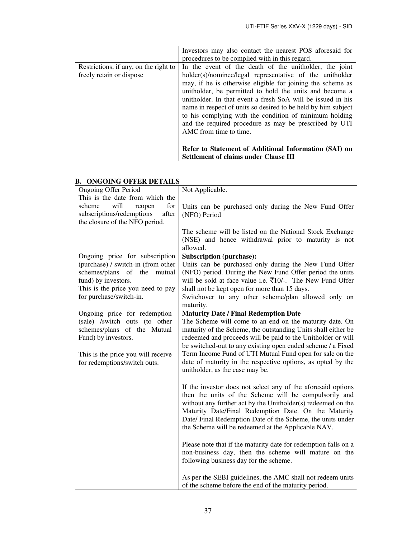|                                       | Investors may also contact the nearest POS aforesaid for      |
|---------------------------------------|---------------------------------------------------------------|
|                                       | procedures to be complied with in this regard.                |
| Restrictions, if any, on the right to | In the event of the death of the unitholder, the joint        |
| freely retain or dispose              | holder(s)/nominee/legal representative of the unitholder      |
|                                       | may, if he is otherwise eligible for joining the scheme as    |
|                                       | unitholder, be permitted to hold the units and become a       |
|                                       | unitholder. In that event a fresh SoA will be issued in his   |
|                                       | name in respect of units so desired to be held by him subject |
|                                       | to his complying with the condition of minimum holding        |
|                                       | and the required procedure as may be prescribed by UTI        |
|                                       | AMC from time to time.                                        |
|                                       |                                                               |
|                                       | Refer to Statement of Additional Information (SAI) on         |
|                                       | <b>Settlement of claims under Clause III</b>                  |

# **B. ONGOING OFFER DETAILS**

| <b>Ongoing Offer Period</b>        | Not Applicable.                                                       |
|------------------------------------|-----------------------------------------------------------------------|
| This is the date from which the    |                                                                       |
| scheme<br>will<br>reopen<br>for    | Units can be purchased only during the New Fund Offer                 |
| subscriptions/redemptions<br>after | (NFO) Period                                                          |
| the closure of the NFO period.     |                                                                       |
|                                    | The scheme will be listed on the National Stock Exchange              |
|                                    | (NSE) and hence withdrawal prior to maturity is not                   |
|                                    | allowed.                                                              |
| Ongoing price for subscription     | <b>Subscription (purchase):</b>                                       |
| (purchase) / switch-in (from other | Units can be purchased only during the New Fund Offer                 |
| schemes/plans of the<br>mutual     | (NFO) period. During the New Fund Offer period the units              |
| fund) by investors.                | will be sold at face value i.e. $\bar{\tau}10/-$ . The New Fund Offer |
| This is the price you need to pay  | shall not be kept open for more than 15 days.                         |
| for purchase/switch-in.            | Switchover to any other scheme/plan allowed only on                   |
|                                    | maturity.                                                             |
| Ongoing price for redemption       | <b>Maturity Date / Final Redemption Date</b>                          |
| (sale) /switch outs (to other      | The Scheme will come to an end on the maturity date. On               |
| schemes/plans of the Mutual        | maturity of the Scheme, the outstanding Units shall either be         |
| Fund) by investors.                | redeemed and proceeds will be paid to the Unitholder or will          |
|                                    | be switched-out to any existing open ended scheme / a Fixed           |
| This is the price you will receive | Term Income Fund of UTI Mutual Fund open for sale on the              |
| for redemptions/switch outs.       | date of maturity in the respective options, as opted by the           |
|                                    | unitholder, as the case may be.                                       |
|                                    |                                                                       |
|                                    | If the investor does not select any of the aforesaid options          |
|                                    | then the units of the Scheme will be compulsorily and                 |
|                                    | without any further act by the Unitholder(s) redeemed on the          |
|                                    | Maturity Date/Final Redemption Date. On the Maturity                  |
|                                    | Date/ Final Redemption Date of the Scheme, the units under            |
|                                    | the Scheme will be redeemed at the Applicable NAV.                    |
|                                    |                                                                       |
|                                    | Please note that if the maturity date for redemption falls on a       |
|                                    | non-business day, then the scheme will mature on the                  |
|                                    | following business day for the scheme.                                |
|                                    |                                                                       |
|                                    | As per the SEBI guidelines, the AMC shall not redeem units            |
|                                    | of the scheme before the end of the maturity period.                  |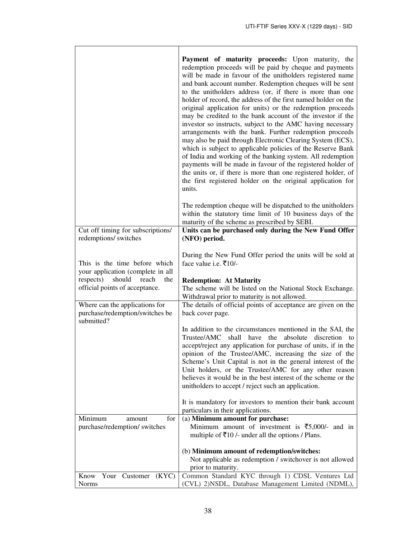|                                                                                                                                                                                                                                | Payment of maturity proceeds: Upon maturity, the<br>redemption proceeds will be paid by cheque and payments<br>will be made in favour of the unitholders registered name<br>and bank account number. Redemption cheques will be sent<br>to the unitholders address (or, if there is more than one<br>holder of record, the address of the first named holder on the<br>original application for units) or the redemption proceeds<br>may be credited to the bank account of the investor if the<br>investor so instructs, subject to the AMC having necessary<br>arrangements with the bank. Further redemption proceeds<br>may also be paid through Electronic Clearing System (ECS),<br>which is subject to applicable policies of the Reserve Bank<br>of India and working of the banking system. All redemption<br>payments will be made in favour of the registered holder of<br>the units or, if there is more than one registered holder, of<br>the first registered holder on the original application for<br>units.<br>The redemption cheque will be dispatched to the unitholders<br>within the statutory time limit of 10 business days of the |
|--------------------------------------------------------------------------------------------------------------------------------------------------------------------------------------------------------------------------------|-----------------------------------------------------------------------------------------------------------------------------------------------------------------------------------------------------------------------------------------------------------------------------------------------------------------------------------------------------------------------------------------------------------------------------------------------------------------------------------------------------------------------------------------------------------------------------------------------------------------------------------------------------------------------------------------------------------------------------------------------------------------------------------------------------------------------------------------------------------------------------------------------------------------------------------------------------------------------------------------------------------------------------------------------------------------------------------------------------------------------------------------------------------|
| Cut off timing for subscriptions/                                                                                                                                                                                              | maturity of the scheme as prescribed by SEBI.<br>Units can be purchased only during the New Fund Offer                                                                                                                                                                                                                                                                                                                                                                                                                                                                                                                                                                                                                                                                                                                                                                                                                                                                                                                                                                                                                                                    |
| redemptions/ switches                                                                                                                                                                                                          | (NFO) period.                                                                                                                                                                                                                                                                                                                                                                                                                                                                                                                                                                                                                                                                                                                                                                                                                                                                                                                                                                                                                                                                                                                                             |
| This is the time before which<br>your application (complete in all<br>respects)<br>should<br>reach<br>the<br>official points of acceptance.<br>Where can the applications for<br>purchase/redemption/switches be<br>submitted? | During the New Fund Offer period the units will be sold at<br>face value i.e. ₹10/-<br><b>Redemption: At Maturity</b><br>The scheme will be listed on the National Stock Exchange.<br>Withdrawal prior to maturity is not allowed.<br>The details of official points of acceptance are given on the<br>back cover page.<br>In addition to the circumstances mentioned in the SAI, the<br>Trustee/AMC<br>shall have the absolute discretion to<br>accept/reject any application for purchase of units, if in the<br>opinion of the Trustee/AMC, increasing the size of the<br>Scheme's Unit Capital is not in the general interest of the<br>Unit holders, or the Trustee/AMC for any other reason<br>believes it would be in the best interest of the scheme or the<br>unitholders to accept / reject such an application.<br>It is mandatory for investors to mention their bank account                                                                                                                                                                                                                                                                 |
| Minimum<br>for<br>amount                                                                                                                                                                                                       | particulars in their applications.<br>(a) Minimum amount for purchase:                                                                                                                                                                                                                                                                                                                                                                                                                                                                                                                                                                                                                                                                                                                                                                                                                                                                                                                                                                                                                                                                                    |
| purchase/redemption/ switches                                                                                                                                                                                                  | Minimum amount of investment is $\overline{\xi}$ 5,000/- and in<br>multiple of $\bar{\mathfrak{F}}10$ /- under all the options / Plans.                                                                                                                                                                                                                                                                                                                                                                                                                                                                                                                                                                                                                                                                                                                                                                                                                                                                                                                                                                                                                   |
|                                                                                                                                                                                                                                | (b) Minimum amount of redemption/switches:<br>Not applicable as redemption / switchover is not allowed                                                                                                                                                                                                                                                                                                                                                                                                                                                                                                                                                                                                                                                                                                                                                                                                                                                                                                                                                                                                                                                    |
|                                                                                                                                                                                                                                | prior to maturity.                                                                                                                                                                                                                                                                                                                                                                                                                                                                                                                                                                                                                                                                                                                                                                                                                                                                                                                                                                                                                                                                                                                                        |
| Your Customer (KYC)<br>Know                                                                                                                                                                                                    | Common Standard KYC through 1) CDSL Ventures Ltd                                                                                                                                                                                                                                                                                                                                                                                                                                                                                                                                                                                                                                                                                                                                                                                                                                                                                                                                                                                                                                                                                                          |
| Norms                                                                                                                                                                                                                          | (CVL) 2) NSDL, Database Management Limited (NDML),                                                                                                                                                                                                                                                                                                                                                                                                                                                                                                                                                                                                                                                                                                                                                                                                                                                                                                                                                                                                                                                                                                        |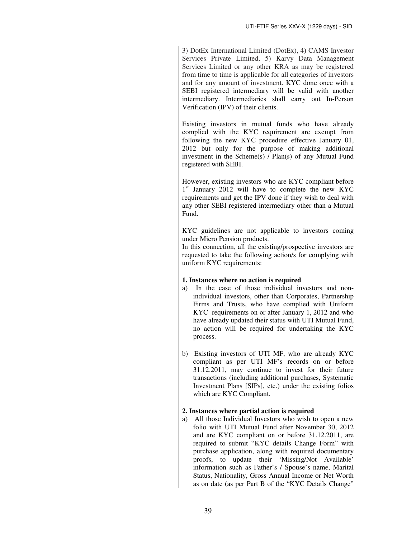| 3) DotEx International Limited (DotEx), 4) CAMS Investor<br>Services Private Limited, 5) Karvy Data Management<br>Services Limited or any other KRA as may be registered<br>from time to time is applicable for all categories of investors<br>and for any amount of investment. KYC done once with a<br>SEBI registered intermediary will be valid with another<br>intermediary. Intermediaries shall carry out In-Person<br>Verification (IPV) of their clients.                                                                                                   |
|----------------------------------------------------------------------------------------------------------------------------------------------------------------------------------------------------------------------------------------------------------------------------------------------------------------------------------------------------------------------------------------------------------------------------------------------------------------------------------------------------------------------------------------------------------------------|
| Existing investors in mutual funds who have already<br>complied with the KYC requirement are exempt from<br>following the new KYC procedure effective January 01,<br>2012 but only for the purpose of making additional<br>investment in the Scheme(s) / Plan(s) of any Mutual Fund<br>registered with SEBI.                                                                                                                                                                                                                                                         |
| However, existing investors who are KYC compliant before<br>1 <sup>st</sup> January 2012 will have to complete the new KYC<br>requirements and get the IPV done if they wish to deal with<br>any other SEBI registered intermediary other than a Mutual<br>Fund.                                                                                                                                                                                                                                                                                                     |
| KYC guidelines are not applicable to investors coming<br>under Micro Pension products.<br>In this connection, all the existing/prospective investors are<br>requested to take the following action/s for complying with<br>uniform KYC requirements:                                                                                                                                                                                                                                                                                                                 |
| 1. Instances where no action is required<br>In the case of those individual investors and non-<br>a)<br>individual investors, other than Corporates, Partnership<br>Firms and Trusts, who have complied with Uniform<br>KYC requirements on or after January 1, 2012 and who<br>have already updated their status with UTI Mutual Fund,<br>no action will be required for undertaking the KYC<br>process.                                                                                                                                                            |
| b) Existing investors of UTI MF, who are already KYC<br>compliant as per UTI MF's records on or before<br>31.12.2011, may continue to invest for their future<br>transactions (including additional purchases, Systematic<br>Investment Plans [SIPs], etc.) under the existing folios<br>which are KYC Compliant.                                                                                                                                                                                                                                                    |
| 2. Instances where partial action is required<br>All those Individual Investors who wish to open a new<br>a)<br>folio with UTI Mutual Fund after November 30, 2012<br>and are KYC compliant on or before 31.12.2011, are<br>required to submit "KYC details Change Form" with<br>purchase application, along with required documentary<br>proofs, to update their 'Missing/Not Available'<br>information such as Father's / Spouse's name, Marital<br>Status, Nationality, Gross Annual Income or Net Worth<br>as on date (as per Part B of the "KYC Details Change" |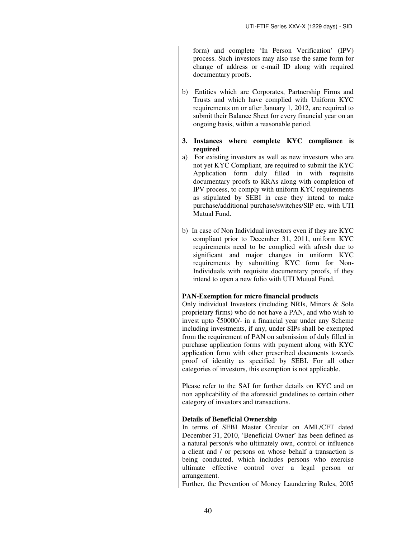| form) and complete 'In Person Verification' (IPV)<br>process. Such investors may also use the same form for<br>change of address or e-mail ID along with required<br>documentary proofs.                                                                                                                                                                                                                                                                                                                                                                                                                                           |
|------------------------------------------------------------------------------------------------------------------------------------------------------------------------------------------------------------------------------------------------------------------------------------------------------------------------------------------------------------------------------------------------------------------------------------------------------------------------------------------------------------------------------------------------------------------------------------------------------------------------------------|
| b) Entities which are Corporates, Partnership Firms and<br>Trusts and which have complied with Uniform KYC<br>requirements on or after January 1, 2012, are required to<br>submit their Balance Sheet for every financial year on an<br>ongoing basis, within a reasonable period.                                                                                                                                                                                                                                                                                                                                                 |
| Instances where complete KYC compliance is<br>3.<br>required<br>a) For existing investors as well as new investors who are<br>not yet KYC Compliant, are required to submit the KYC<br>Application form duly filled in with<br>requisite<br>documentary proofs to KRAs along with completion of<br>IPV process, to comply with uniform KYC requirements<br>as stipulated by SEBI in case they intend to make<br>purchase/additional purchase/switches/SIP etc. with UTI<br>Mutual Fund.                                                                                                                                            |
| b) In case of Non Individual investors even if they are KYC<br>compliant prior to December 31, 2011, uniform KYC<br>requirements need to be complied with afresh due to<br>significant and major changes in uniform KYC<br>requirements by submitting KYC form for Non-<br>Individuals with requisite documentary proofs, if they<br>intend to open a new folio with UTI Mutual Fund.                                                                                                                                                                                                                                              |
| <b>PAN-Exemption for micro financial products</b><br>Only individual Investors (including NRIs, Minors & Sole<br>proprietary firms) who do not have a PAN, and who wish to<br>invest upto $\overline{\xi}50000$ /- in a financial year under any Scheme<br>including investments, if any, under SIPs shall be exempted<br>from the requirement of PAN on submission of duly filled in<br>purchase application forms with payment along with KYC<br>application form with other prescribed documents towards<br>proof of identity as specified by SEBI. For all other<br>categories of investors, this exemption is not applicable. |
| Please refer to the SAI for further details on KYC and on<br>non applicability of the aforesaid guidelines to certain other<br>category of investors and transactions.                                                                                                                                                                                                                                                                                                                                                                                                                                                             |
| <b>Details of Beneficial Ownership</b><br>In terms of SEBI Master Circular on AML/CFT dated<br>December 31, 2010, 'Beneficial Owner' has been defined as<br>a natural person/s who ultimately own, control or influence<br>a client and / or persons on whose behalf a transaction is<br>being conducted, which includes persons who exercise<br>ultimate effective control over a legal person or<br>arrangement.<br>Further, the Prevention of Money Laundering Rules, 2005                                                                                                                                                      |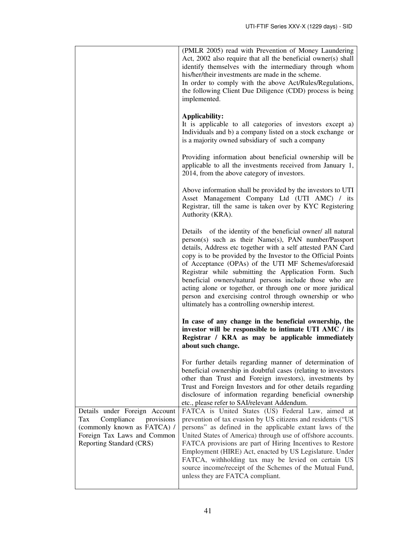|                                                                                                                                                                   | (PMLR 2005) read with Prevention of Money Laundering<br>Act, 2002 also require that all the beneficial owner(s) shall<br>identify themselves with the intermediary through whom<br>his/her/their investments are made in the scheme.<br>In order to comply with the above Act/Rules/Regulations,<br>the following Client Due Diligence (CDD) process is being<br>implemented.                                                                                                                                                                                                                                |
|-------------------------------------------------------------------------------------------------------------------------------------------------------------------|--------------------------------------------------------------------------------------------------------------------------------------------------------------------------------------------------------------------------------------------------------------------------------------------------------------------------------------------------------------------------------------------------------------------------------------------------------------------------------------------------------------------------------------------------------------------------------------------------------------|
|                                                                                                                                                                   | Applicability:<br>It is applicable to all categories of investors except a)<br>Individuals and b) a company listed on a stock exchange or<br>is a majority owned subsidiary of such a company                                                                                                                                                                                                                                                                                                                                                                                                                |
|                                                                                                                                                                   | Providing information about beneficial ownership will be<br>applicable to all the investments received from January 1,<br>2014, from the above category of investors.                                                                                                                                                                                                                                                                                                                                                                                                                                        |
|                                                                                                                                                                   | Above information shall be provided by the investors to UTI<br>Asset Management Company Ltd (UTI AMC) / its<br>Registrar, till the same is taken over by KYC Registering<br>Authority (KRA).                                                                                                                                                                                                                                                                                                                                                                                                                 |
|                                                                                                                                                                   | Details of the identity of the beneficial owner/ all natural<br>person(s) such as their Name(s), PAN number/Passport<br>details, Address etc together with a self attested PAN Card<br>copy is to be provided by the Investor to the Official Points<br>of Acceptance (OPAs) of the UTI MF Schemes/aforesaid<br>Registrar while submitting the Application Form. Such<br>beneficial owners/natural persons include those who are<br>acting alone or together, or through one or more juridical<br>person and exercising control through ownership or who<br>ultimately has a controlling ownership interest. |
|                                                                                                                                                                   | In case of any change in the beneficial ownership, the<br>investor will be responsible to intimate UTI AMC / its<br>Registrar / KRA as may be applicable immediately<br>about such change.                                                                                                                                                                                                                                                                                                                                                                                                                   |
|                                                                                                                                                                   | For further details regarding manner of determination of<br>beneficial ownership in doubtful cases (relating to investors<br>other than Trust and Foreign investors), investments by<br>Trust and Foreign Investors and for other details regarding<br>disclosure of information regarding beneficial ownership<br>etc., please refer to SAI/relevant Addendum.                                                                                                                                                                                                                                              |
| Details under Foreign Account<br>Compliance<br>Tax<br>provisions<br>(commonly known as FATCA) /<br>Foreign Tax Laws and Common<br><b>Reporting Standard (CRS)</b> | FATCA is United States (US) Federal Law, aimed at<br>prevention of tax evasion by US citizens and residents ("US<br>persons" as defined in the applicable extant laws of the<br>United States of America) through use of offshore accounts.<br>FATCA provisions are part of Hiring Incentives to Restore<br>Employment (HIRE) Act, enacted by US Legislature. Under<br>FATCA, withholding tax may be levied on certain US<br>source income/receipt of the Schemes of the Mutual Fund,<br>unless they are FATCA compliant.                                                                                    |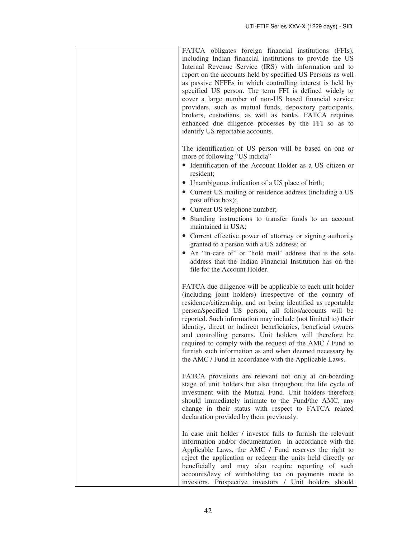| FATCA obligates foreign financial institutions (FFIs),<br>including Indian financial institutions to provide the US<br>Internal Revenue Service (IRS) with information and to<br>report on the accounts held by specified US Persons as well<br>as passive NFFEs in which controlling interest is held by<br>specified US person. The term FFI is defined widely to<br>cover a large number of non-US based financial service<br>providers, such as mutual funds, depository participants,<br>brokers, custodians, as well as banks. FATCA requires<br>enhanced due diligence processes by the FFI so as to<br>identify US reportable accounts. |
|-------------------------------------------------------------------------------------------------------------------------------------------------------------------------------------------------------------------------------------------------------------------------------------------------------------------------------------------------------------------------------------------------------------------------------------------------------------------------------------------------------------------------------------------------------------------------------------------------------------------------------------------------|
| The identification of US person will be based on one or<br>more of following "US indicia"-<br>• Identification of the Account Holder as a US citizen or<br>resident;<br>• Unambiguous indication of a US place of birth;<br>• Current US mailing or residence address (including a US<br>post office box);<br>• Current US telephone number;                                                                                                                                                                                                                                                                                                    |
| • Standing instructions to transfer funds to an account<br>maintained in USA;<br>• Current effective power of attorney or signing authority<br>granted to a person with a US address; or<br>An "in-care of" or "hold mail" address that is the sole<br>address that the Indian Financial Institution has on the<br>file for the Account Holder.                                                                                                                                                                                                                                                                                                 |
| FATCA due diligence will be applicable to each unit holder<br>(including joint holders) irrespective of the country of<br>residence/citizenship, and on being identified as reportable<br>person/specified US person, all folios/accounts will be<br>reported. Such information may include (not limited to) their<br>identity, direct or indirect beneficiaries, beneficial owners<br>and controlling persons. Unit holders will therefore be<br>required to comply with the request of the AMC / Fund to<br>furnish such information as and when deemed necessary by<br>the AMC / Fund in accordance with the Applicable Laws.                |
| FATCA provisions are relevant not only at on-boarding<br>stage of unit holders but also throughout the life cycle of<br>investment with the Mutual Fund. Unit holders therefore<br>should immediately intimate to the Fund/the AMC, any<br>change in their status with respect to FATCA related<br>declaration provided by them previously.                                                                                                                                                                                                                                                                                                     |
| In case unit holder / investor fails to furnish the relevant<br>information and/or documentation in accordance with the<br>Applicable Laws, the AMC / Fund reserves the right to<br>reject the application or redeem the units held directly or<br>beneficially and may also require reporting of such<br>accounts/levy of withholding tax on payments made to<br>investors. Prospective investors / Unit holders should                                                                                                                                                                                                                        |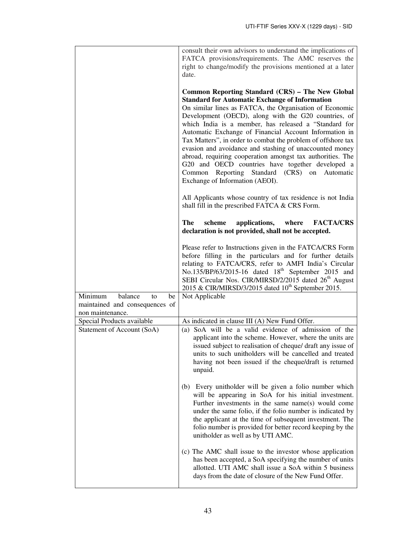|                                                                                      | consult their own advisors to understand the implications of<br>FATCA provisions/requirements. The AMC reserves the<br>right to change/modify the provisions mentioned at a later<br>date.                                                                                                                                                                                                                                                                                                                                                                                                                                                                                         |
|--------------------------------------------------------------------------------------|------------------------------------------------------------------------------------------------------------------------------------------------------------------------------------------------------------------------------------------------------------------------------------------------------------------------------------------------------------------------------------------------------------------------------------------------------------------------------------------------------------------------------------------------------------------------------------------------------------------------------------------------------------------------------------|
|                                                                                      | Common Reporting Standard (CRS) – The New Global<br><b>Standard for Automatic Exchange of Information</b><br>On similar lines as FATCA, the Organisation of Economic<br>Development (OECD), along with the G20 countries, of<br>which India is a member, has released a "Standard for<br>Automatic Exchange of Financial Account Information in<br>Tax Matters", in order to combat the problem of offshore tax<br>evasion and avoidance and stashing of unaccounted money<br>abroad, requiring cooperation amongst tax authorities. The<br>G20 and OECD countries have together developed a<br>Common Reporting Standard (CRS) on<br>Automatic<br>Exchange of Information (AEOI). |
|                                                                                      | All Applicants whose country of tax residence is not India<br>shall fill in the prescribed FATCA & CRS Form.                                                                                                                                                                                                                                                                                                                                                                                                                                                                                                                                                                       |
|                                                                                      | The<br>applications,<br>where<br><b>FACTA/CRS</b><br>scheme<br>declaration is not provided, shall not be accepted.                                                                                                                                                                                                                                                                                                                                                                                                                                                                                                                                                                 |
|                                                                                      | Please refer to Instructions given in the FATCA/CRS Form<br>before filling in the particulars and for further details<br>relating to FATCA/CRS, refer to AMFI India's Circular<br>No.135/BP/63/2015-16 dated 18 <sup>th</sup> September 2015 and<br>SEBI Circular Nos. CIR/MIRSD/2/2015 dated 26 <sup>th</sup> August<br>2015 & CIR/MIRSD/3/2015 dated 10 <sup>th</sup> September 2015.                                                                                                                                                                                                                                                                                            |
| Minimum<br>balance<br>to<br>be<br>maintained and consequences of<br>non maintenance. | Not Applicable                                                                                                                                                                                                                                                                                                                                                                                                                                                                                                                                                                                                                                                                     |
| Special Products available                                                           | As indicated in clause III (A) New Fund Offer.                                                                                                                                                                                                                                                                                                                                                                                                                                                                                                                                                                                                                                     |
| Statement of Account (SoA)                                                           | (a) SoA will be a valid evidence of admission of the<br>applicant into the scheme. However, where the units are<br>issued subject to realisation of cheque/ draft any issue of<br>units to such unitholders will be cancelled and treated<br>having not been issued if the cheque/draft is returned<br>unpaid.                                                                                                                                                                                                                                                                                                                                                                     |
|                                                                                      | (b) Every unitholder will be given a folio number which<br>will be appearing in SoA for his initial investment.<br>Further investments in the same name(s) would come<br>under the same folio, if the folio number is indicated by<br>the applicant at the time of subsequent investment. The<br>folio number is provided for better record keeping by the<br>unitholder as well as by UTI AMC.                                                                                                                                                                                                                                                                                    |
|                                                                                      | (c) The AMC shall issue to the investor whose application<br>has been accepted, a SoA specifying the number of units<br>allotted. UTI AMC shall issue a SoA within 5 business<br>days from the date of closure of the New Fund Offer.                                                                                                                                                                                                                                                                                                                                                                                                                                              |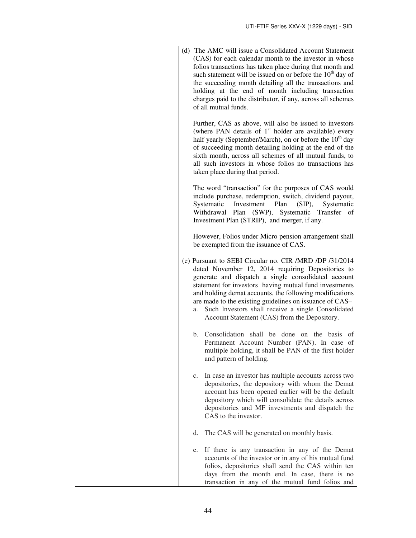| (d) The AMC will issue a Consolidated Account Statement<br>(CAS) for each calendar month to the investor in whose<br>folios transactions has taken place during that month and<br>such statement will be issued on or before the $10th$ day of<br>the succeeding month detailing all the transactions and<br>holding at the end of month including transaction<br>charges paid to the distributor, if any, across all schemes<br>of all mutual funds.<br>Further, CAS as above, will also be issued to investors |
|------------------------------------------------------------------------------------------------------------------------------------------------------------------------------------------------------------------------------------------------------------------------------------------------------------------------------------------------------------------------------------------------------------------------------------------------------------------------------------------------------------------|
| (where PAN details of $1st$ holder are available) every<br>half yearly (September/March), on or before the 10 <sup>th</sup> day<br>of succeeding month detailing holding at the end of the<br>sixth month, across all schemes of all mutual funds, to<br>all such investors in whose folios no transactions has<br>taken place during that period.                                                                                                                                                               |
| The word "transaction" for the purposes of CAS would<br>include purchase, redemption, switch, dividend payout,<br>Systematic<br>Systematic<br>Investment<br>Plan<br>$(SIP)$ ,<br>Withdrawal Plan (SWP), Systematic Transfer of<br>Investment Plan (STRIP), and merger, if any.                                                                                                                                                                                                                                   |
| However, Folios under Micro pension arrangement shall<br>be exempted from the issuance of CAS.                                                                                                                                                                                                                                                                                                                                                                                                                   |
| (e) Pursuant to SEBI Circular no. CIR /MRD /DP /31/2014<br>dated November 12, 2014 requiring Depositories to<br>generate and dispatch a single consolidated account<br>statement for investors having mutual fund investments<br>and holding demat accounts, the following modifications<br>are made to the existing guidelines on issuance of CAS-<br>Such Investors shall receive a single Consolidated<br>a.<br>Account Statement (CAS) from the Depository.                                                  |
| Consolidation shall be done on the basis of<br>b.<br>Permanent Account Number (PAN). In case of<br>multiple holding, it shall be PAN of the first holder<br>and pattern of holding.                                                                                                                                                                                                                                                                                                                              |
| In case an investor has multiple accounts across two<br>c.<br>depositories, the depository with whom the Demat<br>account has been opened earlier will be the default<br>depository which will consolidate the details across<br>depositories and MF investments and dispatch the<br>CAS to the investor.                                                                                                                                                                                                        |
| The CAS will be generated on monthly basis.<br>d.                                                                                                                                                                                                                                                                                                                                                                                                                                                                |
| If there is any transaction in any of the Demat<br>e.<br>accounts of the investor or in any of his mutual fund<br>folios, depositories shall send the CAS within ten<br>days from the month end. In case, there is no<br>transaction in any of the mutual fund folios and                                                                                                                                                                                                                                        |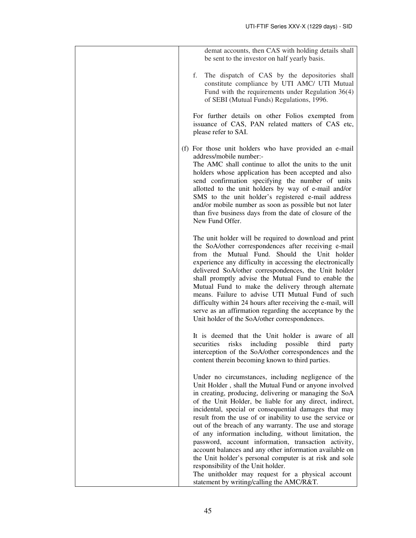| demat accounts, then CAS with holding details shall                                                                                                                                                                                                                                                                                                                                                                                                                                                                                                                                                                                                                                            |
|------------------------------------------------------------------------------------------------------------------------------------------------------------------------------------------------------------------------------------------------------------------------------------------------------------------------------------------------------------------------------------------------------------------------------------------------------------------------------------------------------------------------------------------------------------------------------------------------------------------------------------------------------------------------------------------------|
| be sent to the investor on half yearly basis.                                                                                                                                                                                                                                                                                                                                                                                                                                                                                                                                                                                                                                                  |
| The dispatch of CAS by the depositories shall<br>f.<br>constitute compliance by UTI AMC/ UTI Mutual<br>Fund with the requirements under Regulation $36(4)$<br>of SEBI (Mutual Funds) Regulations, 1996.                                                                                                                                                                                                                                                                                                                                                                                                                                                                                        |
| For further details on other Folios exempted from<br>issuance of CAS, PAN related matters of CAS etc,<br>please refer to SAI.                                                                                                                                                                                                                                                                                                                                                                                                                                                                                                                                                                  |
| (f) For those unit holders who have provided an e-mail<br>address/mobile number:-<br>The AMC shall continue to allot the units to the unit<br>holders whose application has been accepted and also<br>send confirmation specifying the number of units<br>allotted to the unit holders by way of e-mail and/or<br>SMS to the unit holder's registered e-mail address<br>and/or mobile number as soon as possible but not later<br>than five business days from the date of closure of the<br>New Fund Offer.                                                                                                                                                                                   |
| The unit holder will be required to download and print<br>the SoA/other correspondences after receiving e-mail<br>from the Mutual Fund. Should the Unit holder<br>experience any difficulty in accessing the electronically<br>delivered SoA/other correspondences, the Unit holder<br>shall promptly advise the Mutual Fund to enable the<br>Mutual Fund to make the delivery through alternate<br>means. Failure to advise UTI Mutual Fund of such<br>difficulty within 24 hours after receiving the e-mail, will<br>serve as an affirmation regarding the acceptance by the<br>Unit holder of the SoA/other correspondences.                                                                |
| It is deemed that the Unit holder is aware of all<br>risks<br>including<br>securities<br>possible<br>third<br>party<br>interception of the SoA/other correspondences and the<br>content therein becoming known to third parties.                                                                                                                                                                                                                                                                                                                                                                                                                                                               |
| Under no circumstances, including negligence of the<br>Unit Holder, shall the Mutual Fund or anyone involved<br>in creating, producing, delivering or managing the SoA<br>of the Unit Holder, be liable for any direct, indirect,<br>incidental, special or consequential damages that may<br>result from the use of or inability to use the service or<br>out of the breach of any warranty. The use and storage<br>of any information including, without limitation, the<br>password, account information, transaction activity,<br>account balances and any other information available on<br>the Unit holder's personal computer is at risk and sole<br>responsibility of the Unit holder. |
| The unitholder may request for a physical account<br>statement by writing/calling the AMC/R&T.                                                                                                                                                                                                                                                                                                                                                                                                                                                                                                                                                                                                 |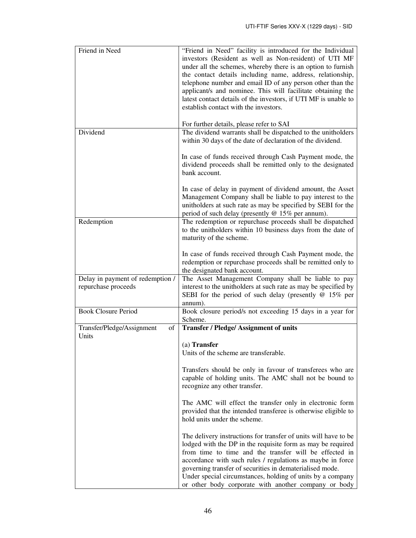| Friend in Need                                          | "Friend in Need" facility is introduced for the Individual<br>investors (Resident as well as Non-resident) of UTI MF<br>under all the schemes, whereby there is an option to furnish<br>the contact details including name, address, relationship,<br>telephone number and email ID of any person other than the<br>applicant/s and nominee. This will facilitate obtaining the<br>latest contact details of the investors, if UTI MF is unable to<br>establish contact with the investors. |
|---------------------------------------------------------|---------------------------------------------------------------------------------------------------------------------------------------------------------------------------------------------------------------------------------------------------------------------------------------------------------------------------------------------------------------------------------------------------------------------------------------------------------------------------------------------|
| Dividend                                                | For further details, please refer to SAI<br>The dividend warrants shall be dispatched to the unitholders<br>within 30 days of the date of declaration of the dividend.                                                                                                                                                                                                                                                                                                                      |
|                                                         | In case of funds received through Cash Payment mode, the<br>dividend proceeds shall be remitted only to the designated<br>bank account.                                                                                                                                                                                                                                                                                                                                                     |
|                                                         | In case of delay in payment of dividend amount, the Asset<br>Management Company shall be liable to pay interest to the<br>unitholders at such rate as may be specified by SEBI for the<br>period of such delay (presently @ 15% per annum).                                                                                                                                                                                                                                                 |
| Redemption                                              | The redemption or repurchase proceeds shall be dispatched<br>to the unitholders within 10 business days from the date of<br>maturity of the scheme.                                                                                                                                                                                                                                                                                                                                         |
|                                                         | In case of funds received through Cash Payment mode, the<br>redemption or repurchase proceeds shall be remitted only to<br>the designated bank account.                                                                                                                                                                                                                                                                                                                                     |
| Delay in payment of redemption /<br>repurchase proceeds | The Asset Management Company shall be liable to pay<br>interest to the unitholders at such rate as may be specified by<br>SEBI for the period of such delay (presently $@15\%$ per<br>annum).                                                                                                                                                                                                                                                                                               |
| <b>Book Closure Period</b>                              | Book closure period/s not exceeding 15 days in a year for<br>Scheme.                                                                                                                                                                                                                                                                                                                                                                                                                        |
| Transfer/Pledge/Assignment<br>of<br>Units               | <b>Transfer / Pledge/ Assignment of units</b>                                                                                                                                                                                                                                                                                                                                                                                                                                               |
|                                                         | $(a)$ Transfer<br>Units of the scheme are transferable.                                                                                                                                                                                                                                                                                                                                                                                                                                     |
|                                                         | Transfers should be only in favour of transferees who are<br>capable of holding units. The AMC shall not be bound to<br>recognize any other transfer.                                                                                                                                                                                                                                                                                                                                       |
|                                                         | The AMC will effect the transfer only in electronic form<br>provided that the intended transferee is otherwise eligible to<br>hold units under the scheme.                                                                                                                                                                                                                                                                                                                                  |
|                                                         | The delivery instructions for transfer of units will have to be<br>lodged with the DP in the requisite form as may be required<br>from time to time and the transfer will be effected in<br>accordance with such rules / regulations as maybe in force<br>governing transfer of securities in dematerialised mode.<br>Under special circumstances, holding of units by a company<br>or other body corporate with another company or body                                                    |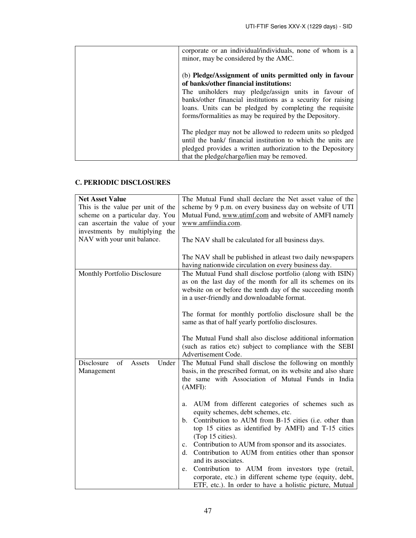| corporate or an individual/individuals, none of whom is a<br>minor, may be considered by the AMC.                                                                                                                                         |
|-------------------------------------------------------------------------------------------------------------------------------------------------------------------------------------------------------------------------------------------|
| (b) Pledge/Assignment of units permitted only in favour<br>of banks/other financial institutions:                                                                                                                                         |
| The uniholders may pledge/assign units in favour of<br>banks/other financial institutions as a security for raising<br>loans. Units can be pledged by completing the requisite<br>forms/formalities as may be required by the Depository. |
| The pledger may not be allowed to redeem units so pledged<br>until the bank/ financial institution to which the units are<br>pledged provides a written authorization to the Depository<br>that the pledge/charge/lien may be removed.    |

# **C. PERIODIC DISCLOSURES**

| <b>Net Asset Value</b>                            | The Mutual Fund shall declare the Net asset value of the                                                                                                                                                                                                                                                                                                                                                                                                                                                                                                                 |
|---------------------------------------------------|--------------------------------------------------------------------------------------------------------------------------------------------------------------------------------------------------------------------------------------------------------------------------------------------------------------------------------------------------------------------------------------------------------------------------------------------------------------------------------------------------------------------------------------------------------------------------|
| This is the value per unit of the                 | scheme by 9 p.m. on every business day on website of UTI                                                                                                                                                                                                                                                                                                                                                                                                                                                                                                                 |
| scheme on a particular day. You                   | Mutual Fund, www.utimf.com and website of AMFI namely                                                                                                                                                                                                                                                                                                                                                                                                                                                                                                                    |
| can ascertain the value of your                   | www.amfiindia.com.                                                                                                                                                                                                                                                                                                                                                                                                                                                                                                                                                       |
| investments by multiplying the                    |                                                                                                                                                                                                                                                                                                                                                                                                                                                                                                                                                                          |
| NAV with your unit balance.                       | The NAV shall be calculated for all business days.                                                                                                                                                                                                                                                                                                                                                                                                                                                                                                                       |
|                                                   | The NAV shall be published in atleast two daily newspapers<br>having nationwide circulation on every business day.                                                                                                                                                                                                                                                                                                                                                                                                                                                       |
| Monthly Portfolio Disclosure                      | The Mutual Fund shall disclose portfolio (along with ISIN)<br>as on the last day of the month for all its schemes on its<br>website on or before the tenth day of the succeeding month<br>in a user-friendly and downloadable format.                                                                                                                                                                                                                                                                                                                                    |
|                                                   | The format for monthly portfolio disclosure shall be the<br>same as that of half yearly portfolio disclosures.                                                                                                                                                                                                                                                                                                                                                                                                                                                           |
|                                                   | The Mutual Fund shall also disclose additional information<br>(such as ratios etc) subject to compliance with the SEBI<br>Advertisement Code.                                                                                                                                                                                                                                                                                                                                                                                                                            |
| Disclosure<br>of<br>Under<br>Assets<br>Management | The Mutual Fund shall disclose the following on monthly<br>basis, in the prescribed format, on its website and also share<br>the same with Association of Mutual Funds in India<br>(AMFI):                                                                                                                                                                                                                                                                                                                                                                               |
|                                                   | AUM from different categories of schemes such as<br>a.<br>equity schemes, debt schemes, etc.<br>Contribution to AUM from B-15 cities (i.e. other than<br>b.<br>top 15 cities as identified by AMFI) and T-15 cities<br>(Top 15 cities).<br>c. Contribution to AUM from sponsor and its associates.<br>Contribution to AUM from entities other than sponsor<br>d.<br>and its associates.<br>Contribution to AUM from investors type (retail,<br>e.<br>corporate, etc.) in different scheme type (equity, debt,<br>ETF, etc.). In order to have a holistic picture, Mutual |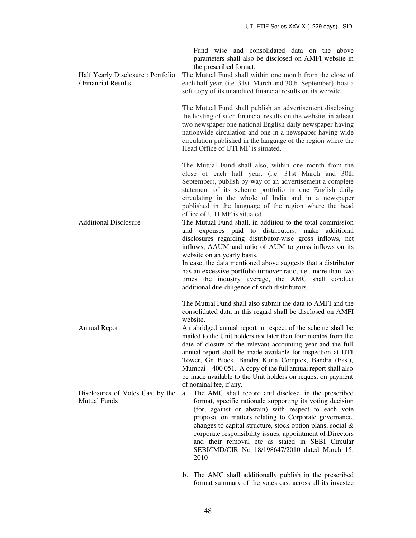|                                                          | Fund wise and consolidated data on the<br>above<br>parameters shall also be disclosed on AMFI website in<br>the prescribed format.                                                                                                                                                                                                                                                                                                                                                                                       |
|----------------------------------------------------------|--------------------------------------------------------------------------------------------------------------------------------------------------------------------------------------------------------------------------------------------------------------------------------------------------------------------------------------------------------------------------------------------------------------------------------------------------------------------------------------------------------------------------|
| Half Yearly Disclosure: Portfolio<br>/ Financial Results | The Mutual Fund shall within one month from the close of<br>each half year, (i.e. 31st March and 30th September), host a<br>soft copy of its unaudited financial results on its website.                                                                                                                                                                                                                                                                                                                                 |
|                                                          | The Mutual Fund shall publish an advertisement disclosing<br>the hosting of such financial results on the website, in atleast<br>two newspaper one national English daily newspaper having<br>nationwide circulation and one in a newspaper having wide<br>circulation published in the language of the region where the<br>Head Office of UTI MF is situated.                                                                                                                                                           |
|                                                          | The Mutual Fund shall also, within one month from the<br>close of each half year, (i.e. 31st March and 30th<br>September), publish by way of an advertisement a complete<br>statement of its scheme portfolio in one English daily<br>circulating in the whole of India and in a newspaper<br>published in the language of the region where the head<br>office of UTI MF is situated.                                                                                                                                    |
| <b>Additional Disclosure</b>                             | The Mutual Fund shall, in addition to the total commission<br>and expenses paid to distributors, make additional<br>disclosures regarding distributor-wise gross inflows, net<br>inflows, AAUM and ratio of AUM to gross inflows on its<br>website on an yearly basis.<br>In case, the data mentioned above suggests that a distributor<br>has an excessive portfolio turnover ratio, <i>i.e.</i> , more than two<br>times the industry average, the AMC shall conduct<br>additional due-diligence of such distributors. |
|                                                          | The Mutual Fund shall also submit the data to AMFI and the<br>consolidated data in this regard shall be disclosed on AMFI<br>website.                                                                                                                                                                                                                                                                                                                                                                                    |
| <b>Annual Report</b>                                     | An abridged annual report in respect of the scheme shall be<br>mailed to the Unit holders not later than four months from the<br>date of closure of the relevant accounting year and the full<br>annual report shall be made available for inspection at UTI<br>Tower, Gn Block, Bandra Kurla Complex, Bandra (East),<br>Mumbai – 400 051. A copy of the full annual report shall also<br>be made available to the Unit holders on request on payment<br>of nominal fee, if any.                                         |
| Disclosures of Votes Cast by the<br><b>Mutual Funds</b>  | The AMC shall record and disclose, in the prescribed<br>a.<br>format, specific rationale supporting its voting decision<br>(for, against or abstain) with respect to each vote<br>proposal on matters relating to Corporate governance,<br>changes to capital structure, stock option plans, social &<br>corporate responsibility issues, appointment of Directors<br>and their removal etc as stated in SEBI Circular<br>SEBI/IMD/CIR No 18/198647/2010 dated March 15,<br>2010                                         |
|                                                          | The AMC shall additionally publish in the prescribed<br>b.<br>format summary of the votes cast across all its investee                                                                                                                                                                                                                                                                                                                                                                                                   |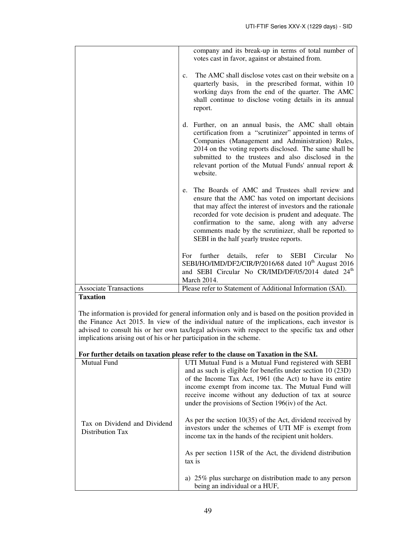|                                          | company and its break-up in terms of total number of<br>votes cast in favor, against or abstained from.                                                                                                                                                                                                                                                                                           |
|------------------------------------------|---------------------------------------------------------------------------------------------------------------------------------------------------------------------------------------------------------------------------------------------------------------------------------------------------------------------------------------------------------------------------------------------------|
|                                          | The AMC shall disclose votes cast on their website on a<br>$\mathbf{c}$ .<br>quarterly basis, in the prescribed format, within 10<br>working days from the end of the quarter. The AMC<br>shall continue to disclose voting details in its annual<br>report.                                                                                                                                      |
|                                          | d. Further, on an annual basis, the AMC shall obtain<br>certification from a "scrutinizer" appointed in terms of<br>Companies (Management and Administration) Rules,<br>2014 on the voting reports disclosed. The same shall be<br>submitted to the trustees and also disclosed in the<br>relevant portion of the Mutual Funds' annual report &<br>website.                                       |
|                                          | The Boards of AMC and Trustees shall review and<br>e.<br>ensure that the AMC has voted on important decisions<br>that may affect the interest of investors and the rationale<br>recorded for vote decision is prudent and adequate. The<br>confirmation to the same, along with any adverse<br>comments made by the scrutinizer, shall be reported to<br>SEBI in the half yearly trustee reports. |
|                                          | further details, refer to SEBI Circular<br>No<br>For<br>SEBI/HO/IMD/DF2/CIR/P/2016/68 dated 10 <sup>th</sup> August 2016<br>and SEBI Circular No CR/IMD/DF/05/2014 dated 24 <sup>th</sup><br><b>March 2014.</b>                                                                                                                                                                                   |
| <b>Associate Transactions</b><br>$\cdot$ | Please refer to Statement of Additional Information (SAI).                                                                                                                                                                                                                                                                                                                                        |

# **Taxation**

The information is provided for general information only and is based on the position provided in the Finance Act 2015. In view of the individual nature of the implications, each investor is advised to consult his or her own tax/legal advisors with respect to the specific tax and other implications arising out of his or her participation in the scheme.

# **For further details on taxation please refer to the clause on Taxation in the SAI.**

| Mutual Fund                                      | UTI Mutual Fund is a Mutual Fund registered with SEBI<br>and as such is eligible for benefits under section $10(23D)$<br>of the Income Tax Act, 1961 (the Act) to have its entire<br>income exempt from income tax. The Mutual Fund will<br>receive income without any deduction of tax at source<br>under the provisions of Section 196(iv) of the Act. |
|--------------------------------------------------|----------------------------------------------------------------------------------------------------------------------------------------------------------------------------------------------------------------------------------------------------------------------------------------------------------------------------------------------------------|
| Tax on Dividend and Dividend<br>Distribution Tax | As per the section $10(35)$ of the Act, dividend received by<br>investors under the schemes of UTI MF is exempt from<br>income tax in the hands of the recipient unit holders.                                                                                                                                                                           |
|                                                  | As per section 115R of the Act, the dividend distribution<br>tax is                                                                                                                                                                                                                                                                                      |
|                                                  | a) 25% plus surcharge on distribution made to any person<br>being an individual or a HUF,                                                                                                                                                                                                                                                                |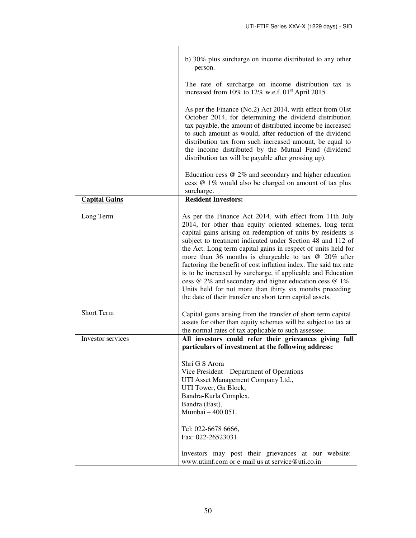|                      | b) 30% plus surcharge on income distributed to any other<br>person.                                                                                                                                                                                                                                                                                                                                                                                                                                                                                                                                                                                                                                           |  |  |
|----------------------|---------------------------------------------------------------------------------------------------------------------------------------------------------------------------------------------------------------------------------------------------------------------------------------------------------------------------------------------------------------------------------------------------------------------------------------------------------------------------------------------------------------------------------------------------------------------------------------------------------------------------------------------------------------------------------------------------------------|--|--|
|                      | The rate of surcharge on income distribution tax is<br>increased from 10% to 12% w.e.f. 01 <sup>st</sup> April 2015.                                                                                                                                                                                                                                                                                                                                                                                                                                                                                                                                                                                          |  |  |
|                      | As per the Finance (No.2) Act 2014, with effect from 01st<br>October 2014, for determining the dividend distribution<br>tax payable, the amount of distributed income be increased<br>to such amount as would, after reduction of the dividend<br>distribution tax from such increased amount, be equal to<br>the income distributed by the Mutual Fund (dividend<br>distribution tax will be payable after grossing up).                                                                                                                                                                                                                                                                                     |  |  |
|                      | Education cess $@2\%$ and secondary and higher education<br>cess @ 1% would also be charged on amount of tax plus<br>surcharge.                                                                                                                                                                                                                                                                                                                                                                                                                                                                                                                                                                               |  |  |
| <b>Capital Gains</b> | <b>Resident Investors:</b>                                                                                                                                                                                                                                                                                                                                                                                                                                                                                                                                                                                                                                                                                    |  |  |
| Long Term            | As per the Finance Act 2014, with effect from 11th July<br>2014, for other than equity oriented schemes, long term<br>capital gains arising on redemption of units by residents is<br>subject to treatment indicated under Section 48 and 112 of<br>the Act. Long term capital gains in respect of units held for<br>more than 36 months is chargeable to tax $\omega$ 20% after<br>factoring the benefit of cost inflation index. The said tax rate<br>is to be increased by surcharge, if applicable and Education<br>cess $@2\%$ and secondary and higher education cess $@1\%$ .<br>Units held for not more than thirty six months preceding<br>the date of their transfer are short term capital assets. |  |  |
| <b>Short Term</b>    | Capital gains arising from the transfer of short term capital<br>assets for other than equity schemes will be subject to tax at<br>the normal rates of tax applicable to such assessee.                                                                                                                                                                                                                                                                                                                                                                                                                                                                                                                       |  |  |
| Investor services    | All investors could refer their grievances giving full<br>particulars of investment at the following address:                                                                                                                                                                                                                                                                                                                                                                                                                                                                                                                                                                                                 |  |  |
|                      | Shri G S Arora<br>Vice President – Department of Operations<br>UTI Asset Management Company Ltd.,<br>UTI Tower, Gn Block,<br>Bandra-Kurla Complex,<br>Bandra (East),<br>Mumbai - 400 051.                                                                                                                                                                                                                                                                                                                                                                                                                                                                                                                     |  |  |
|                      | Tel: 022-6678 6666,<br>Fax: 022-26523031                                                                                                                                                                                                                                                                                                                                                                                                                                                                                                                                                                                                                                                                      |  |  |
|                      | Investors may post their grievances at our website:<br>www.utimf.com or e-mail us at service@uti.co.in                                                                                                                                                                                                                                                                                                                                                                                                                                                                                                                                                                                                        |  |  |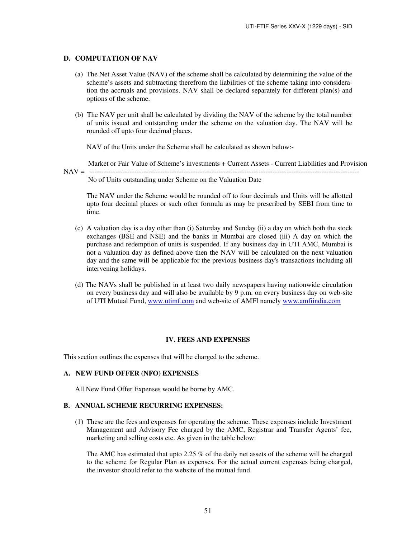#### **D. COMPUTATION OF NAV**

- (a) The Net Asset Value (NAV) of the scheme shall be calculated by determining the value of the scheme's assets and subtracting therefrom the liabilities of the scheme taking into consideration the accruals and provisions. NAV shall be declared separately for different plan(s) and options of the scheme.
- (b) The NAV per unit shall be calculated by dividing the NAV of the scheme by the total number of units issued and outstanding under the scheme on the valuation day. The NAV will be rounded off upto four decimal places.

NAV of the Units under the Scheme shall be calculated as shown below:-

 Market or Fair Value of Scheme's investments + Current Assets - Current Liabilities and Provision NAV = ------------------------------------------------------------------------------------------------------------------- No of Units outstanding under Scheme on the Valuation Date

The NAV under the Scheme would be rounded off to four decimals and Units will be allotted upto four decimal places or such other formula as may be prescribed by SEBI from time to time.

- (c) A valuation day is a day other than (i) Saturday and Sunday (ii) a day on which both the stock exchanges (BSE and NSE) and the banks in Mumbai are closed (iii) A day on which the purchase and redemption of units is suspended. If any business day in UTI AMC, Mumbai is not a valuation day as defined above then the NAV will be calculated on the next valuation day and the same will be applicable for the previous business day's transactions including all intervening holidays.
- (d) The NAVs shall be published in at least two daily newspapers having nationwide circulation on every business day and will also be available by 9 p.m. on every business day on web-site of UTI Mutual Fund, www.utimf.com and web-site of AMFI namely www.amfiindia.com

### **IV. FEES AND EXPENSES**

This section outlines the expenses that will be charged to the scheme.

### **A. NEW FUND OFFER (NFO) EXPENSES**

All New Fund Offer Expenses would be borne by AMC.

### **B. ANNUAL SCHEME RECURRING EXPENSES:**

(1) These are the fees and expenses for operating the scheme. These expenses include Investment Management and Advisory Fee charged by the AMC, Registrar and Transfer Agents' fee, marketing and selling costs etc. As given in the table below:

The AMC has estimated that upto 2.25 % of the daily net assets of the scheme will be charged to the scheme for Regular Plan as expenses*.* For the actual current expenses being charged, the investor should refer to the website of the mutual fund.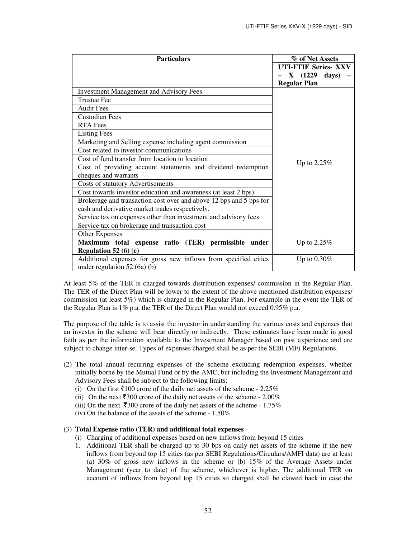| <b>Particulars</b>                                                 | % of Net Assets             |  |
|--------------------------------------------------------------------|-----------------------------|--|
|                                                                    | <b>UTI-FTIF Series- XXV</b> |  |
|                                                                    | X (1229<br>days)            |  |
|                                                                    | <b>Regular Plan</b>         |  |
| <b>Investment Management and Advisory Fees</b>                     |                             |  |
| <b>Trustee Fee</b>                                                 |                             |  |
| <b>Audit Fees</b>                                                  |                             |  |
| <b>Custodian Fees</b>                                              |                             |  |
| <b>RTA</b> Fees                                                    |                             |  |
| <b>Listing Fees</b>                                                |                             |  |
| Marketing and Selling expense including agent commission           |                             |  |
| Cost related to investor communications                            |                             |  |
| Cost of fund transfer from location to location                    | Up to $2.25\%$              |  |
| Cost of providing account statements and dividend redemption       |                             |  |
| cheques and warrants                                               |                             |  |
| Costs of statutory Advertisements                                  |                             |  |
| Cost towards investor education and awareness (at least 2 bps)     |                             |  |
| Brokerage and transaction cost over and above 12 bps and 5 bps for |                             |  |
| cash and derivative market trades respectively.                    |                             |  |
| Service tax on expenses other than investment and advisory fees    |                             |  |
| Service tax on brokerage and transaction cost                      |                             |  |
| Other Expenses                                                     |                             |  |
| Maximum total expense ratio (TER) permissible under                | Up to 2.25%                 |  |
| Regulation 52 (6) (c)                                              |                             |  |
| Additional expenses for gross new inflows from specified cities    | Up to $0.30\%$              |  |
| under regulation 52 (6a) (b)                                       |                             |  |

At least 5% of the TER is charged towards distribution expenses/ commission in the Regular Plan. The TER of the Direct Plan will be lower to the extent of the above mentioned distribution expenses/ commission (at least 5%) which is charged in the Regular Plan. For example in the event the TER of the Regular Plan is 1% p.a. the TER of the Direct Plan would not exceed 0.95% p.a.

The purpose of the table is to assist the investor in understanding the various costs and expenses that an investor in the scheme will bear directly or indirectly. These estimates have been made in good faith as per the information available to the Investment Manager based on past experience and are subject to change inter-se. Types of expenses charged shall be as per the SEBI (MF) Regulations.

- (2) The total annual recurring expenses of the scheme excluding redemption expenses, whether initially borne by the Mutual Fund or by the AMC, but including the Investment Management and Advisory Fees shall be subject to the following limits:
	- (i) On the first  $\bar{z}$ 100 crore of the daily net assets of the scheme 2.25%
	- (ii) On the next  $\overline{5300}$  crore of the daily net assets of the scheme 2.00%
	- (iii) On the next  $\overline{5300}$  crore of the daily net assets of the scheme 1.75%
	- (iv) On the balance of the assets of the scheme  $1.50\%$

# (3) **Total Expense ratio (TER) and additional total expenses**

- (i) Charging of additional expenses based on new inflows from beyond 15 cities
- 1. Additional TER shall be charged up to 30 bps on daily net assets of the scheme if the new inflows from beyond top 15 cities (as per SEBI Regulations/Circulars/AMFI data) are at least (a) 30% of gross new inflows in the scheme or (b) 15% of the Average Assets under Management (year to date) of the scheme, whichever is higher. The additional TER on account of inflows from beyond top 15 cities so charged shall be clawed back in case the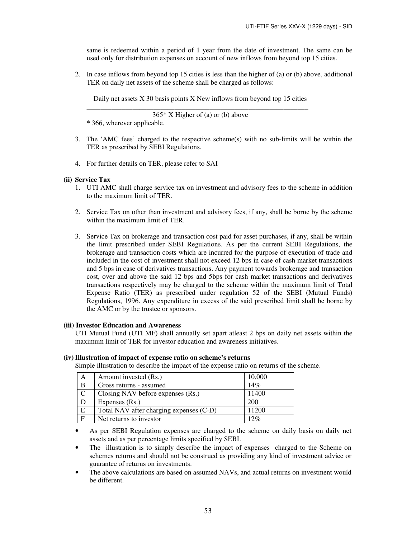same is redeemed within a period of 1 year from the date of investment. The same can be used only for distribution expenses on account of new inflows from beyond top 15 cities.

2. In case inflows from beyond top 15 cities is less than the higher of (a) or (b) above, additional TER on daily net assets of the scheme shall be charged as follows:

Daily net assets X 30 basis points X New inflows from beyond top 15 cities

\_\_\_\_\_\_\_\_\_\_\_\_\_\_\_\_\_\_\_\_\_\_\_\_\_\_\_\_\_\_\_\_\_\_\_\_\_\_\_\_\_\_\_\_\_\_\_\_\_\_\_\_\_\_\_\_\_\_\_\_\_\_\_ 365\* X Higher of (a) or (b) above

\* 366, wherever applicable.

- 3. The 'AMC fees' charged to the respective scheme(s) with no sub-limits will be within the TER as prescribed by SEBI Regulations.
- 4. For further details on TER, please refer to SAI

# **(ii) Service Tax**

- 1. UTI AMC shall charge service tax on investment and advisory fees to the scheme in addition to the maximum limit of TER.
- 2. Service Tax on other than investment and advisory fees, if any, shall be borne by the scheme within the maximum limit of TER.
- 3. Service Tax on brokerage and transaction cost paid for asset purchases, if any, shall be within the limit prescribed under SEBI Regulations. As per the current SEBI Regulations, the brokerage and transaction costs which are incurred for the purpose of execution of trade and included in the cost of investment shall not exceed 12 bps in case of cash market transactions and 5 bps in case of derivatives transactions. Any payment towards brokerage and transaction cost, over and above the said 12 bps and 5bps for cash market transactions and derivatives transactions respectively may be charged to the scheme within the maximum limit of Total Expense Ratio (TER) as prescribed under regulation 52 of the SEBI (Mutual Funds) Regulations, 1996. Any expenditure in excess of the said prescribed limit shall be borne by the AMC or by the trustee or sponsors.

# **(iii) Investor Education and Awareness**

UTI Mutual Fund (UTI MF) shall annually set apart atleast 2 bps on daily net assets within the maximum limit of TER for investor education and awareness initiatives.

# **(iv) Illustration of impact of expense ratio on scheme's returns**

Simple illustration to describe the impact of the expense ratio on returns of the scheme.

| A            | Amount invested (Rs.)                   | 10,000 |
|--------------|-----------------------------------------|--------|
| B            | Gross returns - assumed                 | 14%    |
| $\mathsf{C}$ | Closing NAV before expenses (Rs.)       | 11400  |
| D            | Expenses (Rs.)                          | 200    |
| E            | Total NAV after charging expenses (C-D) | 11200  |
| $\mathbf F$  | Net returns to investor                 | 12%    |

• As per SEBI Regulation expenses are charged to the scheme on daily basis on daily net assets and as per percentage limits specified by SEBI.

- The illustration is to simply describe the impact of expenses charged to the Scheme on schemes returns and should not be construed as providing any kind of investment advice or guarantee of returns on investments.
- The above calculations are based on assumed NAVs, and actual returns on investment would be different.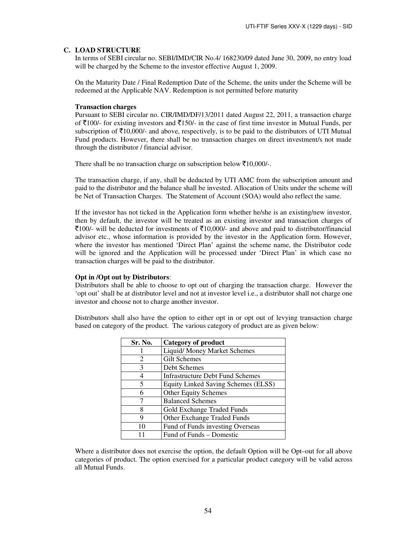# **C. LOAD STRUCTURE**

In terms of SEBI circular no. SEBI/IMD/CIR No.4/ 168230/09 dated June 30, 2009, no entry load will be charged by the Scheme to the investor effective August 1, 2009.

On the Maturity Date / Final Redemption Date of the Scheme, the units under the Scheme will be redeemed at the Applicable NAV. Redemption is not permitted before maturity

### **Transaction charges**

Pursuant to SEBI circular no. CIR/IMD/DF/13/2011 dated August 22, 2011, a transaction charge of  $\bar{\tau}$ 100/- for existing investors and  $\bar{\tau}$ 150/- in the case of first time investor in Mutual Funds, per subscription of  $\bar{\tau}10,000$ /- and above, respectively, is to be paid to the distributors of UTI Mutual Fund products. However, there shall be no transaction charges on direct investment/s not made through the distributor / financial advisor.

There shall be no transaction charge on subscription below  $\bar{\mathcal{F}}10,000/$ -.

The transaction charge, if any, shall be deducted by UTI AMC from the subscription amount and paid to the distributor and the balance shall be invested. Allocation of Units under the scheme will be Net of Transaction Charges. The Statement of Account (SOA) would also reflect the same.

If the investor has not ticked in the Application form whether he/she is an existing/new investor, then by default, the investor will be treated as an existing investor and transaction charges of  $\bar{z}$ 100/- will be deducted for investments of  $\bar{z}$ 10,000/- and above and paid to distributor/financial advisor etc., whose information is provided by the investor in the Application form. However, where the investor has mentioned 'Direct Plan' against the scheme name, the Distributor code will be ignored and the Application will be processed under 'Direct Plan' in which case no transaction charges will be paid to the distributor.

# **Opt in /Opt out by Distributors**:

Distributors shall be able to choose to opt out of charging the transaction charge. However the 'opt out' shall be at distributor level and not at investor level i.e., a distributor shall not charge one investor and choose not to charge another investor.

Distributors shall also have the option to either opt in or opt out of levying transaction charge based on category of the product. The various category of product are as given below:

| Sr. No. | <b>Category of product</b>              |
|---------|-----------------------------------------|
|         | Liquid/Money Market Schemes             |
| 2       | <b>Gilt Schemes</b>                     |
| 3       | Debt Schemes                            |
|         | <b>Infrastructure Debt Fund Schemes</b> |
| 5       | Equity Linked Saving Schemes (ELSS)     |
| 6       | <b>Other Equity Schemes</b>             |
|         | <b>Balanced Schemes</b>                 |
| 8       | Gold Exchange Traded Funds              |
| 9       | Other Exchange Traded Funds             |
|         | Fund of Funds investing Overseas        |
|         | Fund of Funds - Domestic                |

Where a distributor does not exercise the option, the default Option will be Opt–out for all above categories of product. The option exercised for a particular product category will be valid across all Mutual Funds.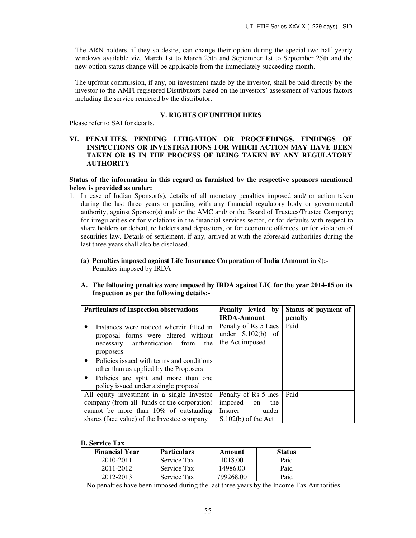The ARN holders, if they so desire, can change their option during the special two half yearly windows available viz. March 1st to March 25th and September 1st to September 25th and the new option status change will be applicable from the immediately succeeding month.

The upfront commission, if any, on investment made by the investor, shall be paid directly by the investor to the AMFI registered Distributors based on the investors' assessment of various factors including the service rendered by the distributor.

#### **V. RIGHTS OF UNITHOLDERS**

Please refer to SAI for details.

# **VI. PENALTIES, PENDING LITIGATION OR PROCEEDINGS, FINDINGS OF INSPECTIONS OR INVESTIGATIONS FOR WHICH ACTION MAY HAVE BEEN TAKEN OR IS IN THE PROCESS OF BEING TAKEN BY ANY REGULATORY AUTHORITY**

**Status of the information in this regard as furnished by the respective sponsors mentioned below is provided as under:** 

- 1. In case of Indian Sponsor(s), details of all monetary penalties imposed and/ or action taken during the last three years or pending with any financial regulatory body or governmental authority, against Sponsor(s) and/ or the AMC and/ or the Board of Trustees/Trustee Company; for irregularities or for violations in the financial services sector, or for defaults with respect to share holders or debenture holders and depositors, or for economic offences, or for violation of securities law. Details of settlement, if any, arrived at with the aforesaid authorities during the last three years shall also be disclosed.
	- (a) Penalties imposed against Life Insurance Corporation of India (Amount in  $\bar{\tau}$ ):-Penalties imposed by IRDA
	- **A. The following penalties were imposed by IRDA against LIC for the year 2014-15 on its Inspection as per the following details:-**

| <b>Particulars of Inspection observations</b>                                                                                                                                                                                                                                                            | <b>Penalty</b> levied by<br><b>IRDA-Amount</b>                 | Status of payment of<br>penalty |
|----------------------------------------------------------------------------------------------------------------------------------------------------------------------------------------------------------------------------------------------------------------------------------------------------------|----------------------------------------------------------------|---------------------------------|
| Instances were noticed wherein filled in<br>٠<br>proposal forms were altered without<br>authentication<br>from<br>the<br>necessary<br>proposers<br>Policies issued with terms and conditions<br>$\bullet$<br>other than as applied by the Proposers<br>Policies are split and more than one<br>$\bullet$ | Penalty of Rs 5 Lacs<br>under $S.102(b)$ of<br>the Act imposed | Paid                            |
| policy issued under a single proposal<br>All equity investment in a single Investee                                                                                                                                                                                                                      | Penalty of Rs 5 lacs                                           | Paid                            |
| company (from all funds of the corporation)                                                                                                                                                                                                                                                              | imposed<br>the<br><sub>on</sub>                                |                                 |
| cannot be more than $10\%$ of outstanding<br>shares (face value) of the Investee company                                                                                                                                                                                                                 | under<br>Insurer<br>$S.102(b)$ of the Act                      |                                 |

#### **B. Service Tax**

| <b>Financial Year</b> | <b>Particulars</b> | Amount    | <b>Status</b> |
|-----------------------|--------------------|-----------|---------------|
| 2010-2011             | Service Tax        | 1018.00   | Paid          |
| 2011-2012             | Service Tax        | 14986.00  | Paid          |
| 2012-2013             | Service Tax        | 799268.00 | Paid          |

No penalties have been imposed during the last three years by the Income Tax Authorities.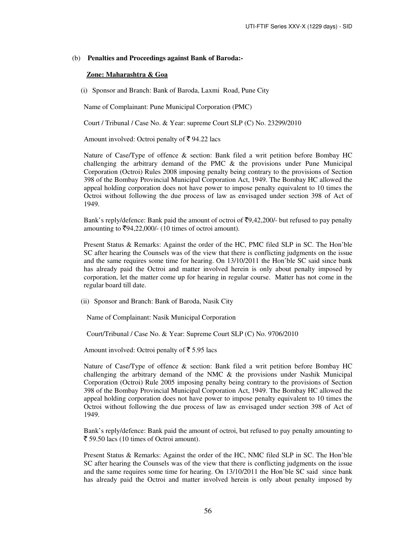#### (b) **Penalties and Proceedings against Bank of Baroda:-**

### **Zone: Maharashtra & Goa**

(i) Sponsor and Branch: Bank of Baroda, Laxmi Road, Pune City

Name of Complainant: Pune Municipal Corporation (PMC)

Court / Tribunal / Case No. & Year: supreme Court SLP (C) No. 23299/2010

Amount involved: Octroi penalty of  $\bar{\xi}$  94.22 lacs

Nature of Case/Type of offence & section: Bank filed a writ petition before Bombay HC challenging the arbitrary demand of the PMC & the provisions under Pune Municipal Corporation (Octroi) Rules 2008 imposing penalty being contrary to the provisions of Section 398 of the Bombay Provincial Municipal Corporation Act, 1949. The Bombay HC allowed the appeal holding corporation does not have power to impose penalty equivalent to 10 times the Octroi without following the due process of law as envisaged under section 398 of Act of 1949.

Bank's reply/defence: Bank paid the amount of octroi of  $\overline{5}9,42,200/$ - but refused to pay penalty amounting to  $\overline{5}94,22,000/(-10)$  times of octroi amount).

Present Status & Remarks: Against the order of the HC, PMC filed SLP in SC. The Hon'ble SC after hearing the Counsels was of the view that there is conflicting judgments on the issue and the same requires some time for hearing. On 13/10/2011 the Hon'ble SC said since bank has already paid the Octroi and matter involved herein is only about penalty imposed by corporation, let the matter come up for hearing in regular course. Matter has not come in the regular board till date.

(ii) Sponsor and Branch: Bank of Baroda, Nasik City

Name of Complainant: Nasik Municipal Corporation

Court/Tribunal / Case No. & Year: Supreme Court SLP (C) No. 9706/2010

Amount involved: Octroi penalty of  $\bar{\bar{\xi}}$  5.95 lacs

Nature of Case/Type of offence & section: Bank filed a writ petition before Bombay HC challenging the arbitrary demand of the NMC  $\&$  the provisions under Nashik Municipal Corporation (Octroi) Rule 2005 imposing penalty being contrary to the provisions of Section 398 of the Bombay Provincial Municipal Corporation Act, 1949. The Bombay HC allowed the appeal holding corporation does not have power to impose penalty equivalent to 10 times the Octroi without following the due process of law as envisaged under section 398 of Act of 1949.

Bank's reply/defence: Bank paid the amount of octroi, but refused to pay penalty amounting to  $\bar{\xi}$  59.50 lacs (10 times of Octroi amount).

Present Status & Remarks: Against the order of the HC, NMC filed SLP in SC. The Hon'ble SC after hearing the Counsels was of the view that there is conflicting judgments on the issue and the same requires some time for hearing. On 13/10/2011 the Hon'ble SC said since bank has already paid the Octroi and matter involved herein is only about penalty imposed by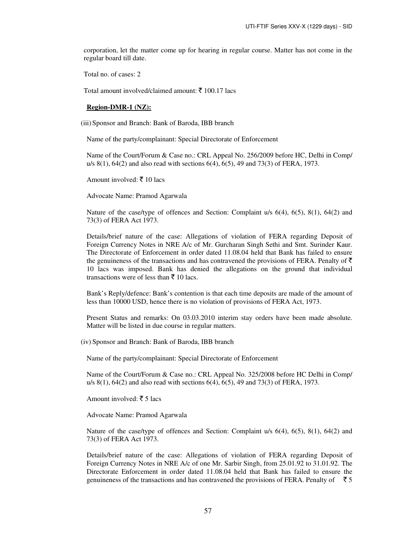corporation, let the matter come up for hearing in regular course. Matter has not come in the regular board till date.

Total no. of cases: 2

Total amount involved/claimed amount:  $\bar{\mathfrak{c}}$  100.17 lacs

#### **Region-DMR-1 (NZ):**

(iii) Sponsor and Branch: Bank of Baroda, IBB branch

Name of the party/complainant: Special Directorate of Enforcement

Name of the Court/Forum & Case no.: CRL Appeal No. 256/2009 before HC, Delhi in Comp/ u/s 8(1), 64(2) and also read with sections 6(4), 6(5), 49 and 73(3) of FERA, 1973.

Amount involved:  $\bar{\tau}$  10 lacs

Advocate Name: Pramod Agarwala

Nature of the case/type of offences and Section: Complaint u/s  $6(4)$ ,  $6(5)$ ,  $8(1)$ ,  $64(2)$  and 73(3) of FERA Act 1973.

Details/brief nature of the case: Allegations of violation of FERA regarding Deposit of Foreign Currency Notes in NRE A/c of Mr. Gurcharan Singh Sethi and Smt. Surinder Kaur. The Directorate of Enforcement in order dated 11.08.04 held that Bank has failed to ensure the genuineness of the transactions and has contravened the provisions of FERA. Penalty of  $\bar{\tau}$ 10 lacs was imposed. Bank has denied the allegations on the ground that individual transactions were of less than  $\bar{z}$  10 lacs.

Bank's Reply/defence: Bank's contention is that each time deposits are made of the amount of less than 10000 USD, hence there is no violation of provisions of FERA Act, 1973.

Present Status and remarks: On 03.03.2010 interim stay orders have been made absolute. Matter will be listed in due course in regular matters.

(iv) Sponsor and Branch: Bank of Baroda, IBB branch

Name of the party/complainant: Special Directorate of Enforcement

Name of the Court/Forum & Case no.: CRL Appeal No. 325/2008 before HC Delhi in Comp/ u/s 8(1), 64(2) and also read with sections 6(4), 6(5), 49 and 73(3) of FERA, 1973.

Amount involved:  $\bar{\tau}$  5 lacs

Advocate Name: Pramod Agarwala

Nature of the case/type of offences and Section: Complaint u/s  $6(4)$ ,  $6(5)$ ,  $8(1)$ ,  $64(2)$  and 73(3) of FERA Act 1973.

Details/brief nature of the case: Allegations of violation of FERA regarding Deposit of Foreign Currency Notes in NRE A/c of one Mr. Sarbir Singh, from 25.01.92 to 31.01.92. The Directorate Enforcement in order dated 11.08.04 held that Bank has failed to ensure the genuineness of the transactions and has contravened the provisions of FERA. Penalty of  $\bar{5}$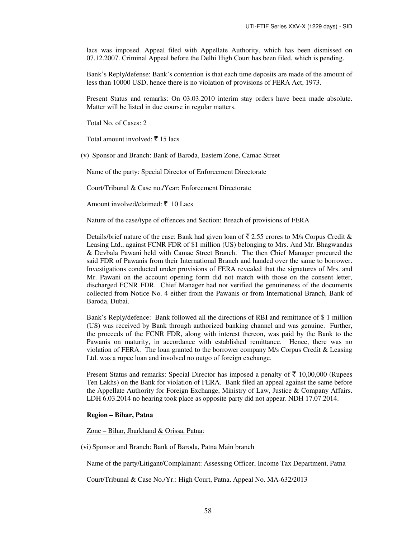lacs was imposed. Appeal filed with Appellate Authority, which has been dismissed on 07.12.2007. Criminal Appeal before the Delhi High Court has been filed, which is pending.

Bank's Reply/defense: Bank's contention is that each time deposits are made of the amount of less than 10000 USD, hence there is no violation of provisions of FERA Act, 1973.

Present Status and remarks: On 03.03.2010 interim stay orders have been made absolute. Matter will be listed in due course in regular matters.

Total No. of Cases: 2

Total amount involved: ₹15 lacs

(v) Sponsor and Branch: Bank of Baroda, Eastern Zone, Camac Street

Name of the party: Special Director of Enforcement Directorate

Court/Tribunal & Case no./Year: Enforcement Directorate

Amount involved/claimed:  $\bar{\xi}$  10 Lacs

Nature of the case/type of offences and Section: Breach of provisions of FERA

Details/brief nature of the case: Bank had given loan of  $\bar{\tau}$  2.55 crores to M/s Corpus Credit & Leasing Ltd., against FCNR FDR of \$1 million (US) belonging to Mrs. And Mr. Bhagwandas & Devbala Pawani held with Camac Street Branch. The then Chief Manager procured the said FDR of Pawanis from their International Branch and handed over the same to borrower. Investigations conducted under provisions of FERA revealed that the signatures of Mrs. and Mr. Pawani on the account opening form did not match with those on the consent letter, discharged FCNR FDR. Chief Manager had not verified the genuineness of the documents collected from Notice No. 4 either from the Pawanis or from International Branch, Bank of Baroda, Dubai.

Bank's Reply/defence: Bank followed all the directions of RBI and remittance of \$ 1 million (US) was received by Bank through authorized banking channel and was genuine. Further, the proceeds of the FCNR FDR, along with interest thereon, was paid by the Bank to the Pawanis on maturity, in accordance with established remittance. Hence, there was no violation of FERA. The loan granted to the borrower company M/s Corpus Credit & Leasing Ltd. was a rupee loan and involved no outgo of foreign exchange.

Present Status and remarks: Special Director has imposed a penalty of  $\bar{\tau}$  10,00,000 (Rupees Ten Lakhs) on the Bank for violation of FERA. Bank filed an appeal against the same before the Appellate Authority for Foreign Exchange, Ministry of Law, Justice & Company Affairs. LDH 6.03.2014 no hearing took place as opposite party did not appear. NDH 17.07.2014.

#### **Region – Bihar, Patna**

Zone – Bihar, Jharkhand & Orissa, Patna:

(vi) Sponsor and Branch: Bank of Baroda, Patna Main branch

Name of the party/Litigant/Complainant: Assessing Officer, Income Tax Department, Patna

Court/Tribunal & Case No./Yr.: High Court, Patna. Appeal No. MA-632/2013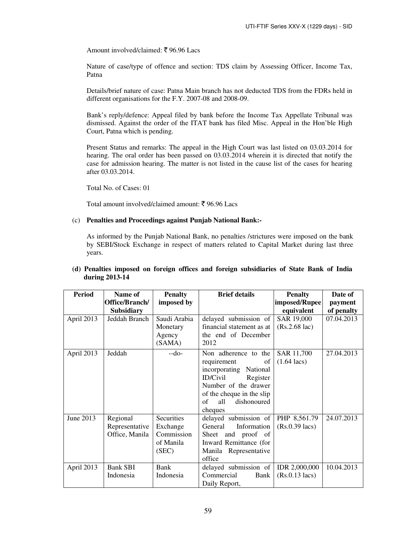Amount involved/claimed: ₹96.96 Lacs

Nature of case/type of offence and section: TDS claim by Assessing Officer, Income Tax, Patna

Details/brief nature of case: Patna Main branch has not deducted TDS from the FDRs held in different organisations for the F.Y. 2007-08 and 2008-09.

Bank's reply/defence: Appeal filed by bank before the Income Tax Appellate Tribunal was dismissed. Against the order of the ITAT bank has filed Misc. Appeal in the Hon'ble High Court, Patna which is pending.

Present Status and remarks: The appeal in the High Court was last listed on 03.03.2014 for hearing. The oral order has been passed on 03.03.2014 wherein it is directed that notify the case for admission hearing. The matter is not listed in the cause list of the cases for hearing after 03.03.2014.

Total No. of Cases: 01

Total amount involved/claimed amount:  $\bar{\tau}$  96.96 Lacs

### (c) **Penalties and Proceedings against Punjab National Bank:-**

As informed by the Punjab National Bank, no penalties /strictures were imposed on the bank by SEBI/Stock Exchange in respect of matters related to Capital Market during last three years.

| <b>Period</b> | Name of           | <b>Penalty</b> | <b>Brief details</b>        | <b>Penalty</b>          | Date of    |
|---------------|-------------------|----------------|-----------------------------|-------------------------|------------|
|               | Office/Branch/    | imposed by     |                             | imposed/Rupee           | payment    |
|               | <b>Subsidiary</b> |                |                             | equivalent              | of penalty |
| April 2013    | Jeddah Branch     | Saudi Arabia   | delayed submission of       | SAR 19,000              | 07.04.2013 |
|               |                   | Monetary       | financial statement as at   | $(Rs.2.68 \text{ lac})$ |            |
|               |                   | Agency         | the end of December         |                         |            |
|               |                   | (SAMA)         | 2012                        |                         |            |
| April 2013    | Jeddah            | $-do-$         | Non adherence to the        | SAR 11,700              | 27.04.2013 |
|               |                   |                | of<br>requirement           | $(1.64 \text{ lacs})$   |            |
|               |                   |                | incorporating National      |                         |            |
|               |                   |                | <b>ID/Civil</b><br>Register |                         |            |
|               |                   |                | Number of the drawer        |                         |            |
|               |                   |                | of the cheque in the slip   |                         |            |
|               |                   |                | of<br>all<br>dishonoured    |                         |            |
|               |                   |                | cheques                     |                         |            |
| June 2013     | Regional          | Securities     | delayed submission of       | PHP 8,561.79            | 24.07.2013 |
|               | Representative    | Exchange       | General<br>Information      | $(Rs.0.39$ lacs)        |            |
|               | Office, Manila    | Commission     | Sheet and proof of          |                         |            |
|               |                   | of Manila      | Inward Remittance (for      |                         |            |
|               |                   | (SEC)          | Manila Representative       |                         |            |
|               |                   |                | office                      |                         |            |
| April 2013    | <b>Bank SBI</b>   | Bank           | delayed submission of       | <b>IDR 2,000,000</b>    | 10.04.2013 |
|               | Indonesia         | Indonesia      | Commercial<br>Bank          | $(Rs.0.13$ lacs)        |            |
|               |                   |                | Daily Report,               |                         |            |

### **(d) Penalties imposed on foreign offices and foreign subsidiaries of State Bank of India during 2013-14**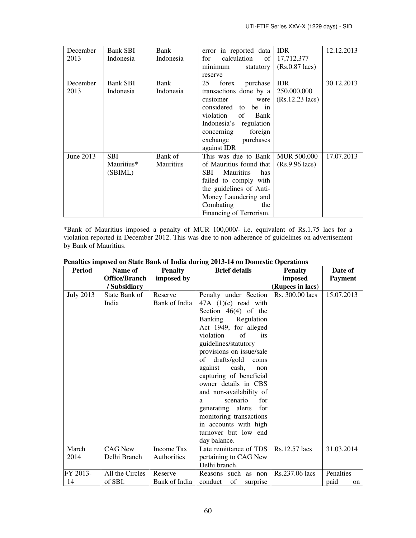| December<br>2013 | <b>Bank SBI</b><br>Indonesia        | Bank<br>Indonesia    | error in reported data<br>calculation<br>for<br>of<br>minimum<br>statutory<br>reserve                                                                                                                              | <b>IDR</b><br>17,712,377<br>$(Rs.0.87$ lacs)           | 12.12.2013 |
|------------------|-------------------------------------|----------------------|--------------------------------------------------------------------------------------------------------------------------------------------------------------------------------------------------------------------|--------------------------------------------------------|------------|
| December<br>2013 | Bank SBI<br>Indonesia               | Bank<br>Indonesia    | 25<br>forex<br>purchase<br>transactions done by a<br>customer<br>were<br>considered to be in<br>violation<br>of<br>Bank<br>Indonesia's regulation<br>concerning<br>foreign<br>exchange<br>purchases<br>against IDR | <b>IDR</b><br>250,000,000<br>$(Rs.12.23 \text{ lacs})$ | 30.12.2013 |
| June 2013        | <b>SBI</b><br>Mauritius*<br>(SBIML) | Bank of<br>Mauritius | This was due to Bank<br>of Mauritius found that<br>SBI<br><b>Mauritius</b><br>has<br>failed to comply with<br>the guidelines of Anti-<br>Money Laundering and<br>Combating<br>the<br>Financing of Terrorism.       | <b>MUR 500,000</b><br>$(Rs.9.96$ lacs)                 | 17.07.2013 |

\*Bank of Mauritius imposed a penalty of MUR 100,000/- i.e. equivalent of Rs.1.75 lacs for a violation reported in December 2012. This was due to non-adherence of guidelines on advertisement by Bank of Mauritius.

| <b>Period</b>    | Name of                        | <b>Penalty</b>            | $2010 + 101$ Domestic<br><b>Brief details</b>                                                                                                                                                                                                                                                                                                                                                                                                                                        | <b>Penalty</b>   | Date of                 |
|------------------|--------------------------------|---------------------------|--------------------------------------------------------------------------------------------------------------------------------------------------------------------------------------------------------------------------------------------------------------------------------------------------------------------------------------------------------------------------------------------------------------------------------------------------------------------------------------|------------------|-------------------------|
|                  | <b>Office/Branch</b>           | imposed by                |                                                                                                                                                                                                                                                                                                                                                                                                                                                                                      | imposed          | <b>Payment</b>          |
|                  | / Subsidiary                   |                           |                                                                                                                                                                                                                                                                                                                                                                                                                                                                                      | (Rupees in lacs) |                         |
| <b>July 2013</b> | State Bank of<br>India         | Reserve<br>Bank of India  | Penalty under Section<br>$47A$ (1)(c) read with<br>Section $46(4)$ of the<br>Banking Regulation<br>Act 1949, for alleged<br>violation<br>of<br>its<br>guidelines/statutory<br>provisions on issue/sale<br>of drafts/gold coins<br>cash,<br>against<br>non<br>capturing of beneficial<br>owner details in CBS<br>and non-availability of<br>scenario<br>for<br>a<br>generating alerts for<br>monitoring transactions<br>in accounts with high<br>turnover but low end<br>day balance. | Rs. 300.00 lacs  | 15.07.2013              |
| March<br>2014    | <b>CAG New</b><br>Delhi Branch | Income Tax<br>Authorities | Late remittance of TDS<br>pertaining to CAG New<br>Delhi branch.                                                                                                                                                                                                                                                                                                                                                                                                                     | Rs.12.57 lacs    | 31.03.2014              |
| FY 2013-<br>14   | All the Circles<br>of SBI:     | Reserve<br>Bank of India  | Reasons such as non<br>of<br>conduct<br>surprise                                                                                                                                                                                                                                                                                                                                                                                                                                     | Rs.237.06 lacs   | Penalties<br>paid<br>on |

# **Penalties imposed on State Bank of India during 2013-14 on Domestic Operations**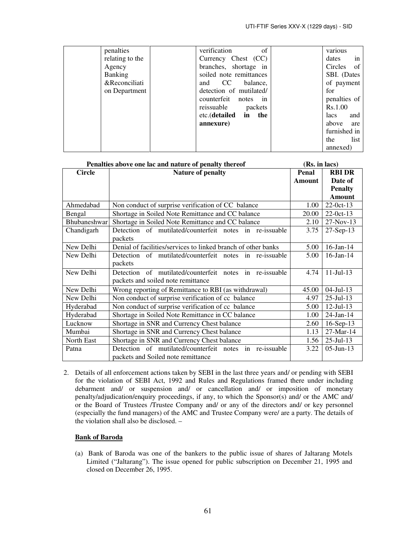| penalties       | verification<br>of      | various            |
|-----------------|-------------------------|--------------------|
| relating to the | Currency Chest (CC)     | in<br>dates        |
| Agency          | branches, shortage in   | Circles<br>of      |
| <b>Banking</b>  | soiled note remittances | SBI. (Dates        |
| &Reconciliati   | and CC balance,         | of payment         |
| on Department   | detection of mutilated/ | for                |
|                 | counterfeit notes in    | penalties of       |
|                 | reissuable packets      | Rs.1.00            |
|                 | etc.(detailed in the    | and<br><i>lacs</i> |
|                 | annexure)               | above<br>are       |
|                 |                         | furnished in       |
|                 |                         | list<br>the        |
|                 |                         | annexed)           |

| Penalties above one lac and nature of penalty thereof | (Rs. in lacs)                                                                                    |        |                  |
|-------------------------------------------------------|--------------------------------------------------------------------------------------------------|--------|------------------|
| <b>Circle</b>                                         | <b>Nature of penalty</b>                                                                         | Penal  | <b>RBI DR</b>    |
|                                                       |                                                                                                  | Amount | Date of          |
|                                                       |                                                                                                  |        | <b>Penalty</b>   |
|                                                       |                                                                                                  |        | <b>Amount</b>    |
| Ahmedabad                                             | Non conduct of surprise verification of CC balance                                               | 1.00   | $22-0ct-13$      |
| Bengal                                                | Shortage in Soiled Note Remittance and CC balance                                                | 20.00  | $22-0ct-13$      |
| Bhubaneshwar                                          | Shortage in Soiled Note Remittance and CC balance                                                | 2.10   | $27-Nov-13$      |
| Chandigarh                                            | Detection of mutilated/counterfeit notes in re-issuable<br>packets                               | 3.75   | $27-Sep-13$      |
| New Delhi                                             | Denial of facilities/services to linked branch of other banks                                    | 5.00   | $16$ -Jan- $14$  |
| New Delhi                                             | Detection of mutilated/counterfeit notes in re-issuable<br>packets                               | 5.00   | $16$ -Jan- $14$  |
| New Delhi                                             | Detection of mutilated/counterfeit notes in re-issuable<br>packets and soiled note remittance    | 4.74   | $11 -$ Jul $-13$ |
| New Delhi                                             | Wrong reporting of Remittance to RBI (as withdrawal)                                             | 45.00  | $04$ -Jul-13     |
| New Delhi                                             | Non conduct of surprise verification of cc balance                                               | 4.97   | $25$ -Jul-13     |
| Hyderabad                                             | Non conduct of surprise verification of cc balance                                               | 5.00   | $12$ -Jul-13     |
| Hyderabad                                             | Shortage in Soiled Note Remittance in CC balance                                                 | 1.00   | $24$ -Jan-14     |
| Lucknow                                               | Shortage in SNR and Currency Chest balance                                                       | 2.60   | $16-Sep-13$      |
| Mumbai                                                | Shortage in SNR and Currency Chest balance                                                       | 1.13   | 27-Mar-14        |
| North East                                            | Shortage in SNR and Currency Chest balance                                                       | 1.56   | $25$ -Jul-13     |
| Patna                                                 | Detection of mutilated/counterfeit notes in<br>re-issuable<br>packets and Soiled note remittance | 3.22   | $05$ -Jun-13     |

2. Details of all enforcement actions taken by SEBI in the last three years and/ or pending with SEBI for the violation of SEBI Act, 1992 and Rules and Regulations framed there under including debarment and/ or suspension and/ or cancellation and/ or imposition of monetary penalty/adjudication/enquiry proceedings, if any, to which the Sponsor(s) and/ or the AMC and/ or the Board of Trustees /Trustee Company and/ or any of the directors and/ or key personnel (especially the fund managers) of the AMC and Trustee Company were/ are a party. The details of the violation shall also be disclosed. –

# **Bank of Baroda**

(a) Bank of Baroda was one of the bankers to the public issue of shares of Jaltarang Motels Limited ("Jaltarang"). The issue opened for public subscription on December 21, 1995 and closed on December 26, 1995.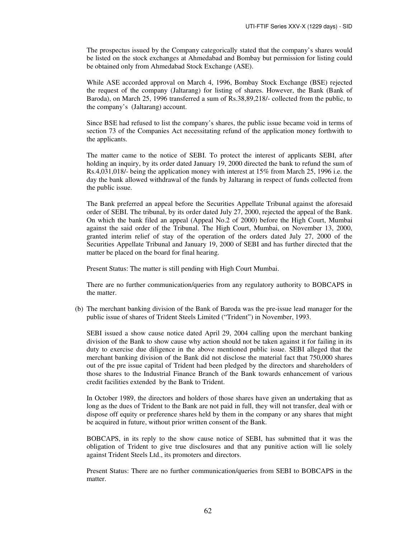The prospectus issued by the Company categorically stated that the company's shares would be listed on the stock exchanges at Ahmedabad and Bombay but permission for listing could be obtained only from Ahmedabad Stock Exchange (ASE).

While ASE accorded approval on March 4, 1996, Bombay Stock Exchange (BSE) rejected the request of the company (Jaltarang) for listing of shares. However, the Bank (Bank of Baroda), on March 25, 1996 transferred a sum of Rs.38,89,218/- collected from the public, to the company's (Jaltarang) account.

Since BSE had refused to list the company's shares, the public issue became void in terms of section 73 of the Companies Act necessitating refund of the application money forthwith to the applicants.

The matter came to the notice of SEBI. To protect the interest of applicants SEBI, after holding an inquiry, by its order dated January 19, 2000 directed the bank to refund the sum of Rs.4,031,018/- being the application money with interest at 15% from March 25, 1996 i.e. the day the bank allowed withdrawal of the funds by Jaltarang in respect of funds collected from the public issue.

The Bank preferred an appeal before the Securities Appellate Tribunal against the aforesaid order of SEBI. The tribunal, by its order dated July 27, 2000, rejected the appeal of the Bank. On which the bank filed an appeal (Appeal No.2 of 2000) before the High Court, Mumbai against the said order of the Tribunal. The High Court, Mumbai, on November 13, 2000, granted interim relief of stay of the operation of the orders dated July 27, 2000 of the Securities Appellate Tribunal and January 19, 2000 of SEBI and has further directed that the matter be placed on the board for final hearing.

Present Status: The matter is still pending with High Court Mumbai.

There are no further communication/queries from any regulatory authority to BOBCAPS in the matter.

(b) The merchant banking division of the Bank of Baroda was the pre-issue lead manager for the public issue of shares of Trident Steels Limited ("Trident") in November, 1993.

SEBI issued a show cause notice dated April 29, 2004 calling upon the merchant banking division of the Bank to show cause why action should not be taken against it for failing in its duty to exercise due diligence in the above mentioned public issue. SEBI alleged that the merchant banking division of the Bank did not disclose the material fact that 750,000 shares out of the pre issue capital of Trident had been pledged by the directors and shareholders of those shares to the Industrial Finance Branch of the Bank towards enhancement of various credit facilities extended by the Bank to Trident.

In October 1989, the directors and holders of those shares have given an undertaking that as long as the dues of Trident to the Bank are not paid in full, they will not transfer, deal with or dispose off equity or preference shares held by them in the company or any shares that might be acquired in future, without prior written consent of the Bank.

BOBCAPS, in its reply to the show cause notice of SEBI, has submitted that it was the obligation of Trident to give true disclosures and that any punitive action will lie solely against Trident Steels Ltd., its promoters and directors.

Present Status: There are no further communication/queries from SEBI to BOBCAPS in the matter.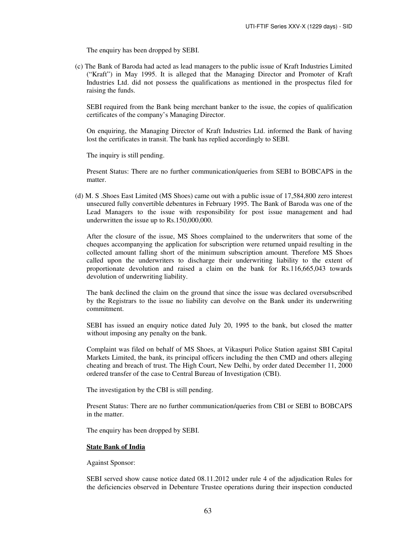The enquiry has been dropped by SEBI.

(c) The Bank of Baroda had acted as lead managers to the public issue of Kraft Industries Limited ("Kraft") in May 1995. It is alleged that the Managing Director and Promoter of Kraft Industries Ltd. did not possess the qualifications as mentioned in the prospectus filed for raising the funds.

SEBI required from the Bank being merchant banker to the issue, the copies of qualification certificates of the company's Managing Director.

On enquiring, the Managing Director of Kraft Industries Ltd. informed the Bank of having lost the certificates in transit. The bank has replied accordingly to SEBI.

The inquiry is still pending.

Present Status: There are no further communication/queries from SEBI to BOBCAPS in the matter.

(d) M. S .Shoes East Limited (MS Shoes) came out with a public issue of 17,584,800 zero interest unsecured fully convertible debentures in February 1995. The Bank of Baroda was one of the Lead Managers to the issue with responsibility for post issue management and had underwritten the issue up to Rs.150,000,000.

After the closure of the issue, MS Shoes complained to the underwriters that some of the cheques accompanying the application for subscription were returned unpaid resulting in the collected amount falling short of the minimum subscription amount. Therefore MS Shoes called upon the underwriters to discharge their underwriting liability to the extent of proportionate devolution and raised a claim on the bank for Rs.116,665,043 towards devolution of underwriting liability.

The bank declined the claim on the ground that since the issue was declared oversubscribed by the Registrars to the issue no liability can devolve on the Bank under its underwriting commitment.

SEBI has issued an enquiry notice dated July 20, 1995 to the bank, but closed the matter without imposing any penalty on the bank.

Complaint was filed on behalf of MS Shoes, at Vikaspuri Police Station against SBI Capital Markets Limited, the bank, its principal officers including the then CMD and others alleging cheating and breach of trust. The High Court, New Delhi, by order dated December 11, 2000 ordered transfer of the case to Central Bureau of Investigation (CBI).

The investigation by the CBI is still pending.

Present Status: There are no further communication/queries from CBI or SEBI to BOBCAPS in the matter.

The enquiry has been dropped by SEBI.

#### **State Bank of India**

Against Sponsor:

SEBI served show cause notice dated 08.11.2012 under rule 4 of the adjudication Rules for the deficiencies observed in Debenture Trustee operations during their inspection conducted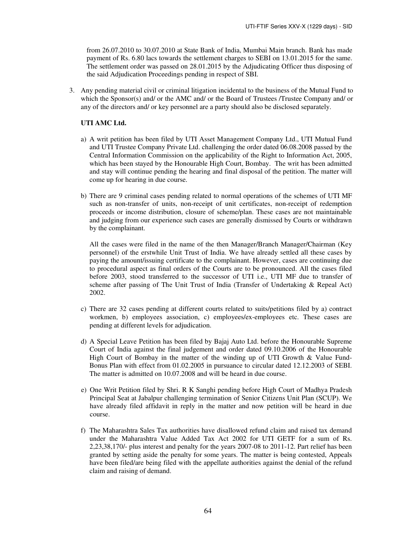from 26.07.2010 to 30.07.2010 at State Bank of India, Mumbai Main branch. Bank has made payment of Rs. 6.80 lacs towards the settlement charges to SEBI on 13.01.2015 for the same. The settlement order was passed on 28.01.2015 by the Adjudicating Officer thus disposing of the said Adjudication Proceedings pending in respect of SBI.

3. Any pending material civil or criminal litigation incidental to the business of the Mutual Fund to which the Sponsor(s) and/ or the AMC and/ or the Board of Trustees /Trustee Company and/ or any of the directors and/ or key personnel are a party should also be disclosed separately.

### **UTI AMC Ltd.**

- a) A writ petition has been filed by UTI Asset Management Company Ltd., UTI Mutual Fund and UTI Trustee Company Private Ltd. challenging the order dated 06.08.2008 passed by the Central Information Commission on the applicability of the Right to Information Act, 2005, which has been stayed by the Honourable High Court, Bombay. The writ has been admitted and stay will continue pending the hearing and final disposal of the petition. The matter will come up for hearing in due course.
- b) There are 9 criminal cases pending related to normal operations of the schemes of UTI MF such as non-transfer of units, non-receipt of unit certificates, non-receipt of redemption proceeds or income distribution, closure of scheme/plan. These cases are not maintainable and judging from our experience such cases are generally dismissed by Courts or withdrawn by the complainant.

All the cases were filed in the name of the then Manager/Branch Manager/Chairman (Key personnel) of the erstwhile Unit Trust of India. We have already settled all these cases by paying the amount/issuing certificate to the complainant. However, cases are continuing due to procedural aspect as final orders of the Courts are to be pronounced. All the cases filed before 2003, stood transferred to the successor of UTI i.e., UTI MF due to transfer of scheme after passing of The Unit Trust of India (Transfer of Undertaking & Repeal Act) 2002.

- c) There are 32 cases pending at different courts related to suits/petitions filed by a) contract workmen, b) employees association, c) employees/ex-employees etc. These cases are pending at different levels for adjudication.
- d) A Special Leave Petition has been filed by Bajaj Auto Ltd. before the Honourable Supreme Court of India against the final judgement and order dated 09.10.2006 of the Honourable High Court of Bombay in the matter of the winding up of UTI Growth  $\&$  Value Fund-Bonus Plan with effect from 01.02.2005 in pursuance to circular dated 12.12.2003 of SEBI. The matter is admitted on 10.07.2008 and will be heard in due course.
- e) One Writ Petition filed by Shri. R K Sanghi pending before High Court of Madhya Pradesh Principal Seat at Jabalpur challenging termination of Senior Citizens Unit Plan (SCUP). We have already filed affidavit in reply in the matter and now petition will be heard in due course.
- f) The Maharashtra Sales Tax authorities have disallowed refund claim and raised tax demand under the Maharashtra Value Added Tax Act 2002 for UTI GETF for a sum of Rs. 2,23,38,170/- plus interest and penalty for the years 2007-08 to 2011-12. Part relief has been granted by setting aside the penalty for some years. The matter is being contested, Appeals have been filed/are being filed with the appellate authorities against the denial of the refund claim and raising of demand.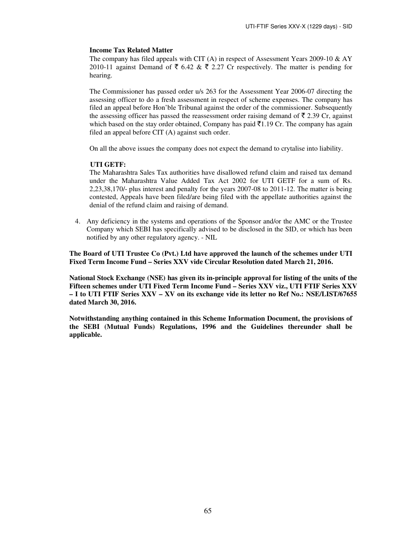# **Income Tax Related Matter**

The company has filed appeals with CIT (A) in respect of Assessment Years 2009-10  $\&$  AY 2010-11 against Demand of  $\bar{\tau}$  6.42 &  $\bar{\tau}$  2.27 Cr respectively. The matter is pending for hearing.

The Commissioner has passed order u/s 263 for the Assessment Year 2006-07 directing the assessing officer to do a fresh assessment in respect of scheme expenses. The company has filed an appeal before Hon'ble Tribunal against the order of the commissioner. Subsequently the assessing officer has passed the reassessment order raising demand of  $\bar{\tau}$  2.39 Cr, against which based on the stay order obtained, Company has paid  $\bar{\tau}1.19$  Cr. The company has again filed an appeal before CIT (A) against such order.

On all the above issues the company does not expect the demand to crytalise into liability.

# **UTI GETF:**

The Maharashtra Sales Tax authorities have disallowed refund claim and raised tax demand under the Maharashtra Value Added Tax Act 2002 for UTI GETF for a sum of Rs. 2,23,38,170/- plus interest and penalty for the years 2007-08 to 2011-12. The matter is being contested, Appeals have been filed/are being filed with the appellate authorities against the denial of the refund claim and raising of demand.

4. Any deficiency in the systems and operations of the Sponsor and/or the AMC or the Trustee Company which SEBI has specifically advised to be disclosed in the SID, or which has been notified by any other regulatory agency. - NIL

**The Board of UTI Trustee Co (Pvt.) Ltd have approved the launch of the schemes under UTI Fixed Term Income Fund – Series XXV vide Circular Resolution dated March 21, 2016.** 

**National Stock Exchange (NSE) has given its in-principle approval for listing of the units of the Fifteen schemes under UTI Fixed Term Income Fund – Series XXV viz., UTI FTIF Series XXV – I to UTI FTIF Series XXV – XV on its exchange vide its letter no Ref No.: NSE/LIST/67655 dated March 30, 2016.** 

**Notwithstanding anything contained in this Scheme Information Document, the provisions of the SEBI (Mutual Funds) Regulations, 1996 and the Guidelines thereunder shall be applicable.**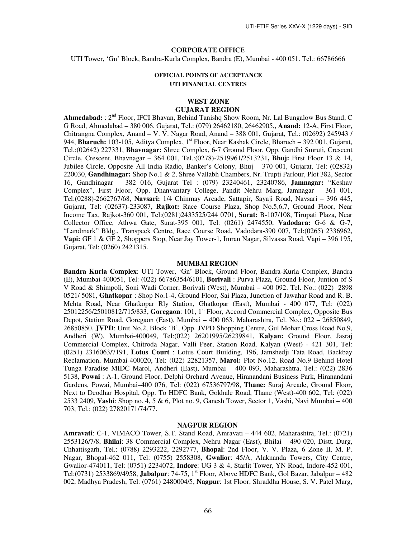#### CORPORATE OFFICE

UTI Tower, 'Gn' Block, Bandra-Kurla Complex, Bandra (E), Mumbai - 400 051. Tel.: 66786666

### **OFFICIAL POINTS OF ACCEPTANCE UTI FINANCIAL CENTRES**

# **WEST ZONE**

### **GUJARAT REGION**

Ahmedabad: : 2<sup>nd</sup> Floor, IFCI Bhavan, Behind Tanishq Show Room, Nr. Lal Bungalow Bus Stand, C G Road, Ahmedabad – 380 006. Gujarat, Tel.: (079) 26462180, 26462905,, **Anand:** 12-A, First Floor, Chitrangna Complex, Anand – V. V. Nagar Road, Anand – 388 001, Gujarat, Tel.: (02692) 245943 / 944, **Bharuch:** 103-105, Aditya Complex, 1<sup>st</sup> Floor, Near Kashak Circle, Bharuch – 392 001, Gujarat, Tel.:(02642) 227331, **Bhavnagar:** Shree Complex, 6-7 Ground Floor, Opp. Gandhi Smruti, Crescent Circle, Crescent, Bhavnagar – 364 001, Tel.:(0278)-2519961/2513231**, Bhuj:** First Floor 13 & 14, Jubilee Circle, Opposite All India Radio, Banker's Colony, Bhuj – 370 001, Gujarat, Tel: (02832) 220030, **Gandhinagar:** Shop No.1 & 2, Shree Vallabh Chambers, Nr. Trupti Parlour, Plot 382, Sector 16, Gandhinagar – 382 016, Gujarat Tel : (079) 23240461, 23240786, **Jamnagar:** "Keshav Complex", First Floor, Opp. Dhanvantary College, Pandit Nehru Marg, Jamnagar – 361 001, Tel:(0288)-2662767/68, **Navsari:** 1/4 Chinmay Arcade, Sattapir, Sayaji Road, Navsari – 396 445, Gujarat, Tel: (02637)-233087, **Rajkot:** Race Course Plaza, Shop No.5,6,7, Ground Floor, Near Income Tax, Rajkot-360 001, Tel:(0281)2433525/244 0701, **Surat:** B-107/108, Tirupati Plaza, Near Collector Office, Athwa Gate, Surat-395 001, Tel: (0261) 2474550, **Vadodara:** G-6 & G-7, "Landmark" Bldg., Transpeck Centre, Race Course Road, Vadodara-390 007, Tel:(0265) 2336962, **Vapi:** GF 1 & GF 2, Shoppers Stop, Near Jay Tower-1, Imran Nagar, Silvassa Road, Vapi – 396 195, Gujarat, Tel: (0260) 2421315.

#### **MUMBAI REGION**

**Bandra Kurla Complex**: UTI Tower, 'Gn' Block, Ground Floor, Bandra-Kurla Complex, Bandra (E), Mumbai-400051, Tel: (022) 66786354/6101, **Borivali** : Purva Plaza, Ground Floor, Juntion of S V Road & Shimpoli, Soni Wadi Corner, Borivali (West), Mumbai – 400 092. Tel. No.: (022) 2898 0521/ 5081, **Ghatkopar** : Shop No.1-4, Ground Floor, Sai Plaza, Junction of Jawahar Road and R. B. Mehta Road, Near Ghatkopar Rly Station, Ghatkopar (East), Mumbai - 400 077, Tel: (022) 25012256/25010812/715/833, **Goregaon**: 101, 1st Floor, Accord Commercial Complex, Opposite Bus Depot, Station Road, Goregaon (East), Mumbai – 400 063. Maharashtra, Tel. No.: 022 – 26850849, 26850850, **JVPD**: Unit No.2, Block 'B', Opp. JVPD Shopping Centre, Gul Mohar Cross Road No.9, Andheri (W), Mumbai-400049, Tel:(022) 26201995/26239841, **Kalyan:** Ground Floor, Jasraj Commercial Complex, Chitroda Nagar, Valli Peer, Station Road, Kalyan (West) - 421 301, Tel: (0251) 2316063/7191, **Lotus Court** : Lotus Court Building, 196, Jamshedji Tata Road, Backbay Reclamation, Mumbai-400020, Tel: (022) 22821357, **Marol:** Plot No.12, Road No.9 Behind Hotel Tunga Paradise MIDC Marol, Andheri (East), Mumbai – 400 093, Maharashtra, Tel.: (022) 2836 5138, **Powai** : A-1, Ground Floor, Delphi Orchard Avenue, Hiranandani Business Park, Hiranandani Gardens, Powai, Mumbai–400 076, Tel: (022) 67536797/98, **Thane:** Suraj Arcade, Ground Floor, Next to Deodhar Hospital, Opp. To HDFC Bank, Gokhale Road, Thane (West)-400 602, Tel: (022) 2533 2409, **Vashi**: Shop no. 4, 5 & 6, Plot no. 9, Ganesh Tower, Sector 1, Vashi, Navi Mumbai – 400 703, Tel.: (022) 27820171/74/77.

#### **NAGPUR REGION**

**Amravati**: C-1, VIMACO Tower, S.T. Stand Road, Amravati – 444 602, Maharashtra, Tel.: (0721) 2553126/7/8, **Bhilai**: 38 Commercial Complex, Nehru Nagar (East), Bhilai – 490 020, Distt. Durg, Chhattisgarh, Tel.: (0788) 2293222, 2292777, **Bhopal**: 2nd Floor, V. V. Plaza, 6 Zone II, M. P. Nagar, Bhopal-462 011, Tel: (0755) 2558308, **Gwalior**: 45/A, Alaknanda Towers, City Centre, Gwalior-474011, Tel: (0751) 2234072, **Indore**: UG 3 & 4, Starlit Tower, YN Road, Indore-452 001, Tel:(0731) 2533869/4958, **Jabalpur**: 74-75, 1st Floor, Above HDFC Bank, Gol Bazar, Jabalpur – 482 002, Madhya Pradesh, Tel: (0761) 2480004/5, **Nagpur**: 1st Floor, Shraddha House, S. V. Patel Marg,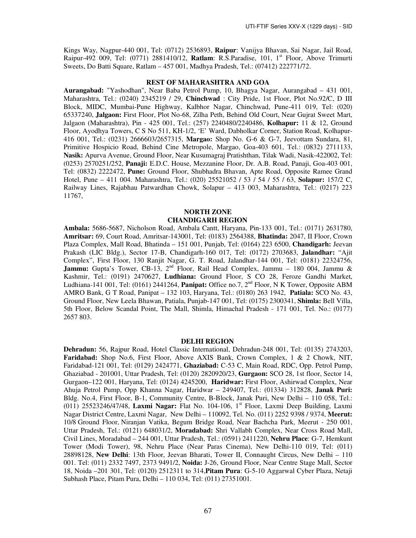Kings Way, Nagpur-440 001, Tel: (0712) 2536893, **Raipur**: Vanijya Bhavan, Sai Nagar, Jail Road, Raipur-492 009, Tel: (0771) 2881410/12, **Ratlam**: R.S.Paradise, 101, 1st Floor, Above Trimurti Sweets, Do Batti Square, Ratlam – 457 001, Madhya Pradesh, Tel.: (07412) 222771/72.

#### **REST OF MAHARASHTRA AND GOA**

**Aurangabad:** "Yashodhan", Near Baba Petrol Pump, 10, Bhagya Nagar, Aurangabad – 431 001, Maharashtra, Tel.: (0240) 2345219 / 29, **Chinchwad** : City Pride, 1st Floor, Plot No.92/C, D III Block, MIDC, Mumbai-Pune Highway, Kalbhor Nagar, Chinchwad, Pune-411 019, Tel: (020) 65337240, **Jalgaon:** First Floor, Plot No-68, Zilha Peth, Behind Old Court, Near Gujrat Sweet Mart, Jalgaon (Maharashtra), Pin - 425 001, Tel.: (257) 2240480/2240486, **Kolhapur:** 11 & 12, Ground Floor, Ayodhya Towers, C S No 511, KH-1/2, 'E' Ward, Dabholkar Corner, Station Road, Kolhapur-416 001, Tel.: (0231) 2666603/2657315, **Margao:** Shop No. G-6 & G-7, Jeevottam Sundara, 81, Primitive Hospicio Road, Behind Cine Metropole, Margao, Goa-403 601, Tel.: (0832) 2711133, **Nasik:** Apurva Avenue, Ground Floor, Near Kusumagraj Pratishthan, Tilak Wadi, Nasik-422002, Tel: (0253) 2570251/252, **Panaji:** E.D.C. House, Mezzanine Floor, Dr. A.B. Road, Panaji, Goa-403 001, Tel: (0832) 2222472, **Pune:** Ground Floor, Shubhadra Bhavan, Apte Road, Opposite Ramee Grand Hotel, Pune – 411 004. Maharashtra, Tel.: (020) 25521052 / 53 / 54 / 55 / 63, **Solapur:** 157/2 C, Railway Lines, Rajabhau Patwardhan Chowk, Solapur – 413 003, Maharashtra, Tel.: (0217) 223 11767,

### **NORTH ZONE CHANDIGARH REGION**

**Ambala:** 5686-5687, Nicholson Road, Ambala Cantt, Haryana, Pin-133 001, Tel.: (0171) 2631780, **Amritsar:** 69, Court Road, Amritsar-143001, Tel: (0183) 2564388, **Bhatinda:** 2047, II Floor, Crown Plaza Complex, Mall Road, Bhatinda – 151 001, Punjab, Tel: (0164) 223 6500, **Chandigarh:** Jeevan Prakash (LIC Bldg.), Sector 17-B, Chandigarh-160 017, Tel: (0172) 2703683, **Jalandhar:** "Ajit Complex", First Floor, 130 Ranjit Nagar, G. T. Road, Jalandhar-144 001, Tel: (0181) 22324756, Jammu: Gupta's Tower, CB-13, 2<sup>nd</sup> Floor, Rail Head Complex, Jammu – 180 004, Jammu & Kashmir, Tel.: (0191) 2470627, **Ludhiana:** Ground Floor, S CO 28, Feroze Gandhi Market, Ludhiana-141 001, Tel: (0161) 2441264, **Panipat:** Office no.7, 2nd Floor, N K Tower, Opposite ABM AMRO Bank, G T Road, Panipat – 132 103, Haryana, Tel.: (0180) 263 1942, **Patiala:** SCO No. 43, Ground Floor, New Leela Bhawan, Patiala, Punjab-147 001, Tel: (0175) 2300341, **Shimla:** Bell Villa, 5th Floor, Below Scandal Point, The Mall, Shimla, Himachal Pradesh - 171 001, Tel. No.: (0177) 2657 803.

#### **DELHI REGION**

**Dehradun:** 56, Rajpur Road, Hotel Classic International, Dehradun-248 001, Tel: (0135) 2743203, **Faridabad:** Shop No.6, First Floor, Above AXIS Bank, Crown Complex, 1 & 2 Chowk, NIT, Faridabad-121 001, Tel: (0129) 2424771, **Ghaziabad:** C-53 C, Main Road, RDC, Opp. Petrol Pump, Ghaziabad - 201001, Uttar Pradesh, Tel: (0120) 2820920/23, **Gurgaon:** SCO 28, 1st floor, Sector 14, Gurgaon–122 001, Haryana, Tel: (0124) 4245200, **Haridwar:** First Floor, Ashirwad Complex, Near Ahuja Petrol Pump, Opp Khanna Nagar, Haridwar – 249407, Tel.: (01334) 312828, **Janak Puri:** Bldg. No.4, First Floor, B-1, Community Centre, B-Block, Janak Puri, New Delhi – 110 058, Tel.: (011) 25523246/47/48, **Laxmi Nagar:** Flat No. 104-106, 1st Floor, Laxmi Deep Building, Laxmi Nagar District Centre, Laxmi Nagar, New Delhi – 110092, Tel. No. (011) 2252 9398 / 9374, **Meerut:** 10/8 Ground Floor, Niranjan Vatika, Begum Bridge Road, Near Bachcha Park, Meerut - 250 001, Uttar Pradesh, Tel.: (0121) 648031/2, **Moradabad:** Shri Vallabh Complex, Near Cross Road Mall, Civil Lines, Moradabad – 244 001, Uttar Pradesh, Tel.: (0591) 2411220, **Nehru Place**: G-7, Hemkunt Tower (Modi Tower), 98, Nehru Place (Near Paras Cinema), New Delhi-110 019, Tel: (011) 28898128, **New Delhi**: 13th Floor, Jeevan Bharati, Tower II, Connaught Circus, New Delhi – 110 001. Tel: (011) 2332 7497, 2373 9491/2, **Noida:** J-26, Ground Floor, Near Centre Stage Mall, Sector 18, Noida –201 301, Tel: (0120) 2512311 to 314,**Pitam Pura**: G-5-10 Aggarwal Cyber Plaza, Netaji Subhash Place, Pitam Pura, Delhi – 110 034, Tel: (011) 27351001.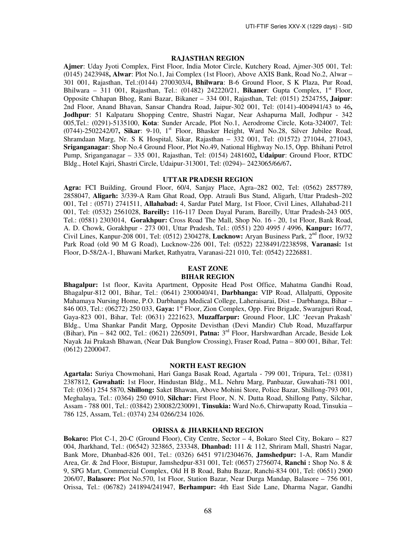#### **RAJASTHAN REGION**

**Ajmer**: Uday Jyoti Complex, First Floor, India Motor Circle, Kutchery Road, Ajmer-305 001, Tel: (0145) 2423948**, Alwar**: Plot No.1, Jai Complex (1st Floor), Above AXIS Bank, Road No.2, Alwar – 301 001, Rajasthan, Tel.:(0144) 2700303/4**, Bhilwara**: B-6 Ground Floor, S K Plaza, Pur Road, Bhilwara – 311 001, Rajasthan, Tel.:  $(01482)$  242220/21, **Bikaner**: Gupta Complex,  $1<sup>st</sup>$  Floor, Opposite Chhapan Bhog, Rani Bazar, Bikaner – 334 001, Rajasthan, Tel: (0151) 2524755**, Jaipur**: 2nd Floor, Anand Bhavan, Sansar Chandra Road, Jaipur-302 001, Tel: (0141)-4004941/43 to 46**, Jodhpur**: 51 Kalpataru Shopping Centre, Shastri Nagar, Near Ashapurna Mall, Jodhpur - 342 005,Tel.: (0291)-5135100, **Kota**: Sunder Arcade, Plot No.1, Aerodrome Circle, Kota-324007, Tel: (0744)-2502242/07, Sikar: 9-10, 1<sup>st</sup> Floor, Bhasker Height, Ward No.28, Silver Jubilee Road, Shramdaan Marg, Nr. S K Hospital, Sikar, Rajasthan – 332 001, Tel: (01572) 271044, 271043, **Sriganganagar**: Shop No.4 Ground Floor, Plot No.49, National Highway No.15, Opp. Bhihani Petrol Pump, Sriganganagar – 335 001, Rajasthan, Tel: (0154) 2481602**, Udaipur**: Ground Floor, RTDC Bldg., Hotel Kajri, Shastri Circle, Udaipur-313001, Tel: (0294)– 2423065/66/67**.** 

#### **UTTAR PRADESH REGION**

**Agra:** FCI Building, Ground Floor, 60/4, Sanjay Place, Agra–282 002, Tel: (0562) 2857789, 2858047, **Aligarh:** 3/339-A Ram Ghat Road, Opp. Atrauli Bus Stand, Aligarh, Uttar Pradesh–202 001, Tel : (0571) 2741511, **Allahabad:** 4, Sardar Patel Marg, 1st Floor, Civil Lines, Allahabad-211 001, Tel: (0532) 2561028, **Bareilly:** 116-117 Deen Dayal Puram, Bareilly, Uttar Pradesh-243 005, Tel.: (0581) 2303014, **Gorakhpur:** Cross Road The Mall, Shop No. 16 - 20, 1st Floor, Bank Road, A. D. Chowk, Gorakhpur - 273 001, Uttar Pradesh, Tel.: (0551) 220 4995 / 4996, **Kanpur:** 16/77, Civil Lines, Kanpur-208 001, Tel: (0512) 2304278, **Lucknow:** Aryan Business Park, 2nd floor, 19/32 Park Road (old 90 M G Road), Lucknow-226 001, Tel: (0522) 2238491/2238598, **Varanasi:** 1st Floor, D-58/2A-1, Bhawani Market, Rathyatra, Varanasi-221 010, Tel: (0542) 2226881.

# **EAST ZONE**

### **BIHAR REGION**

**Bhagalpur:** 1st floor, Kavita Apartment, Opposite Head Post Office, Mahatma Gandhi Road, Bhagalpur-812 001, Bihar, Tel.: (0641) 2300040/41, **Darbhanga:** VIP Road, Allalpatti, Opposite Mahamaya Nursing Home, P.O. Darbhanga Medical College, Laheraisarai, Dist – Darbhanga, Bihar – 846 003, Tel.: (06272) 250 033, **Gaya:** 1st Floor, Zion Complex, Opp. Fire Brigade, Swarajpuri Road, Gaya-823 001, Bihar, Tel: (0631) 2221623, **Muzaffarpur:** Ground Floor, LIC 'Jeevan Prakash' Bldg., Uma Shankar Pandit Marg, Opposite Devisthan (Devi Mandir) Club Road, Muzaffarpur (Bihar), Pin – 842 002, Tel.: (0621) 2265091, **Patna:** 3 rd Floor, Harshwardhan Arcade, Beside Lok Nayak Jai Prakash Bhawan, (Near Dak Bunglow Crossing), Fraser Road, Patna – 800 001, Bihar, Tel: (0612) 2200047.

#### **NORTH EAST REGION**

**Agartala:** Suriya Chowmohani, Hari Ganga Basak Road, Agartala - 799 001, Tripura, Tel.: (0381) 2387812, **Guwahati:** 1st Floor, Hindustan Bldg., M.L. Nehru Marg, Panbazar, Guwahati-781 001, Tel: (0361) 254 5870, **Shillong:** Saket Bhawan, Above Mohini Store, Police Bazar, Shillong-793 001, Meghalaya, Tel.: (0364) 250 0910, **Silchar:** First Floor, N. N. Dutta Road, Shillong Patty, Silchar, Assam - 788 001, Tel.: (03842) 230082/230091, **Tinsukia:** Ward No.6, Chirwapatty Road, Tinsukia – 786 125, Assam, Tel.: (0374) 234 0266/234 1026.

#### **ORISSA & JHARKHAND REGION**

**Bokaro:** Plot C-1, 20-C (Ground Floor), City Centre, Sector – 4, Bokaro Steel City, Bokaro – 827 004, Jharkhand, Tel.: (06542) 323865, 233348, **Dhanbad:** 111 & 112, Shriram Mall, Shastri Nagar, Bank More, Dhanbad-826 001, Tel.: (0326) 6451 971/2304676, **Jamshedpur:** 1-A, Ram Mandir Area, Gr. & 2nd Floor, Bistupur, Jamshedpur-831 001, Tel: (0657) 2756074, **Ranchi :** Shop No. 8 & 9, SPG Mart, Commercial Complex, Old H B Road, Bahu Bazar, Ranchi-834 001, Tel: (0651) 2900 206/07, **Balasore:** Plot No.570, 1st Floor, Station Bazar, Near Durga Mandap, Balasore – 756 001, Orissa, Tel.: (06782) 241894/241947, **Berhampur:** 4th East Side Lane, Dharma Nagar, Gandhi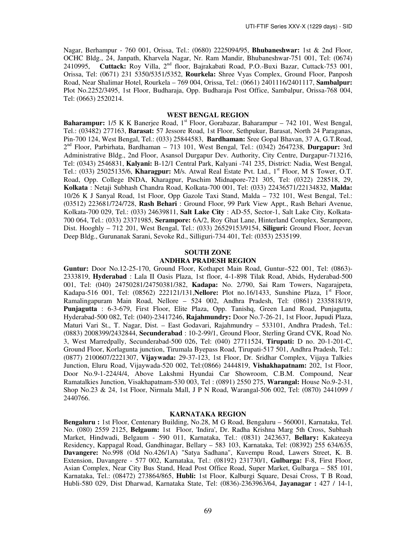Nagar, Berhampur - 760 001, Orissa, Tel.: (0680) 2225094/95, **Bhubaneshwar:** 1st & 2nd Floor, OCHC Bldg., 24, Janpath, Kharvela Nagar, Nr. Ram Mandir, Bhubaneshwar-751 001, Tel: (0674) 2410995, **Cuttack:** Roy Villa, 2nd floor, Bajrakabati Road, P.O.-Buxi Bazar, Cuttack-753 001, Orissa, Tel: (0671) 231 5350/5351/5352, **Rourkela:** Shree Vyas Complex, Ground Floor, Panposh Road, Near Shalimar Hotel, Rourkela – 769 004, Orissa, Tel.: (0661) 2401116/2401117, **Sambalpur:**  Plot No.2252/3495, 1st Floor, Budharaja, Opp. Budharaja Post Office, Sambalpur, Orissa-768 004, Tel: (0663) 2520214.

#### **WEST BENGAL REGION**

**Baharampur:** 1/5 K K Banerjee Road, 1<sup>st</sup> Floor, Gorabazar, Baharampur – 742 101, West Bengal, Tel.: (03482) 277163, **Barasat:** 57 Jessore Road, 1st Floor, Sethpukur, Barasat, North 24 Paraganas, Pin-700 124, West Bengal, Tel.: (033) 25844583, **Bardhaman:** Sree Gopal Bhavan, 37 A, G.T.Road, 2 nd Floor, Parbirhata, Bardhaman – 713 101, West Bengal, Tel.: (0342) 2647238, **Durgapur:** 3rd Administrative Bldg., 2nd Floor, Asansol Durgapur Dev. Authority, City Centre, Durgapur-713216, Tel: (0343) 2546831, **Kalyani:** B-12/1 Central Park, Kalyani -741 235, District: Nadia, West Bengal, Tel.: (033) 25025135/6, **Kharagpur:** M/s. Atwal Real Estate Pvt. Ltd., 1<sup>st</sup> Floor, M S Tower, O.T. Road, Opp. College INDA, Kharagpur, Paschim Midnapore-721 305, Tel: (0322) 228518, 29, **Kolkata** : Netaji Subhash Chandra Road, Kolkata-700 001, Tel: (033) 22436571/22134832, **Malda:** 10/26 K J Sanyal Road, 1st Floor, Opp Gazole Taxi Stand, Malda – 732 101, West Bengal, Tel.: (03512) 223681/724/728, **Rash Behari** : Ground Floor, 99 Park View Appt., Rash Behari Avenue, Kolkata-700 029, Tel.: (033) 24639811, **Salt Lake City** : AD-55, Sector-1, Salt Lake City, Kolkata-700 064, Tel.: (033) 23371985, **Serampore:** 6A/2, Roy Ghat Lane, Hinterland Complex, Serampore, Dist. Hooghly – 712 201, West Bengal, Tel.: (033) 26529153/9154, **Siliguri:** Ground Floor, Jeevan Deep Bldg., Gurunanak Sarani, Sevoke Rd., Silliguri-734 401, Tel: (0353) 2535199.

# **SOUTH ZONE ANDHRA PRADESH REGION**

**Guntur:** Door No.12-25-170, Ground Floor, Kothapet Main Road, Guntur–522 001, Tel: (0863)- 2333819, **Hyderabad** : Lala II Oasis Plaza, 1st floor, 4-1-898 Tilak Road, Abids, Hyderabad-500 001, Tel: (040) 24750281/24750381/382, **Kadapa:** No. 2/790, Sai Ram Towers, Nagarajpeta, Kadapa-516 001, Tel: (08562) 222121/131, **Nellore:** Plot no.16/1433, Sunshine Plaza, 1<sup>st</sup> Floor, Ramalingapuram Main Road, Nellore – 524 002, Andhra Pradesh, Tel: (0861) 2335818/19, **Punjagutta** : 6-3-679, First Floor, Elite Plaza, Opp. Tanishq, Green Land Road, Punjagutta, Hyderabad-500 082, Tel: (040)-23417246, **Rajahmundry:** Door No.7-26-21, 1st Floor, Jupudi Plaza, Maturi Vari St., T. Nagar, Dist. – East Godavari, Rajahmundry – 533101, Andhra Pradesh, Tel.: (0883) 2008399/2432844, **Secunderabad** : 10-2-99/1, Ground Floor, Sterling Grand CVK, Road No. 3, West Marredpally, Secunderabad-500 026, Tel: (040) 27711524, **Tirupati:** D no. 20-1-201-C, Ground Floor, Korlagunta junction, Tirumala Byepass Road, Tirupati-517 501, Andhra Pradesh, Tel.: (0877) 2100607/2221307, **Vijaywada:** 29-37-123, 1st Floor, Dr. Sridhar Complex, Vijaya Talkies Junction, Eluru Road, Vijaywada-520 002, Tel:(0866) 2444819, **Vishakhapatnam:** 202, 1st Floor, Door No.9-1-224/4/4, Above Lakshmi Hyundai Car Showroom, C.B.M. Compound, Near Ramatalkies Junction, Visakhapatnam-530 003, Tel : (0891) 2550 275, **Warangal:** House No.9-2-31, Shop No.23 & 24, 1st Floor, Nirmala Mall, J P N Road, Warangal-506 002, Tel: (0870) 2441099 / 2440766.

# **KARNATAKA REGION**

**Bengaluru :** 1st Floor, Centenary Building, No.28, M G Road, Bengaluru – 560001, Karnataka, Tel. No. (080) 2559 2125, **Belgaum:** 1st Floor, 'Indira', Dr. Radha Krishna Marg 5th Cross, Subhash Market, Hindwadi, Belgaum - 590 011, Karnataka, Tel.: (0831) 2423637, **Bellary:** Kakateeya Residency, Kappagal Road, Gandhinagar, Bellary – 583 103, Karnataka, Tel: (08392) 255 634/635, **Davangere:** No.998 (Old No.426/1A) "Satya Sadhana", Kuvempu Road, Lawers Street, K. B. Extension, Davangere - 577 002, Karnataka, Tel.: (08192) 231730/1, **Gulbarga:** F-8, First Floor, Asian Complex, Near City Bus Stand, Head Post Office Road, Super Market, Gulbarga – 585 101, Karnataka, Tel.: (08472) 273864/865, **Hubli:** 1st Floor, Kalburgi Square, Desai Cross, T B Road, Hubli-580 029, Dist Dharwad, Karnataka State, Tel: (0836)-2363963/64, **Jayanagar :** 427 / 14-1,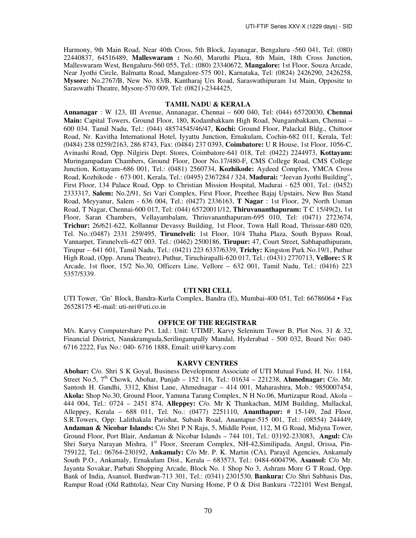Harmony, 9th Main Road, Near 40th Cross, 5th Block, Jayanagar, Bengaluru -560 041, Tel: (080) 22440837, 64516489, **Malleswaram :** No.60, Maruthi Plaza, 8th Main, 18th Cross Junction, Malleswaram West, Bengaluru-560 055, Tel.: (080) 23340672, **Mangalore:** 1st Floor, Souza Arcade, Near Jyothi Circle, Balmatta Road, Mangalore-575 001, Karnataka, Tel: (0824) 2426290, 2426258, **Mysore:** No.2767/B, New No. 83/B, Kantharaj Urs Road, Saraswathipuram 1st Main, Opposite to Saraswathi Theatre, Mysore-570 009, Tel: (0821)-2344425,

### **TAMIL NADU & KERALA**

**Annanagar** : W 123, III Avenue, Annanagar, Chennai – 600 040, Tel: (044) 65720030, **Chennai Main:** Capital Towers, Ground Floor, 180, Kodambakkam High Road, Nungambakkam, Chennai – 600 034. Tamil Nadu, Tel.: (044) 48574545/46/47, **Kochi:** Ground Floor, Palackal Bldg., Chittoor Road, Nr. Kavitha International Hotel, Iyyattu Junction, Ernakulam, Cochin-682 011, Kerala, Tel: (0484) 238 0259/2163, 286 8743, Fax: (0484) 237 0393, **Coimbatore:** U R House, 1st Floor, 1056-C, Avinashi Road, Opp. Nilgiris Dept. Stores, Coimbatore-641 018, Tel: (0422) 2244973, **Kottayam:** Muringampadam Chambers, Ground Floor, Door No.17/480-F, CMS College Road, CMS College Junction, Kottayam–686 001, Tel.: (0481) 2560734, **Kozhikode:** Aydeed Complex, YMCA Cross Road, Kozhikode - 673 001, Kerala, Tel.: (0495) 2367284 / 324, **Madurai:** "Jeevan Jyothi Building", First Floor, 134 Palace Road, Opp. to Christian Mission Hospital, Madurai - 625 001, Tel.: (0452) 2333317, **Salem:** No.2/91, Sri Vari Complex, First Floor, Preethee Bajaj Upstairs, New Bus Stand Road, Meyyanur, Salem - 636 004, Tel.: (0427) 2336163, **T Nagar** : 1st Floor, 29, North Usman Road, T Nagar, Chennai-600 017, Tel: (044) 65720011/12, **Thiruvananthapuram:** T C 15/49(2), 1st Floor, Saran Chambers, Vellayambalam, Thriuvananthapuram-695 010, Tel: (0471) 2723674, **Trichur:** 26/621-622, Kollannur Devassy Building, 1st Floor, Town Hall Road, Thrissur-680 020, Tel. No.:(0487) 2331 259/495, **Tirunelveli:** 1st Floor, 10/4 Thaha Plaza, South Bypass Road, Vannarpet, Tirunelveli–627 003. Tel.: (0462) 2500186, **Tirupur:** 47, Court Street, Sabhapathipuram, Tirupur – 641 601, Tamil Nadu, Tel.: (0421) 223 6337/6339, **Trichy:** Kingston Park No.19/1, Puthur High Road, (Opp. Aruna Theatre), Puthur, Tiruchirapalli-620 017, Tel.: (0431) 2770713, **Vellore:** S R Arcade, 1st floor, 15/2 No.30, Officers Line, Vellore – 632 001, Tamil Nadu, Tel.: (0416) 223 5357/5339.

#### **UTI NRI CELL**

UTI Tower, 'Gn' Block, Bandra-Kurla Complex, Bandra (E), Mumbai-400 051, Tel: 66786064 • Fax 26528175 •E-mail: uti-nri@uti.co.in

#### **OFFICE OF THE REGISTRAR**

M/s. Karvy Computershare Pvt. Ltd.: Unit: UTIMF, Karvy Selenium Tower B, Plot Nos. 31 & 32, Financial District, Nanakramguda,Serilingampally Mandal, Hyderabad - 500 032, Board No: 040- 6716 2222, Fax No.: 040- 6716 1888, Email: uti@karvy.com

# **KARVY CENTRES**

**Abohar:** C/o. Shri S K Goyal, Business Development Associate of UTI Mutual Fund, H. No. 1184, Street No.5, 7<sup>th</sup> Chowk, Abohar, Punjab – 152 116, Tel.: 01634 – 221238, **Ahmednagar:** C/o. Mr. Santosh H. Gandhi, 3312, Khist Lane, Ahmednagar – 414 001, Maharashtra, Mob.: 9850007454, **Akola:** Shop No.30, Ground Floor, Yamuna Tarang Complex, N H No.06, Murtizapur Road, Akola – 444 004, Tel.: 0724 – 2451 874, **Alleppey:** C/o. Mr K Thankachan, MJM Building, Mullackal, Alleppey, Kerala – 688 011, Tel. No.: (0477) 2251110, **Ananthapur:** # 15-149, 2nd Floor, S.R.Towers, Opp: Lalithakala Parishat, Subash Road, Anantapur-515 001, Tel.: (08554) 244449, **Andaman & Nicobar Islands:** C/o Shri P N Raju, 5, Middle Point, 112, M G Road, Midyna Tower, Ground Floor, Port Blair, Andaman & Nicobar Islands – 744 101, Tel.: 03192-233083, **Angul:** C/o Shri Surya Narayan Mishra, 1<sup>st</sup> Floor, Sreeram Complex, NH-42, Similipada, Angul, Orissa, Pin-759122, Tel.: 06764-230192, **Ankamaly:** C/o Mr. P. K. Martin (CA), Parayil Agencies, Ankamaly South P.O., Ankamaly, Ernakulam Dist., Kerala – 683573, Tel.: 0484-6004796, **Asansol:** C/o Mr. Jayanta Sovakar, Parbati Shopping Arcade, Block No. 1 Shop No 3, Ashram More G T Road, Opp. Bank of India, Asansol, Burdwan-713 301, Tel.: (0341) 2301530, **Bankura:** C/o Shri Subhasis Das, Rampur Road (Old Rathtola), Near City Nursing Home, P O & Dist Bankura -722101 West Bengal,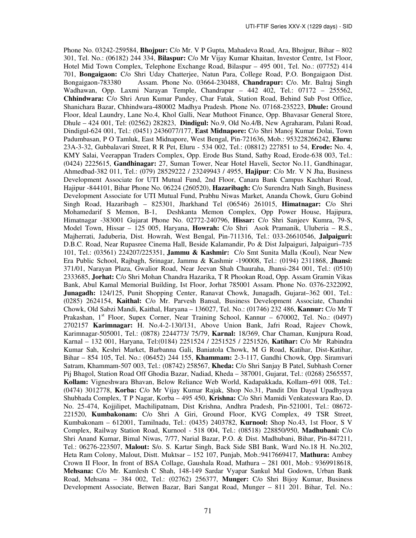Phone No. 03242-259584, **Bhojpur:** C/o Mr. V P Gupta, Mahadeva Road, Ara, Bhojpur, Bihar – 802 301, Tel. No.: (06182) 244 334, **Bilaspur:** C/o Mr Vijay Kumar Khaitan, Investor Centre, 1st Floor, Hotel Mid Town Complex, Telephone Exchange Road, Bilaspur – 495 001, Tel. No.: (07752) 414 701, **Bongaigaon:** C/o Shri Uday Chatterjee, Natun Para, College Road, P.O. Bongaigaon Dist. Bongaigaon-783380 Assam. Phone No. 03664-230488, **Chandrapur:** C/o. Mr. Balraj Singh Wadhawan, Opp. Laxmi Narayan Temple, Chandrapur – 442 402, Tel.: 07172 – 255562, **Chhindwara:** C/o Shri Arun Kumar Pandey, Char Fatak, Station Road, Behind Sub Post Office, Shanichara Bazar, Chhindwara-480002 Madhya Pradesh. Phone No. 07168-235223, **Dhule:** Ground Floor, Ideal Laundry, Lane No.4, Khol Galli, Near Muthoot Finance, Opp. Bhavasar General Store, Dhule – 424 001, Tel: (02562) 282823, **Dindigul:** No.9, Old No.4/B, New Agraharam, Palani Road, Dindigul-624 001, Tel.: (0451) 2436077/177, **East Midnapore:** C/o Shri Manoj Kumar Dolai, Town Padumbasan, P O Tamluk, East Midnapore, West Bengal, Pin-721636, Mob.: 953228266242, **Eluru:**  23A-3-32, Gubbalavari Street, R R Pet, Eluru - 534 002, Tel.: (08812) 227851 to 54, **Erode:** No. 4, KMY Salai, Veerappan Traders Complex, Opp. Erode Bus Stand, Sathy Road, Erode-638 003, Tel.: (0424) 2225615, **Gandhinagar:** 27, Suman Tower, Near Hotel Haveli, Sector No.11, Gandhinagar, Ahmedbad-382 011, Tel.: (079) 28529222 / 23249943 / 4955, **Hajipur**: C/o Mr. V N Jha, Business Development Associate for UTI Mutual Fund, 2nd Floor, Canara Bank Campus Kachhari Road, Hajipur ‐844101, Bihar Phone No. 06224 (260520), **Hazaribagh:** C/o Surendra Nath Singh, Business Development Associate for UTI Mutual Fund, Prabhu Niwas Market, Ananda Chowk, Guru Gobind Singh Road, Hazaribagh – 825301, Jharkhand Tel (06546) 261015, **Himatnagar:** C/o Shri Mohamedarif S Memon, B-1, Deshkanta Memon Complex, Opp Power House, Hajipura, Himatnagar -383001 Gujarat Phone No. 02772-240796, **Hissar:** C/o Shri Sanjeev Kumra, 79-S, Model Town, Hissar – 125 005, Haryana, **Howrah:** C/o Shri Asok Pramanik, Uluberia – R.S., Majherrati, Jaduberia, Dist. Howrah, West Bengal, Pin-711316, Tel.: 033-26610546, **Jalpaiguri:**  D.B.C. Road, Near Rupasree Cinema Hall, Beside Kalamandir, Po & Dist Jalpaiguri, Jalpaiguri–735 101, Tel.: (03561) 224207/225351, **Jammu & Kashmir:** C/o Smt Sunita Malla (Koul), Near New Era Public School, Rajbagh, Srinagar, Jammu & Kashmir -190008, Tel.: (0194) 2311868, **Jhansi:**  371/01, Narayan Plaza, Gwalior Road, Near Jeevan Shah Chauraha, Jhansi-284 001, Tel.: (0510) 2333685, **Jorhat:** C/o Shri Mohan Chandra Hazarika, T R Phookan Road, Opp. Assam Gramin Vikas Bank, Abul Kamal Memorial Building, Ist Floor, Jorhat 785001 Assam. Phone No. 0376-2322092, **Junagadh:** 124/125, Punit Shopping Center, Ranavat Chowk, Junagadh, Gujarat–362 001, Tel.: (0285) 2624154, **Kaithal:** C/o Mr. Parvesh Bansal, Business Development Associate, Chandni Chowk, Old Sabzi Mandi, Kaithal, Haryana – 136027, Tel. No.: (01746) 232 486, **Kannur:** C/o Mr T Prakashan, 1<sup>st</sup> Floor, Supex Corner, Near Training School, Kannur – 670002, Tel. No.: (0497) 2702157 **Karimnagar:** H. No.4-2-130/131, Above Union Bank, Jafri Road, Rajeev Chowk, Karimnagar-505001, Tel.: (0878) 2244773/ 75/79, **Karnal:** 18/369, Char Chaman, Kunjpura Road, Karnal – 132 001, Haryana, Tel:(0184) 2251524 / 2251525 / 2251526, **Katihar:** C/o Mr Rabindra Kumar Sah, Keshri Market, Barbanna Gali, Baniatola Chowk, M G Road, Katihar, Dist-Katihar, Bihar – 854 105, Tel. No.: (06452) 244 155, **Khammam:** 2-3-117, Gandhi Chowk, Opp. Siramvari Satram, Khammam-507 003, Tel.: (08742) 258567, **Kheda:** C/o Shri Sanjay B Patel, Subhash Corner Pij Bhagol, Station Road Off Ghodia Bazar, Nadiad, Kheda – 387001, Gujarat, Tel.: (0268) 2565557, **Kollam:** Vigneshwara Bhavan, Below Reliance Web World, Kadapakkada, Kollam–691 008, Tel.: (0474) 3012778, **Korba:** C/o Mr Vijay Kumar Rajak, Shop No.31, Pandit Din Dayal Upadhyaya Shubhada Complex, T P Nagar, Korba – 495 450, **Krishna:** C/o Shri Mamidi Venkateswara Rao, D. No. 25-474, Kojjilipet, Machilipatnam, Dist Krishna, Andhra Pradesh, Pin-521001, Tel.: 08672- 221520, **Kumbakonam:** C/o Shri A Giri, Ground Floor, KVG Complex, 49 TSR Street, Kumbakonam – 612001, Tamilnadu, Tel.: (0435) 2403782, **Kurnool:** Shop No.43, 1st Floor, S V Complex, Railway Station Road, Kurnool - 518 004, Tel.: (08518) 228850/950, **Madhubani:** C/o Shri Anand Kumar, Bimal Niwas, 7/77, Narial Bazar, P.O. & Dist. Madhubani, Bihar, Pin-847211, Tel.: 06276-223507, **Malout:** S/o. S. Kartar Singh, Back Side SBI Bank, Ward No.18 H. No.202, Heta Ram Colony, Malout, Distt. Muktsar – 152 107, Punjab, Mob.:9417669417, **Mathura:** Ambey Crown II Floor, In front of BSA Collage, Gaushala Road, Mathura – 281 001, Mob.: 9369918618, **Mehsana:** C/o Mr. Kamlesh C Shah, 148-149 Sardar Vyapar Sankul Mal Godown, Urban Bank Road, Mehsana – 384 002, Tel.: (02762) 256377, **Munger:** C/o Shri Bijoy Kumar, Business Development Associate, Betwen Bazar, Bari Sangat Road, Munger – 811 201. Bihar, Tel. No.: